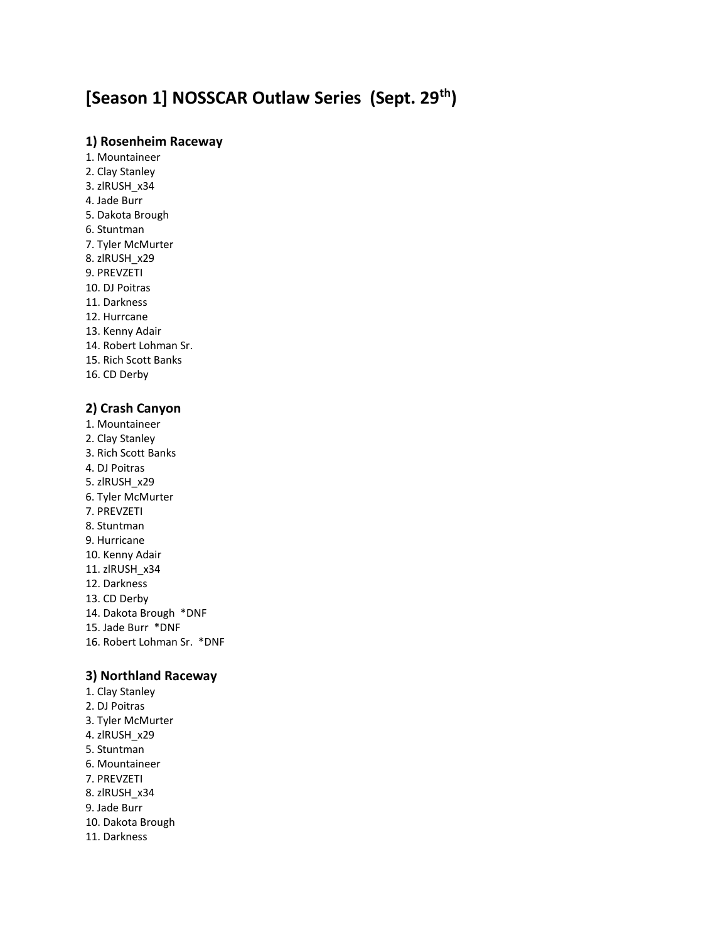# **[Season 1] NOSSCAR Outlaw Series (Sept. 29th)**

#### **1) Rosenheim Raceway**

1. Mountaineer 2. Clay Stanley 3. zlRUSH\_x34 4. Jade Burr 5. Dakota Brough 6. Stuntman 7. Tyler McMurter 8. zlRUSH\_x29 9. PREVZETI 10. DJ Poitras 11. Darkness 12. Hurrcane 13. Kenny Adair 14. Robert Lohman Sr. 15. Rich Scott Banks 16. CD Derby

## **2) Crash Canyon**

- 1. Mountaineer
- 2. Clay Stanley 3. Rich Scott Banks
- 4. DJ Poitras
- 5. zlRUSH\_x29
- 6. Tyler McMurter
- 7. PREVZETI
- 8. Stuntman
- 9. Hurricane
- 10. Kenny Adair
- 11. zlRUSH\_x34
- 12. Darkness
- 13. CD Derby
- 14. Dakota Brough \*DNF
- 15. Jade Burr \*DNF
- 16. Robert Lohman Sr. \*DNF

#### **3) Northland Raceway**

- 1. Clay Stanley
- 2. DJ Poitras
- 3. Tyler McMurter
- 4. zlRUSH\_x29
- 5. Stuntman
- 6. Mountaineer
- 7. PREVZETI
- 8. zlRUSH\_x34
- 9. Jade Burr
- 10. Dakota Brough
- 11. Darkness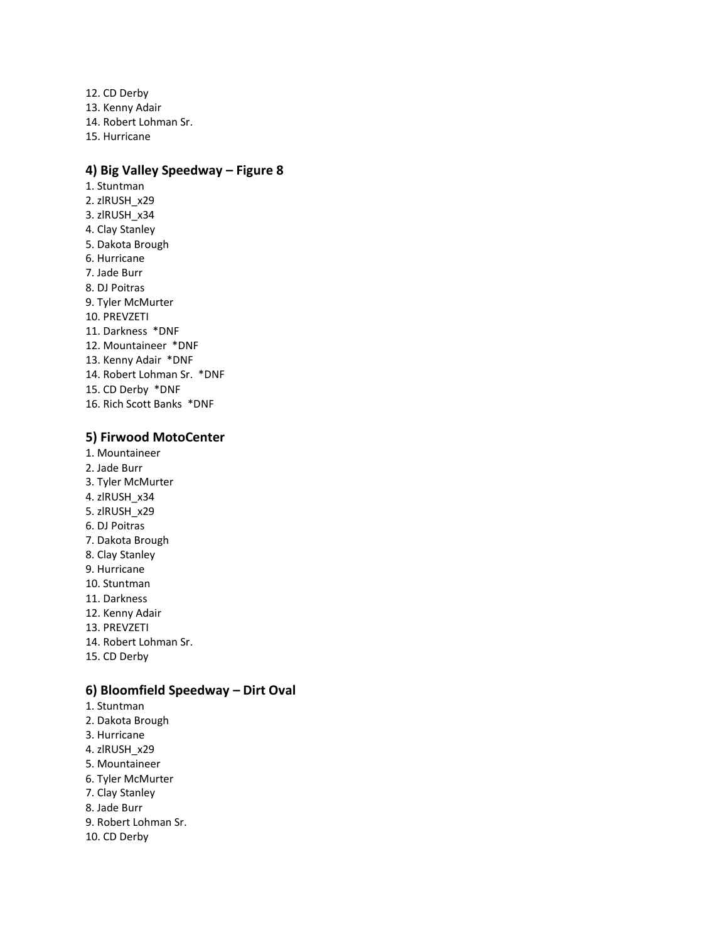12. CD Derby 13. Kenny Adair 14. Robert Lohman Sr. 15. Hurricane

### **4) Big Valley Speedway – Figure 8**

- 1. Stuntman 2. zlRUSH\_x29 3. zlRUSH\_x34 4. Clay Stanley 5. Dakota Brough 6. Hurricane 7. Jade Burr 8. DJ Poitras 9. Tyler McMurter 10. PREVZETI 11. Darkness \*DNF 12. Mountaineer \*DNF 13. Kenny Adair \*DNF 14. Robert Lohman Sr. \*DNF 15. CD Derby \*DNF
- 16. Rich Scott Banks \*DNF

#### **5) Firwood MotoCenter**

- 1. Mountaineer
- 2. Jade Burr
- 3. Tyler McMurter
- 4. zlRUSH\_x34
- 5. zlRUSH\_x29
- 6. DJ Poitras
- 7. Dakota Brough
- 8. Clay Stanley
- 9. Hurricane
- 10. Stuntman
- 11. Darkness
- 12. Kenny Adair
- 13. PREVZETI
- 14. Robert Lohman Sr.
- 15. CD Derby

#### **6) Bloomfield Speedway – Dirt Oval**

- 1. Stuntman
- 2. Dakota Brough
- 3. Hurricane
- 4. zlRUSH\_x29
- 5. Mountaineer
- 6. Tyler McMurter
- 7. Clay Stanley
- 8. Jade Burr
- 9. Robert Lohman Sr.
- 10. CD Derby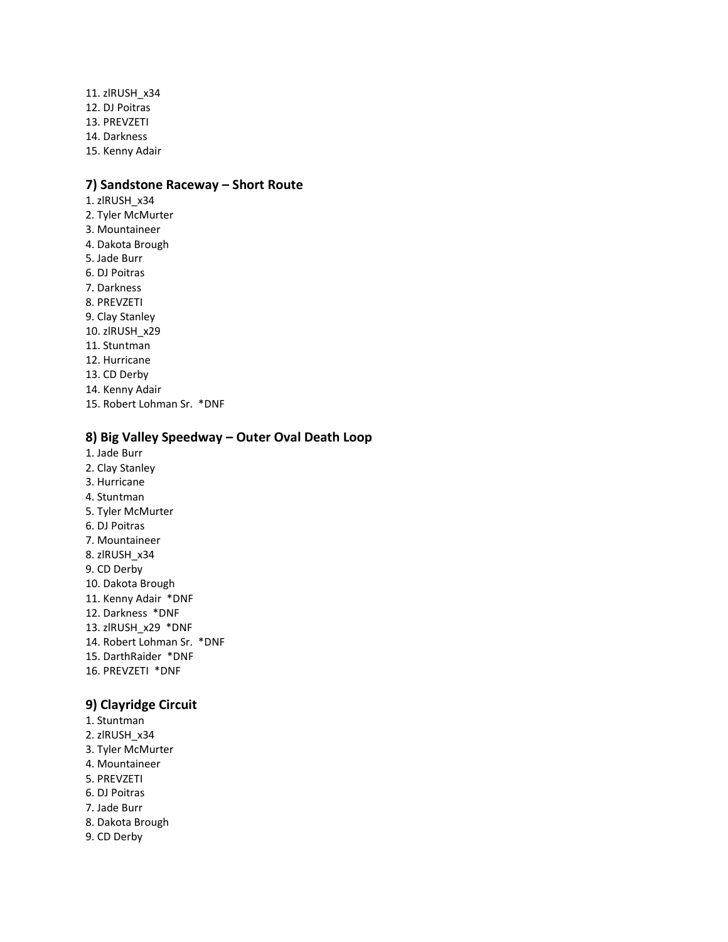11. zlRUSH\_x34 12. DJ Poitras 13. PREVZETI 14. Darkness 15. Kenny Adair

#### **7) Sandstone Raceway – Short Route**

1. zlRUSH\_x34 2. Tyler McMurter 3. Mountaineer 4. Dakota Brough 5. Jade Burr 6. DJ Poitras 7. Darkness 8. PREVZETI 9. Clay Stanley 10. zlRUSH\_x29 11. Stuntman 12. Hurricane 13. CD Derby 14. Kenny Adair 15. Robert Lohman Sr. \*DNF

#### **8) Big Valley Speedway – Outer Oval Death Loop**

- 1. Jade Burr
- 2. Clay Stanley
- 3. Hurricane
- 4. Stuntman
- 5. Tyler McMurter
- 6. DJ Poitras
- 7. Mountaineer
- 8. zlRUSH\_x34
- 9. CD Derby
- 10. Dakota Brough 11. Kenny Adair \*DNF
- 12. Darkness \*DNF
- 13. zlRUSH\_x29 \*DNF
- 14. Robert Lohman Sr. \*DNF
- 15. DarthRaider \*DNF
- 
- 16. PREVZETI \*DNF

#### **9) Clayridge Circuit**

- 1. Stuntman
- 2. zlRUSH\_x34
- 3. Tyler McMurter
- 4. Mountaineer
- 5. PREVZETI
- 6. DJ Poitras
- 7. Jade Burr
- 8. Dakota Brough
- 9. CD Derby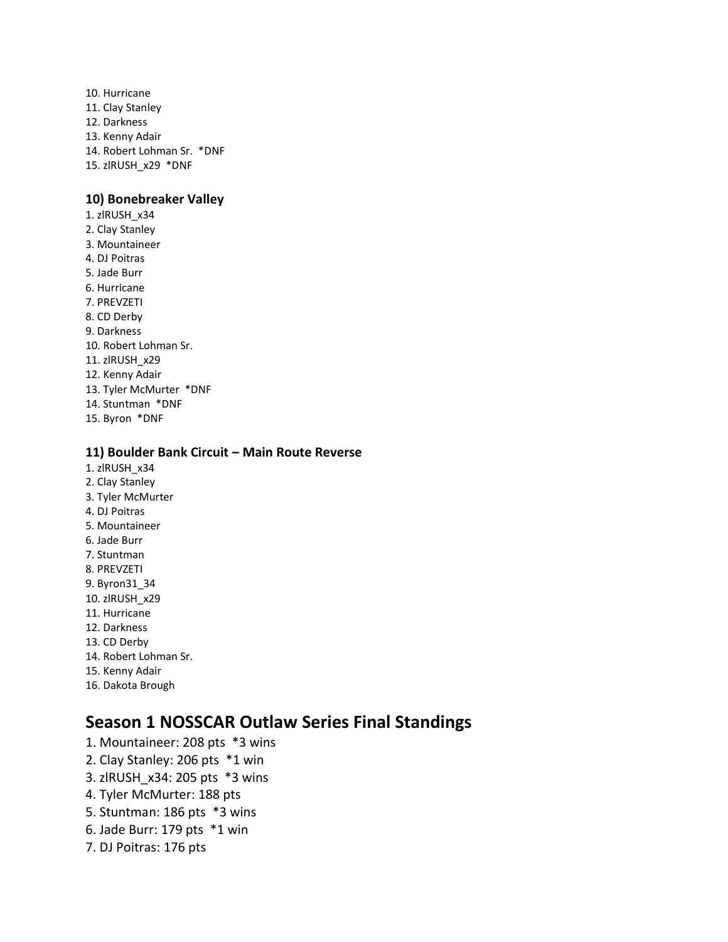10. Hurricane 11. Clay Stanley 12. Darkness 13. Kenny Adair 14. Robert Lohman Sr. \*DNF 15. zlRUSH\_x29 \*DNF

#### **10) Bonebreaker Valley**

- 1. zlRUSH\_x34 2. Clay Stanley 3. Mountaineer 4. DJ Poitras 5. Jade Burr 6. Hurricane 7. PREVZETI 8. CD Derby 9. Darkness 10. Robert Lohman Sr. 11. zlRUSH\_x29 12. Kenny Adair 13. Tyler McMurter \*DNF 14. Stuntman \*DNF
- 15. Byron \*DNF

#### **11) Boulder Bank Circuit – Main Route Reverse**

- 1. zlRUSH\_x34
- 2. Clay Stanley
- 3. Tyler McMurter
- 4. DJ Poitras
- 5. Mountaineer 6. Jade Burr
- 7. Stuntman
- 8. PREVZETI
- 9. Byron31\_34
- 10. zlRUSH\_x29
- 11. Hurricane
- 12. Darkness
- 13. CD Derby
- 14. Robert Lohman Sr.
- 15. Kenny Adair
- 16. Dakota Brough

# **Season 1 NOSSCAR Outlaw Series Final Standings**

- 1. Mountaineer: 208 pts \*3 wins
- 2. Clay Stanley: 206 pts \*1 win
- 3. zlRUSH\_x34: 205 pts \*3 wins
- 4. Tyler McMurter: 188 pts
- 5. Stuntman: 186 pts \*3 wins
- 6. Jade Burr: 179 pts \*1 win
- 7. DJ Poitras: 176 pts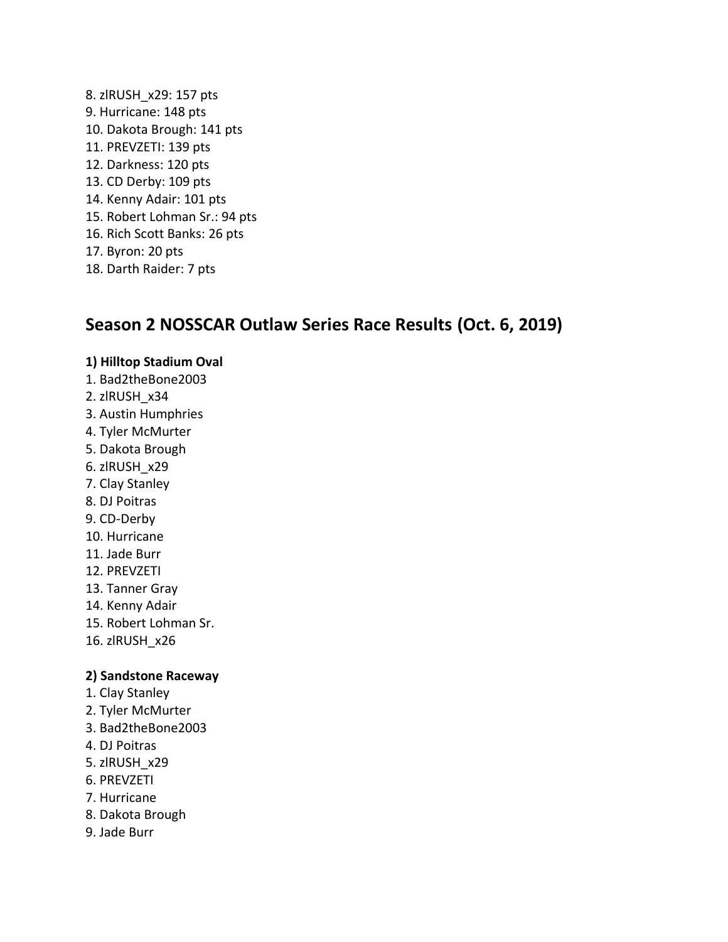8. zlRUSH\_x29: 157 pts 9. Hurricane: 148 pts 10. Dakota Brough: 141 pts 11. PREVZETI: 139 pts 12. Darkness: 120 pts 13. CD Derby: 109 pts 14. Kenny Adair: 101 pts 15. Robert Lohman Sr.: 94 pts 16. Rich Scott Banks: 26 pts 17. Byron: 20 pts 18. Darth Raider: 7 pts

## **Season 2 NOSSCAR Outlaw Series Race Results (Oct. 6, 2019)**

#### **1) Hilltop Stadium Oval**

- 1. Bad2theBone2003
- 2. zlRUSH\_x34
- 3. Austin Humphries
- 4. Tyler McMurter
- 5. Dakota Brough
- 6. zlRUSH\_x29
- 7. Clay Stanley
- 8. DJ Poitras
- 9. CD-Derby
- 10. Hurricane
- 11. Jade Burr
- 12. PREVZETI
- 13. Tanner Gray
- 14. Kenny Adair
- 15. Robert Lohman Sr.
- 16. zlRUSH\_x26

#### **2) Sandstone Raceway**

- 1. Clay Stanley
- 2. Tyler McMurter
- 3. Bad2theBone2003
- 4. DJ Poitras
- 5. zlRUSH\_x29
- 6. PREVZETI
- 7. Hurricane
- 8. Dakota Brough
- 9. Jade Burr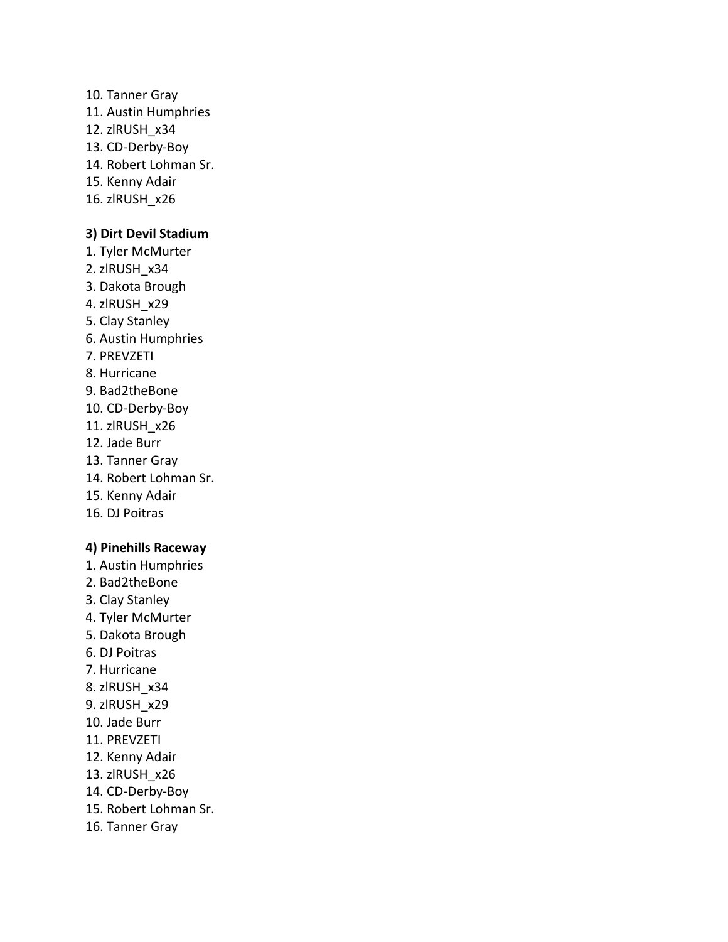10. Tanner Gray 11. Austin Humphries 12. zlRUSH\_x34 13. CD-Derby-Boy 14. Robert Lohman Sr. 15. Kenny Adair 16. zlRUSH\_x26

#### **3) Dirt Devil Stadium**

- 1. Tyler McMurter
- 2. zlRUSH\_x34
- 3. Dakota Brough
- 4. zlRUSH\_x29
- 5. Clay Stanley
- 6. Austin Humphries
- 7. PREVZETI
- 8. Hurricane
- 9. Bad2theBone
- 10. CD-Derby-Boy
- 11. zlRUSH\_x26
- 12. Jade Burr
- 13. Tanner Gray
- 14. Robert Lohman Sr.
- 15. Kenny Adair
- 16. DJ Poitras

### **4) Pinehills Raceway**

- 1. Austin Humphries
- 2. Bad2theBone
- 3. Clay Stanley
- 4. Tyler McMurter
- 5. Dakota Brough
- 6. DJ Poitras
- 7. Hurricane
- 8. zlRUSH\_x34
- 9. zlRUSH\_x29
- 10. Jade Burr
- 11. PREVZETI
- 12. Kenny Adair
- 13. zlRUSH\_x26
- 14. CD-Derby-Boy
- 15. Robert Lohman Sr.
- 16. Tanner Gray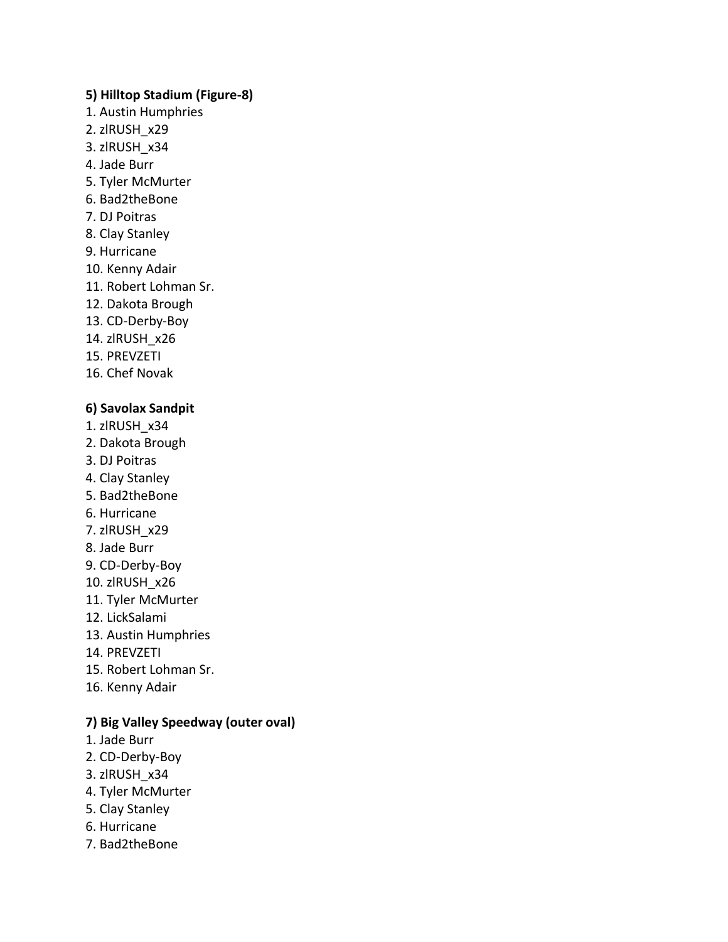#### **5) Hilltop Stadium (Figure-8)**

- 1. Austin Humphries
- 2. zlRUSH\_x29
- 3. zlRUSH\_x34
- 4. Jade Burr
- 5. Tyler McMurter
- 6. Bad2theBone
- 7. DJ Poitras
- 8. Clay Stanley
- 9. Hurricane
- 10. Kenny Adair
- 11. Robert Lohman Sr.
- 12. Dakota Brough
- 13. CD-Derby-Boy
- 14. zlRUSH\_x26
- 15. PREVZETI
- 16. Chef Novak

#### **6) Savolax Sandpit**

- 1. zlRUSH\_x34
- 2. Dakota Brough
- 3. DJ Poitras
- 4. Clay Stanley
- 5. Bad2theBone
- 6. Hurricane
- 7. zlRUSH\_x29
- 8. Jade Burr
- 9. CD-Derby-Boy
- 10. zlRUSH\_x26
- 11. Tyler McMurter
- 12. LickSalami
- 13. Austin Humphries
- 14. PREVZETI
- 15. Robert Lohman Sr.
- 16. Kenny Adair

## **7) Big Valley Speedway (outer oval)**

- 1. Jade Burr
- 2. CD-Derby-Boy
- 3. zlRUSH\_x34
- 4. Tyler McMurter
- 5. Clay Stanley
- 6. Hurricane
- 7. Bad2theBone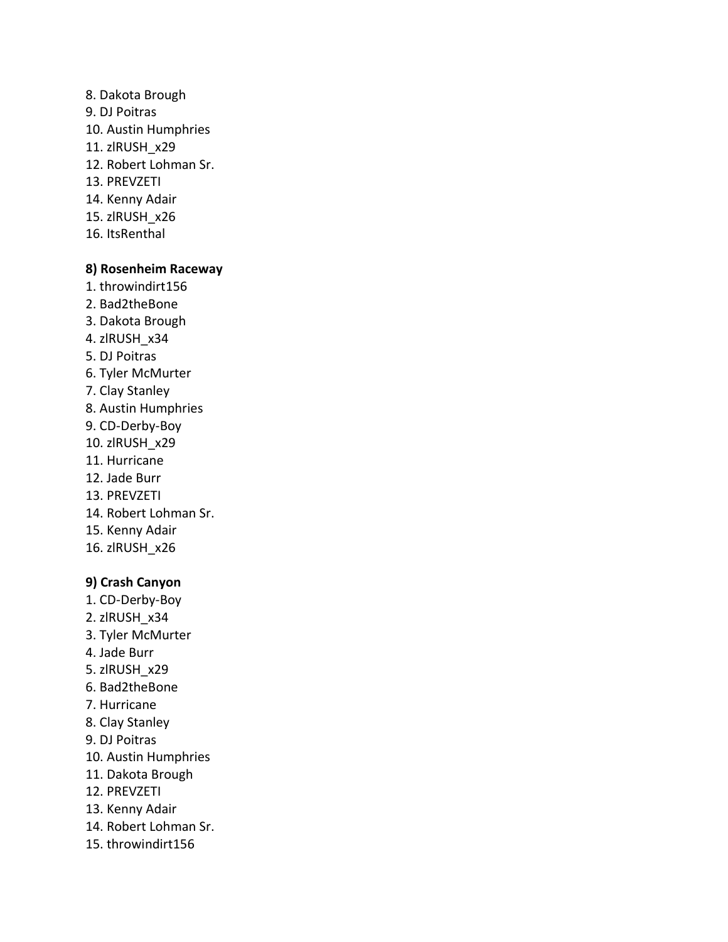- 8. Dakota Brough 9. DJ Poitras 10. Austin Humphries 11. zlRUSH\_x29 12. Robert Lohman Sr. 13. PREVZETI 14. Kenny Adair 15. zlRUSH\_x26
- 16. ItsRenthal

#### **8) Rosenheim Raceway**

- 1. throwindirt156
- 2. Bad2theBone
- 3. Dakota Brough
- 4. zlRUSH\_x34
- 5. DJ Poitras
- 6. Tyler McMurter
- 7. Clay Stanley
- 8. Austin Humphries
- 9. CD-Derby-Boy
- 10. zlRUSH\_x29
- 11. Hurricane
- 12. Jade Burr
- 13. PREVZETI
- 14. Robert Lohman Sr.
- 15. Kenny Adair
- 16. zlRUSH\_x26

## **9) Crash Canyon**

- 1. CD-Derby-Boy
- 2. zlRUSH\_x34
- 3. Tyler McMurter
- 4. Jade Burr
- 5. zlRUSH\_x29
- 6. Bad2theBone
- 7. Hurricane
- 8. Clay Stanley
- 9. DJ Poitras
- 10. Austin Humphries
- 11. Dakota Brough
- 12. PREVZETI
- 13. Kenny Adair
- 14. Robert Lohman Sr.
- 15. throwindirt156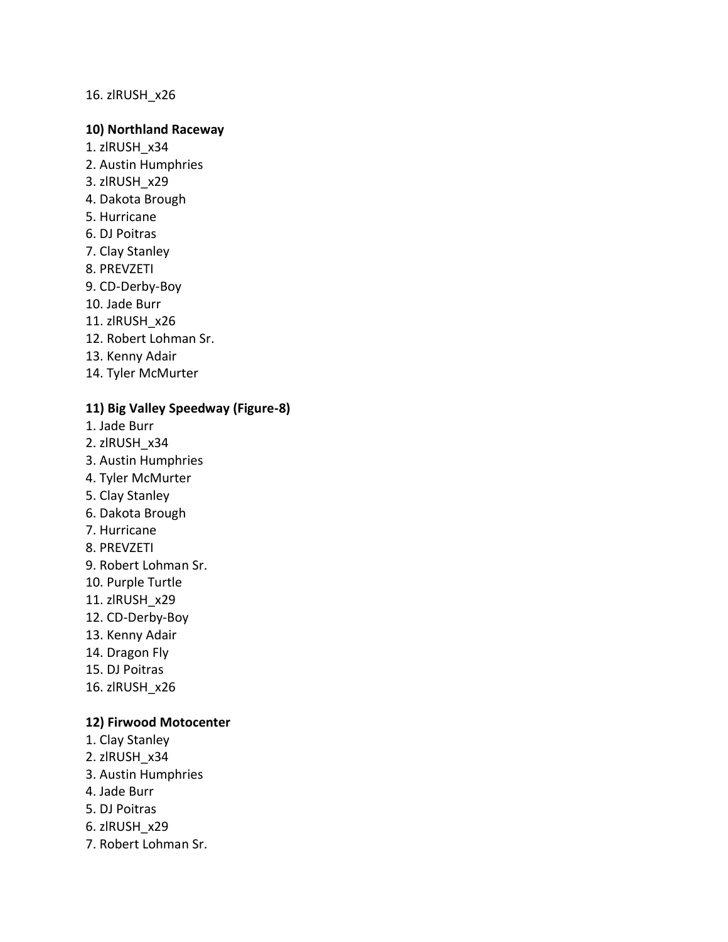#### 16. zlRUSH\_x26

#### **10) Northland Raceway**

- 1. zlRUSH\_x34
- 2. Austin Humphries
- 3. zlRUSH\_x29
- 4. Dakota Brough
- 5. Hurricane
- 6. DJ Poitras
- 7. Clay Stanley
- 8. PREVZETI
- 9. CD-Derby-Boy
- 10. Jade Burr
- 11. zlRUSH\_x26
- 12. Robert Lohman Sr.
- 13. Kenny Adair
- 14. Tyler McMurter

### **11) Big Valley Speedway (Figure-8)**

- 1. Jade Burr
- 2. zlRUSH\_x34
- 3. Austin Humphries
- 4. Tyler McMurter
- 5. Clay Stanley
- 6. Dakota Brough
- 7. Hurricane
- 8. PREVZETI
- 9. Robert Lohman Sr.
- 10. Purple Turtle
- 11. zlRUSH\_x29
- 12. CD-Derby-Boy
- 13. Kenny Adair
- 14. Dragon Fly
- 15. DJ Poitras
- 16. zlRUSH\_x26

### **12) Firwood Motocenter**

- 1. Clay Stanley
- 2. zlRUSH\_x34
- 3. Austin Humphries
- 4. Jade Burr
- 5. DJ Poitras
- 6. zlRUSH\_x29
- 7. Robert Lohman Sr.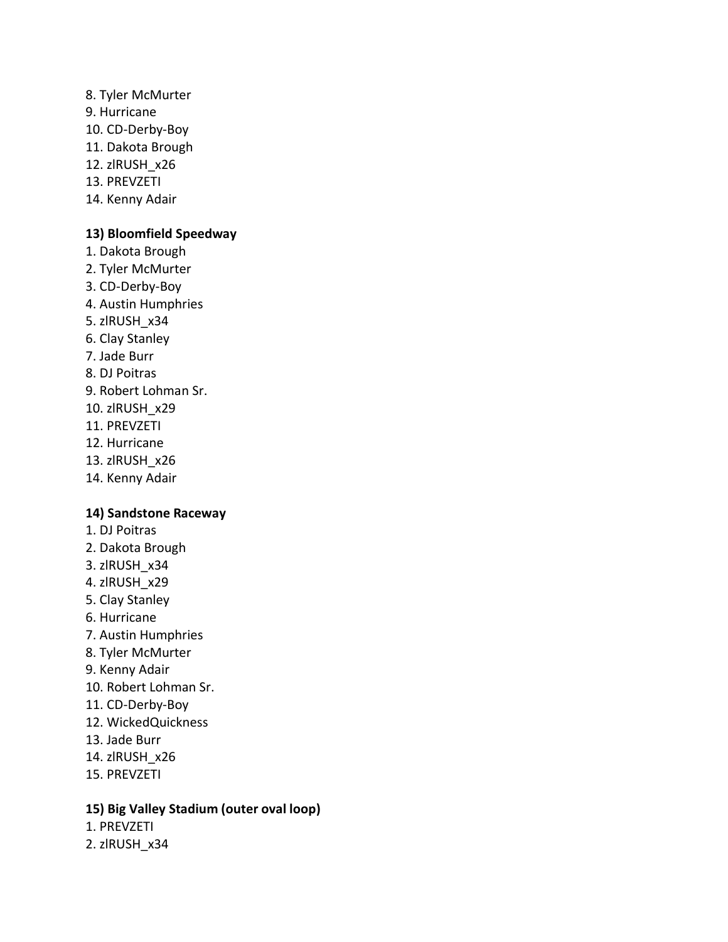8. Tyler McMurter 9. Hurricane 10. CD-Derby-Boy 11. Dakota Brough 12. zlRUSH\_x26 13. PREVZETI 14. Kenny Adair

## **13) Bloomfield Speedway**

- 1. Dakota Brough
- 2. Tyler McMurter
- 3. CD-Derby-Boy
- 4. Austin Humphries
- 5. zlRUSH\_x34
- 6. Clay Stanley
- 7. Jade Burr
- 8. DJ Poitras
- 9. Robert Lohman Sr.
- 10. zlRUSH\_x29
- 11. PREVZETI
- 12. Hurricane
- 13. zlRUSH\_x26
- 14. Kenny Adair

#### **14) Sandstone Raceway**

- 1. DJ Poitras
- 2. Dakota Brough
- 3. zlRUSH\_x34
- 4. zlRUSH\_x29
- 5. Clay Stanley
- 6. Hurricane
- 7. Austin Humphries
- 8. Tyler McMurter
- 9. Kenny Adair
- 10. Robert Lohman Sr.
- 11. CD-Derby-Boy
- 12. WickedQuickness
- 13. Jade Burr
- 14. zlRUSH\_x26
- 15. PREVZETI

### **15) Big Valley Stadium (outer oval loop)**

- 1. PREVZETI
- 2. zlRUSH\_x34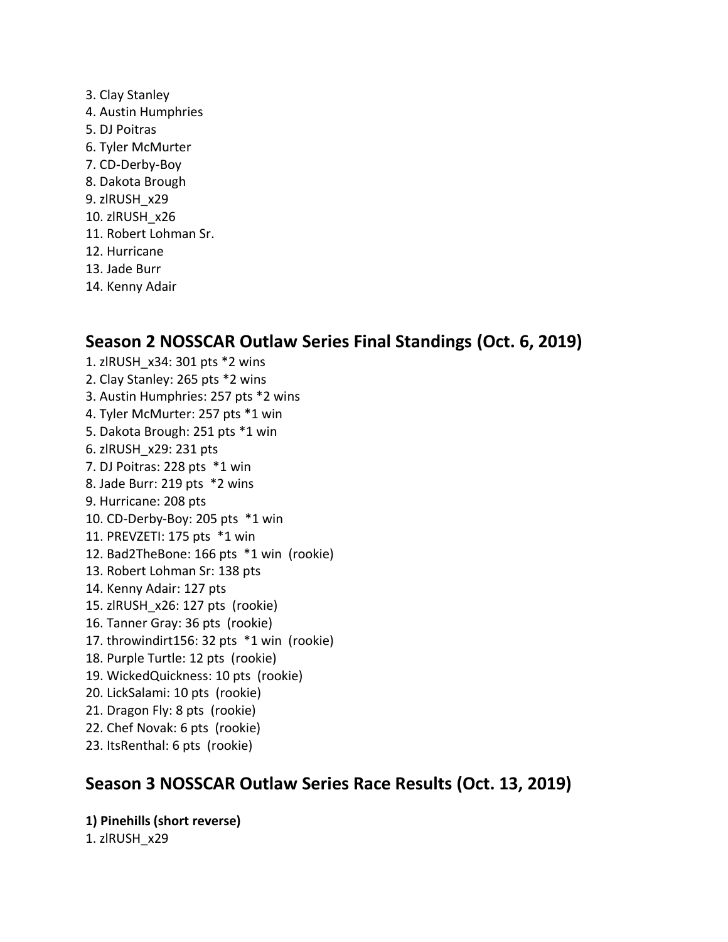3. Clay Stanley 4. Austin Humphries 5. DJ Poitras 6. Tyler McMurter 7. CD-Derby-Boy 8. Dakota Brough 9. zlRUSH\_x29 10. zlRUSH\_x26 11. Robert Lohman Sr. 12. Hurricane 13. Jade Burr 14. Kenny Adair

# **Season 2 NOSSCAR Outlaw Series Final Standings (Oct. 6, 2019)**

1. zlRUSH\_x34: 301 pts \*2 wins 2. Clay Stanley: 265 pts \*2 wins 3. Austin Humphries: 257 pts \*2 wins 4. Tyler McMurter: 257 pts \*1 win 5. Dakota Brough: 251 pts \*1 win 6. zlRUSH\_x29: 231 pts 7. DJ Poitras: 228 pts \*1 win 8. Jade Burr: 219 pts \*2 wins 9. Hurricane: 208 pts 10. CD-Derby-Boy: 205 pts \*1 win 11. PREVZETI: 175 pts \*1 win 12. Bad2TheBone: 166 pts \*1 win (rookie) 13. Robert Lohman Sr: 138 pts 14. Kenny Adair: 127 pts 15. zlRUSH\_x26: 127 pts (rookie) 16. Tanner Gray: 36 pts (rookie) 17. throwindirt156: 32 pts \*1 win (rookie) 18. Purple Turtle: 12 pts (rookie) 19. WickedQuickness: 10 pts (rookie) 20. LickSalami: 10 pts (rookie) 21. Dragon Fly: 8 pts (rookie) 22. Chef Novak: 6 pts (rookie) 23. ItsRenthal: 6 pts (rookie)

# **Season 3 NOSSCAR Outlaw Series Race Results (Oct. 13, 2019)**

**1) Pinehills (short reverse)** 1. zlRUSH\_x29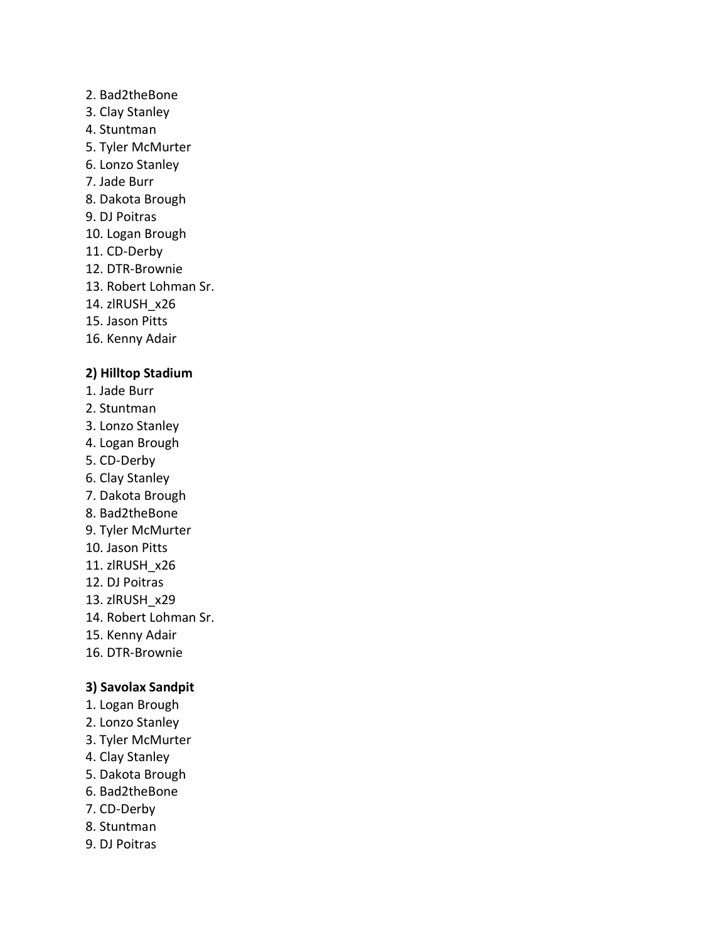#### 2. Bad2theBone

- 3. Clay Stanley
- 4. Stuntman
- 5. Tyler McMurter
- 6. Lonzo Stanley
- 7. Jade Burr
- 8. Dakota Brough
- 9. DJ Poitras
- 10. Logan Brough
- 11. CD-Derby
- 12. DTR-Brownie
- 13. Robert Lohman Sr.
- 14. zlRUSH\_x26
- 15. Jason Pitts
- 16. Kenny Adair

#### **2) Hilltop Stadium**

- 1. Jade Burr
- 2. Stuntman
- 3. Lonzo Stanley
- 4. Logan Brough
- 5. CD-Derby
- 6. Clay Stanley
- 7. Dakota Brough
- 8. Bad2theBone
- 9. Tyler McMurter
- 10. Jason Pitts
- 11. zlRUSH\_x26
- 12. DJ Poitras
- 13. zlRUSH\_x29
- 14. Robert Lohman Sr.
- 15. Kenny Adair
- 16. DTR-Brownie

### **3) Savolax Sandpit**

- 1. Logan Brough
- 2. Lonzo Stanley
- 3. Tyler McMurter
- 4. Clay Stanley
- 5. Dakota Brough
- 6. Bad2theBone
- 7. CD-Derby
- 8. Stuntman
- 9. DJ Poitras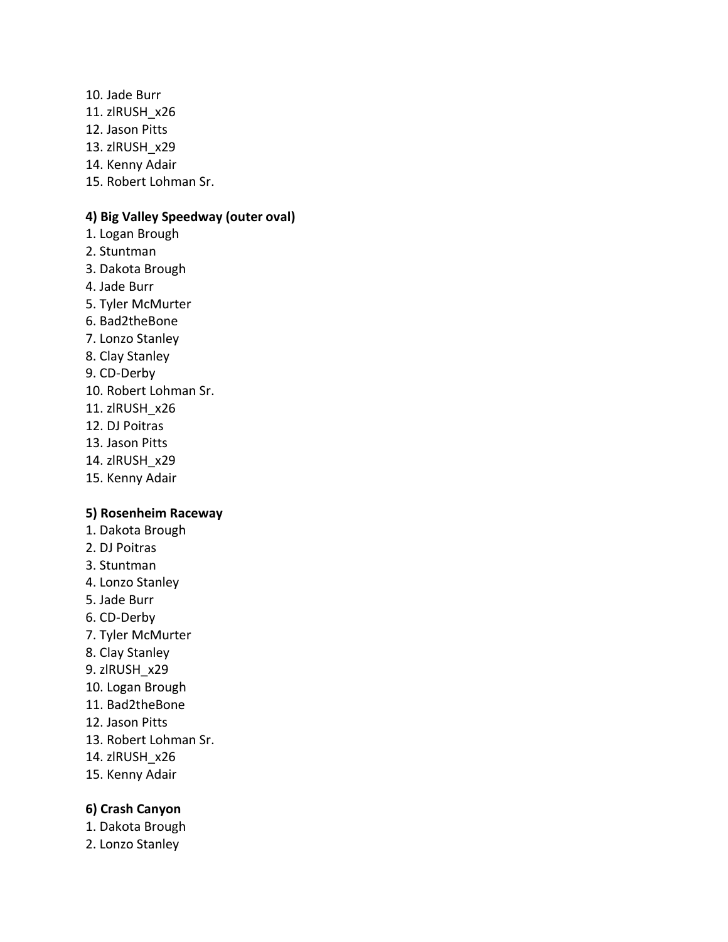- 10. Jade Burr
- 11. zlRUSH\_x26
- 12. Jason Pitts
- 13. zlRUSH\_x29
- 14. Kenny Adair
- 15. Robert Lohman Sr.

## **4) Big Valley Speedway (outer oval)**

- 1. Logan Brough
- 2. Stuntman
- 3. Dakota Brough
- 4. Jade Burr
- 5. Tyler McMurter
- 6. Bad2theBone
- 7. Lonzo Stanley
- 8. Clay Stanley
- 9. CD-Derby
- 10. Robert Lohman Sr.
- 11. zlRUSH\_x26
- 12. DJ Poitras
- 13. Jason Pitts
- 14. zlRUSH\_x29
- 15. Kenny Adair

## **5) Rosenheim Raceway**

- 1. Dakota Brough
- 2. DJ Poitras
- 3. Stuntman
- 4. Lonzo Stanley
- 5. Jade Burr
- 6. CD-Derby
- 7. Tyler McMurter
- 8. Clay Stanley
- 9. zlRUSH\_x29
- 10. Logan Brough
- 11. Bad2theBone
- 12. Jason Pitts
- 13. Robert Lohman Sr.
- 14. zlRUSH\_x26
- 15. Kenny Adair

## **6) Crash Canyon**

- 1. Dakota Brough
- 2. Lonzo Stanley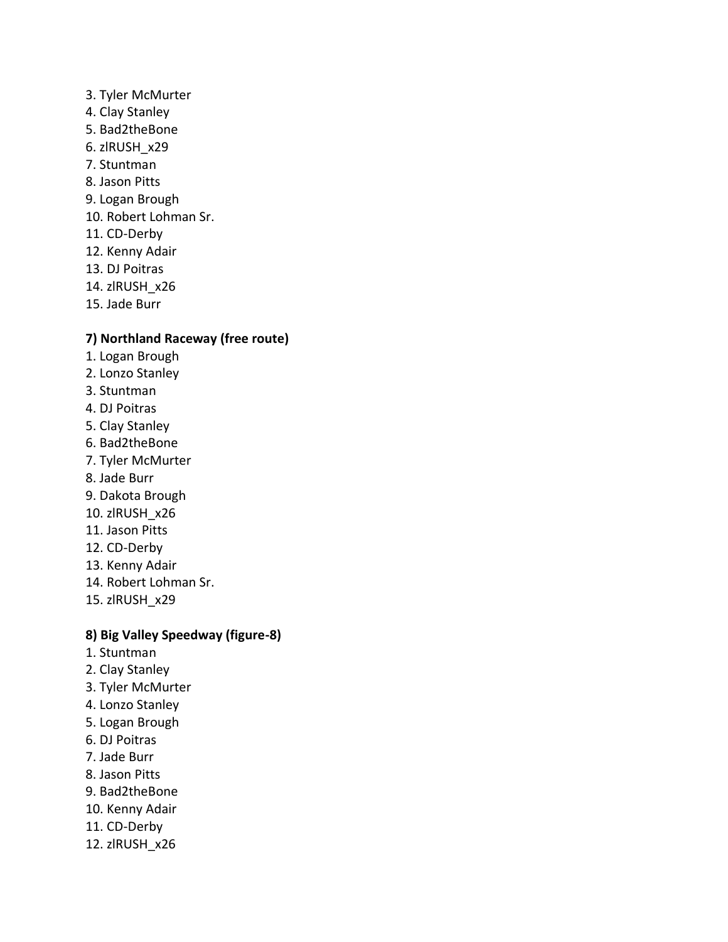- 3. Tyler McMurter
- 4. Clay Stanley
- 5. Bad2theBone
- 6. zlRUSH\_x29
- 7. Stuntman
- 8. Jason Pitts
- 9. Logan Brough
- 10. Robert Lohman Sr.
- 11. CD-Derby
- 12. Kenny Adair
- 13. DJ Poitras
- 14. zlRUSH\_x26
- 15. Jade Burr

## **7) Northland Raceway (free route)**

- 1. Logan Brough
- 2. Lonzo Stanley
- 3. Stuntman
- 4. DJ Poitras
- 5. Clay Stanley
- 6. Bad2theBone
- 7. Tyler McMurter
- 8. Jade Burr
- 9. Dakota Brough
- 10. zlRUSH\_x26
- 11. Jason Pitts
- 12. CD-Derby
- 13. Kenny Adair
- 14. Robert Lohman Sr.
- 15. zlRUSH\_x29

## **8) Big Valley Speedway (figure-8)**

- 1. Stuntman
- 2. Clay Stanley
- 3. Tyler McMurter
- 4. Lonzo Stanley
- 5. Logan Brough
- 6. DJ Poitras
- 7. Jade Burr
- 8. Jason Pitts
- 9. Bad2theBone
- 10. Kenny Adair
- 11. CD-Derby
- 12. zlRUSH\_x26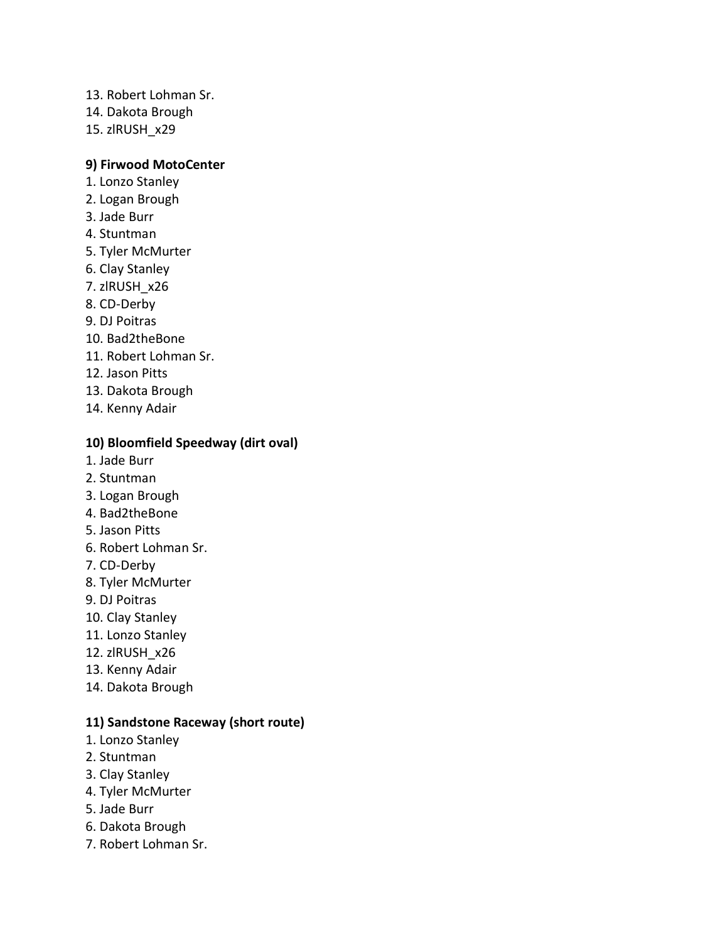- 13. Robert Lohman Sr.
- 14. Dakota Brough
- 15. zlRUSH\_x29

## **9) Firwood MotoCenter**

- 1. Lonzo Stanley
- 2. Logan Brough
- 3. Jade Burr
- 4. Stuntman
- 5. Tyler McMurter
- 6. Clay Stanley
- 7. zlRUSH\_x26
- 8. CD-Derby
- 9. DJ Poitras
- 10. Bad2theBone
- 11. Robert Lohman Sr.
- 12. Jason Pitts
- 13. Dakota Brough
- 14. Kenny Adair

## **10) Bloomfield Speedway (dirt oval)**

- 1. Jade Burr
- 2. Stuntman
- 3. Logan Brough
- 4. Bad2theBone
- 5. Jason Pitts
- 6. Robert Lohman Sr.
- 7. CD-Derby
- 8. Tyler McMurter
- 9. DJ Poitras
- 10. Clay Stanley
- 11. Lonzo Stanley
- 12. zlRUSH\_x26
- 13. Kenny Adair
- 14. Dakota Brough

### **11) Sandstone Raceway (short route)**

- 1. Lonzo Stanley
- 2. Stuntman
- 3. Clay Stanley
- 4. Tyler McMurter
- 5. Jade Burr
- 6. Dakota Brough
- 7. Robert Lohman Sr.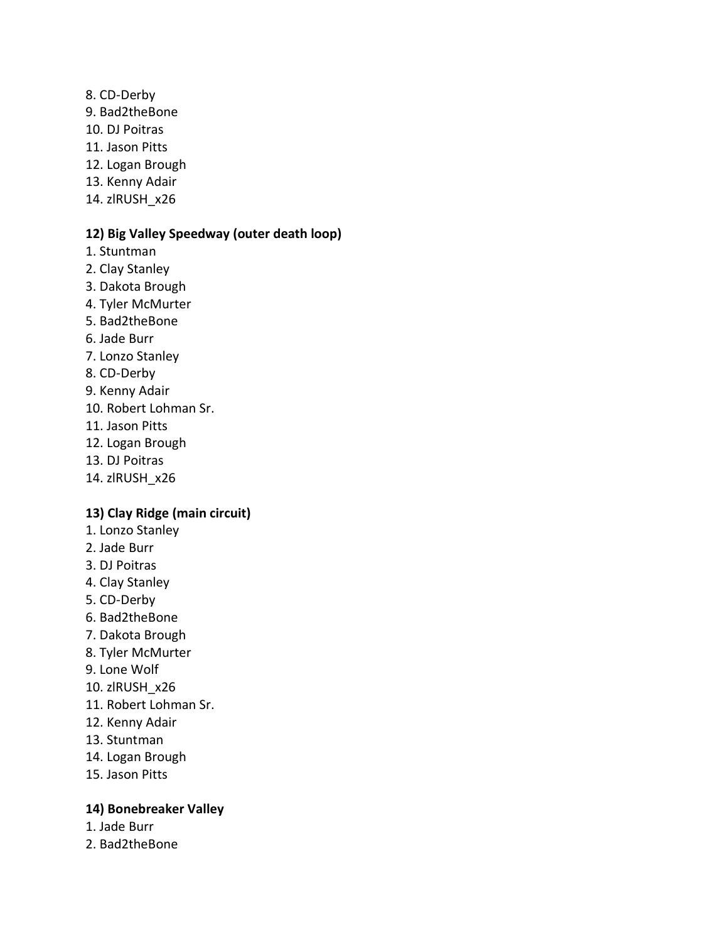- 8. CD-Derby
- 9. Bad2theBone
- 10. DJ Poitras
- 11. Jason Pitts
- 12. Logan Brough
- 13. Kenny Adair
- 14. zlRUSH\_x26

## **12) Big Valley Speedway (outer death loop)**

- 1. Stuntman
- 2. Clay Stanley
- 3. Dakota Brough
- 4. Tyler McMurter
- 5. Bad2theBone
- 6. Jade Burr
- 7. Lonzo Stanley
- 8. CD-Derby
- 9. Kenny Adair
- 10. Robert Lohman Sr.
- 11. Jason Pitts
- 12. Logan Brough
- 13. DJ Poitras
- 14. zlRUSH\_x26

## **13) Clay Ridge (main circuit)**

- 1. Lonzo Stanley
- 2. Jade Burr
- 3. DJ Poitras
- 4. Clay Stanley
- 5. CD-Derby
- 6. Bad2theBone
- 7. Dakota Brough
- 8. Tyler McMurter
- 9. Lone Wolf
- 10. zlRUSH\_x26
- 11. Robert Lohman Sr.
- 12. Kenny Adair
- 13. Stuntman
- 14. Logan Brough
- 15. Jason Pitts

### **14) Bonebreaker Valley**

- 1. Jade Burr
- 2. Bad2theBone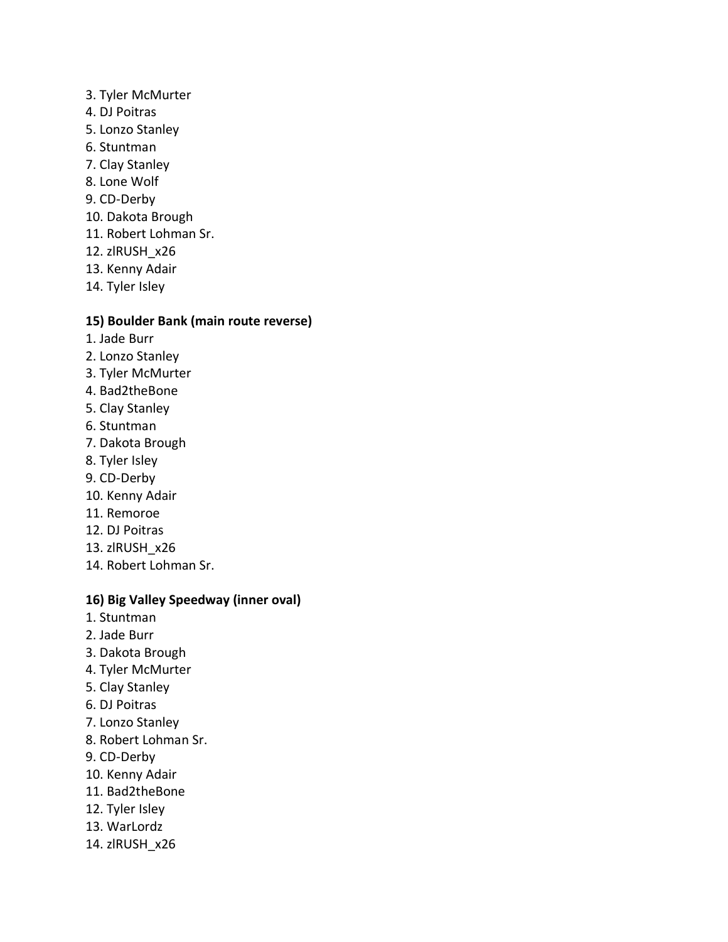- 3. Tyler McMurter
- 4. DJ Poitras
- 5. Lonzo Stanley
- 6. Stuntman
- 7. Clay Stanley
- 8. Lone Wolf
- 9. CD-Derby
- 10. Dakota Brough
- 11. Robert Lohman Sr.
- 12. zlRUSH\_x26
- 13. Kenny Adair
- 14. Tyler Isley

### **15) Boulder Bank (main route reverse)**

- 1. Jade Burr
- 2. Lonzo Stanley
- 3. Tyler McMurter
- 4. Bad2theBone
- 5. Clay Stanley
- 6. Stuntman
- 7. Dakota Brough
- 8. Tyler Isley
- 9. CD-Derby
- 10. Kenny Adair
- 11. Remoroe
- 12. DJ Poitras
- 13. zlRUSH\_x26
- 14. Robert Lohman Sr.

### **16) Big Valley Speedway (inner oval)**

- 1. Stuntman
- 2. Jade Burr
- 3. Dakota Brough
- 4. Tyler McMurter
- 5. Clay Stanley
- 6. DJ Poitras
- 7. Lonzo Stanley
- 8. Robert Lohman Sr.
- 9. CD-Derby
- 10. Kenny Adair
- 11. Bad2theBone
- 12. Tyler Isley
- 13. WarLordz
- 14. zlRUSH\_x26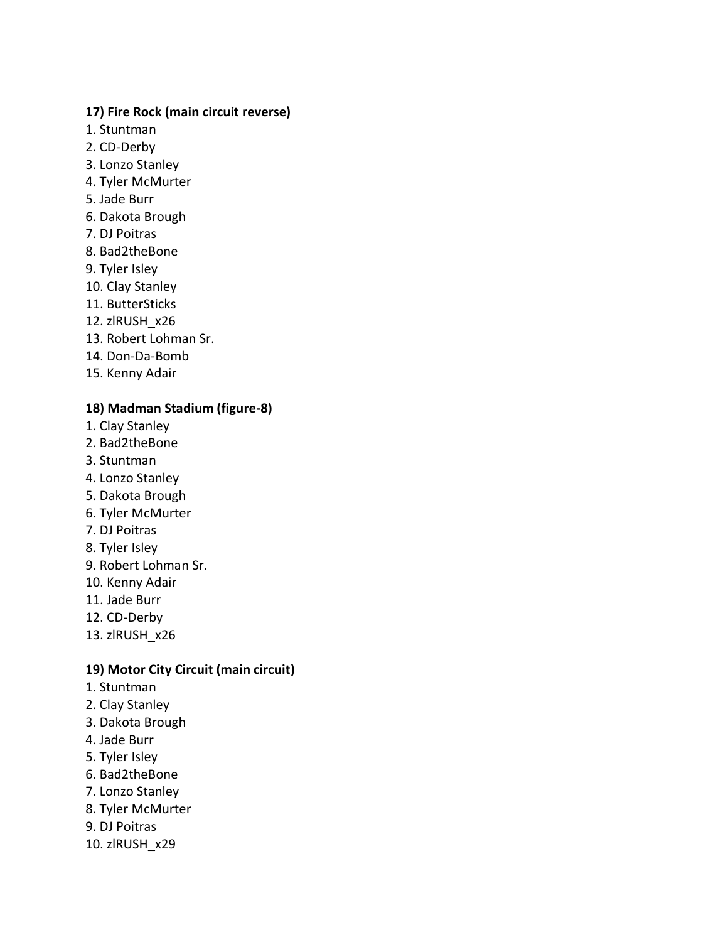### **17) Fire Rock (main circuit reverse)**

- 1. Stuntman
- 2. CD-Derby
- 3. Lonzo Stanley
- 4. Tyler McMurter
- 5. Jade Burr
- 6. Dakota Brough
- 7. DJ Poitras
- 8. Bad2theBone
- 9. Tyler Isley
- 10. Clay Stanley
- 11. ButterSticks
- 12. zlRUSH\_x26
- 13. Robert Lohman Sr.
- 14. Don-Da-Bomb
- 15. Kenny Adair

### **18) Madman Stadium (figure-8)**

- 1. Clay Stanley
- 2. Bad2theBone
- 3. Stuntman
- 4. Lonzo Stanley
- 5. Dakota Brough
- 6. Tyler McMurter
- 7. DJ Poitras
- 8. Tyler Isley
- 9. Robert Lohman Sr.
- 10. Kenny Adair
- 11. Jade Burr
- 12. CD-Derby
- 13. zlRUSH\_x26

### **19) Motor City Circuit (main circuit)**

- 1. Stuntman
- 2. Clay Stanley
- 3. Dakota Brough
- 4. Jade Burr
- 5. Tyler Isley
- 6. Bad2theBone
- 7. Lonzo Stanley
- 8. Tyler McMurter
- 9. DJ Poitras
- 10. zlRUSH\_x29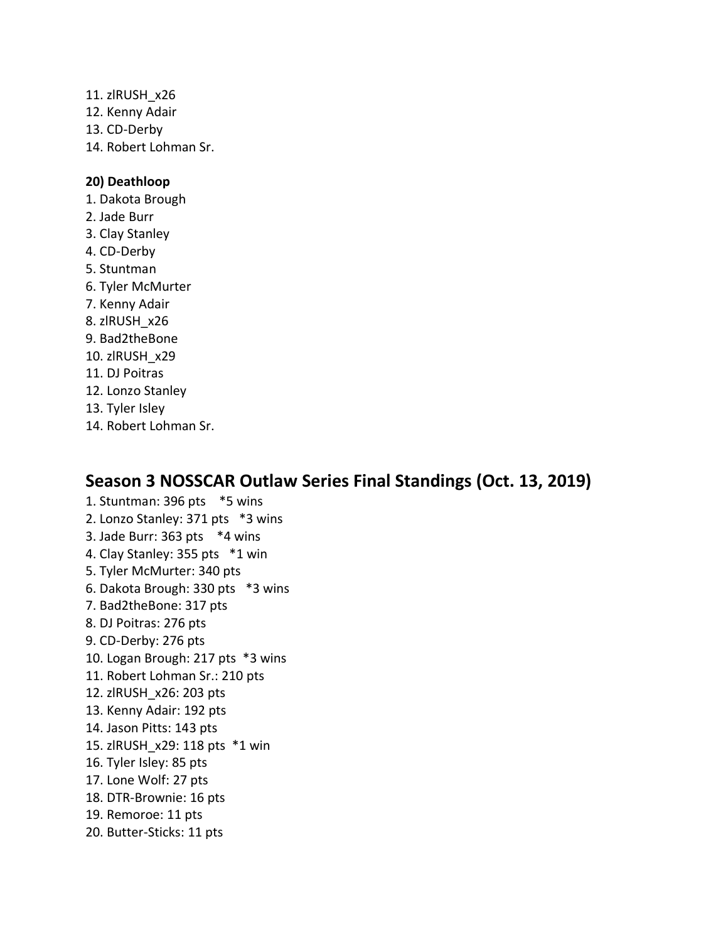11. zlRUSH\_x26 12. Kenny Adair 13. CD-Derby 14. Robert Lohman Sr.

#### **20) Deathloop**

- 1. Dakota Brough
- 2. Jade Burr
- 3. Clay Stanley
- 4. CD-Derby
- 5. Stuntman
- 6. Tyler McMurter
- 7. Kenny Adair
- 8. zlRUSH\_x26
- 9. Bad2theBone
- 10. zlRUSH\_x29
- 11. DJ Poitras
- 12. Lonzo Stanley
- 13. Tyler Isley
- 14. Robert Lohman Sr.

# **Season 3 NOSSCAR Outlaw Series Final Standings (Oct. 13, 2019)**

1. Stuntman: 396 pts \*5 wins 2. Lonzo Stanley: 371 pts \*3 wins 3. Jade Burr: 363 pts \*4 wins 4. Clay Stanley: 355 pts \*1 win 5. Tyler McMurter: 340 pts 6. Dakota Brough: 330 pts \*3 wins 7. Bad2theBone: 317 pts 8. DJ Poitras: 276 pts 9. CD-Derby: 276 pts 10. Logan Brough: 217 pts \*3 wins 11. Robert Lohman Sr.: 210 pts 12. zlRUSH\_x26: 203 pts 13. Kenny Adair: 192 pts 14. Jason Pitts: 143 pts 15. zlRUSH\_x29: 118 pts \*1 win 16. Tyler Isley: 85 pts 17. Lone Wolf: 27 pts 18. DTR-Brownie: 16 pts 19. Remoroe: 11 pts 20. Butter-Sticks: 11 pts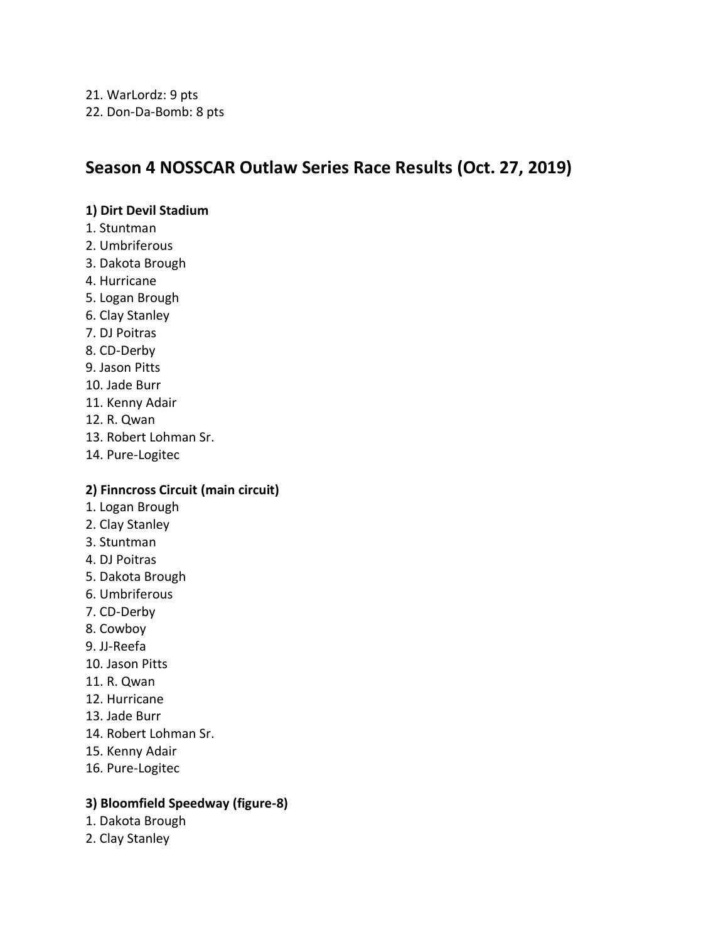# **Season 4 NOSSCAR Outlaw Series Race Results (Oct. 27, 2019)**

## **1) Dirt Devil Stadium**

- 1. Stuntman
- 2. Umbriferous
- 3. Dakota Brough
- 4. Hurricane
- 5. Logan Brough
- 6. Clay Stanley
- 7. DJ Poitras
- 8. CD-Derby
- 9. Jason Pitts
- 10. Jade Burr
- 11. Kenny Adair
- 12. R. Qwan
- 13. Robert Lohman Sr.
- 14. Pure-Logitec

## **2) Finncross Circuit (main circuit)**

- 1. Logan Brough
- 2. Clay Stanley
- 3. Stuntman
- 4. DJ Poitras
- 5. Dakota Brough
- 6. Umbriferous
- 7. CD-Derby
- 8. Cowboy
- 9. JJ-Reefa
- 10. Jason Pitts
- 11. R. Qwan
- 12. Hurricane
- 13. Jade Burr
- 14. Robert Lohman Sr.
- 15. Kenny Adair
- 16. Pure-Logitec

## **3) Bloomfield Speedway (figure-8)**

- 1. Dakota Brough
- 2. Clay Stanley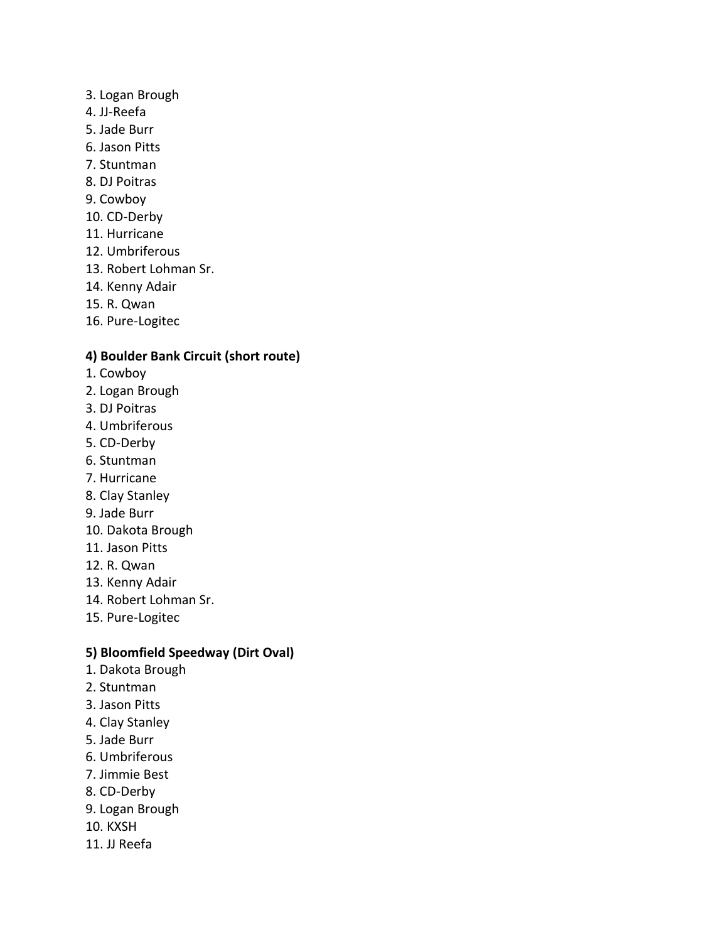- 3. Logan Brough
- 4. JJ-Reefa
- 5. Jade Burr
- 6. Jason Pitts
- 7. Stuntman
- 8. DJ Poitras
- 9. Cowboy
- 10. CD-Derby
- 11. Hurricane
- 12. Umbriferous
- 13. Robert Lohman Sr.
- 14. Kenny Adair
- 15. R. Qwan
- 16. Pure-Logitec

## **4) Boulder Bank Circuit (short route)**

- 1. Cowboy
- 2. Logan Brough
- 3. DJ Poitras
- 4. Umbriferous
- 5. CD-Derby
- 6. Stuntman
- 7. Hurricane
- 8. Clay Stanley
- 9. Jade Burr
- 10. Dakota Brough
- 11. Jason Pitts
- 12. R. Qwan
- 13. Kenny Adair
- 14. Robert Lohman Sr.
- 15. Pure-Logitec

### **5) Bloomfield Speedway (Dirt Oval)**

- 1. Dakota Brough
- 2. Stuntman
- 3. Jason Pitts
- 4. Clay Stanley
- 5. Jade Burr
- 6. Umbriferous
- 7. Jimmie Best
- 8. CD-Derby
- 9. Logan Brough
- 10. KXSH
- 11. JJ Reefa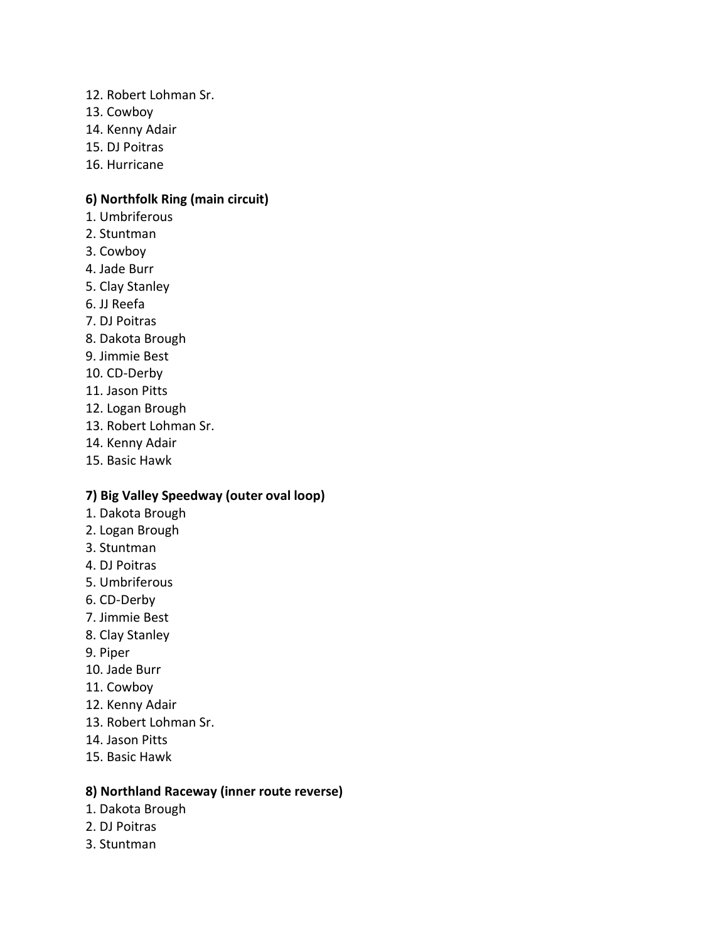- 12. Robert Lohman Sr.
- 13. Cowboy
- 14. Kenny Adair
- 15. DJ Poitras
- 16. Hurricane

### **6) Northfolk Ring (main circuit)**

- 1. Umbriferous
- 2. Stuntman
- 3. Cowboy
- 4. Jade Burr
- 5. Clay Stanley
- 6. JJ Reefa
- 7. DJ Poitras
- 8. Dakota Brough
- 9. Jimmie Best
- 10. CD-Derby
- 11. Jason Pitts
- 12. Logan Brough
- 13. Robert Lohman Sr.
- 14. Kenny Adair
- 15. Basic Hawk

## **7) Big Valley Speedway (outer oval loop)**

- 1. Dakota Brough
- 2. Logan Brough
- 3. Stuntman
- 4. DJ Poitras
- 5. Umbriferous
- 6. CD-Derby
- 7. Jimmie Best
- 8. Clay Stanley
- 9. Piper
- 10. Jade Burr
- 11. Cowboy
- 12. Kenny Adair
- 13. Robert Lohman Sr.
- 14. Jason Pitts
- 15. Basic Hawk

### **8) Northland Raceway (inner route reverse)**

- 1. Dakota Brough
- 2. DJ Poitras
- 3. Stuntman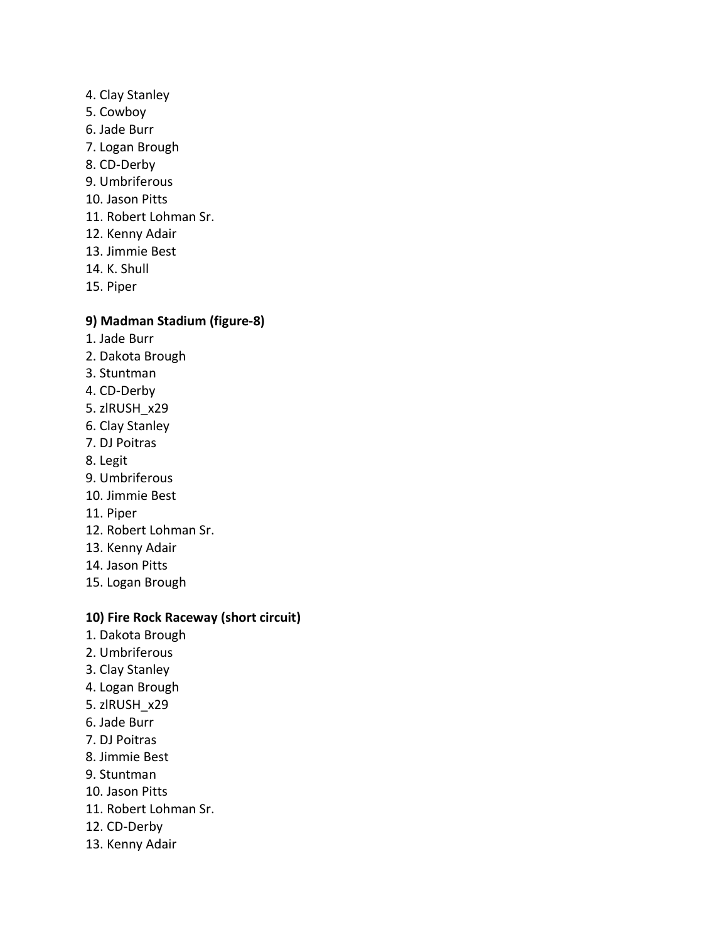- 4. Clay Stanley
- 5. Cowboy
- 6. Jade Burr
- 7. Logan Brough
- 8. CD-Derby
- 9. Umbriferous
- 10. Jason Pitts
- 11. Robert Lohman Sr.
- 12. Kenny Adair
- 13. Jimmie Best
- 14. K. Shull
- 15. Piper

## **9) Madman Stadium (figure-8)**

- 1. Jade Burr
- 2. Dakota Brough
- 3. Stuntman
- 4. CD-Derby
- 5. zlRUSH\_x29
- 6. Clay Stanley
- 7. DJ Poitras
- 8. Legit
- 9. Umbriferous
- 10. Jimmie Best
- 11. Piper
- 12. Robert Lohman Sr.
- 13. Kenny Adair
- 14. Jason Pitts
- 15. Logan Brough

## **10) Fire Rock Raceway (short circuit)**

- 1. Dakota Brough
- 2. Umbriferous
- 3. Clay Stanley
- 4. Logan Brough
- 5. zlRUSH\_x29
- 6. Jade Burr
- 7. DJ Poitras
- 8. Jimmie Best
- 9. Stuntman
- 10. Jason Pitts
- 11. Robert Lohman Sr.
- 12. CD-Derby
- 13. Kenny Adair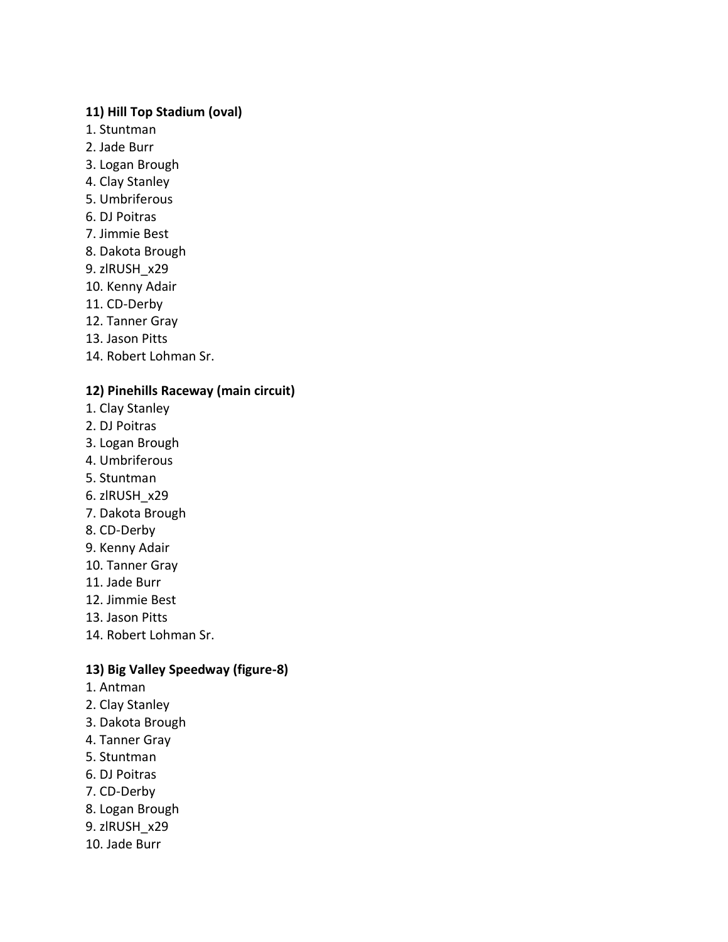### **11) Hill Top Stadium (oval)**

- 1. Stuntman
- 2. Jade Burr
- 3. Logan Brough
- 4. Clay Stanley
- 5. Umbriferous
- 6. DJ Poitras
- 7. Jimmie Best
- 8. Dakota Brough
- 9. zlRUSH\_x29
- 10. Kenny Adair
- 11. CD-Derby
- 12. Tanner Gray
- 13. Jason Pitts
- 14. Robert Lohman Sr.

## **12) Pinehills Raceway (main circuit)**

- 1. Clay Stanley
- 2. DJ Poitras
- 3. Logan Brough
- 4. Umbriferous
- 5. Stuntman
- 6. zlRUSH\_x29
- 7. Dakota Brough
- 8. CD-Derby
- 9. Kenny Adair
- 10. Tanner Gray
- 11. Jade Burr
- 12. Jimmie Best
- 13. Jason Pitts
- 14. Robert Lohman Sr.

## **13) Big Valley Speedway (figure-8)**

- 1. Antman
- 2. Clay Stanley
- 3. Dakota Brough
- 4. Tanner Gray
- 5. Stuntman
- 6. DJ Poitras
- 7. CD-Derby
- 8. Logan Brough
- 9. zlRUSH\_x29
- 10. Jade Burr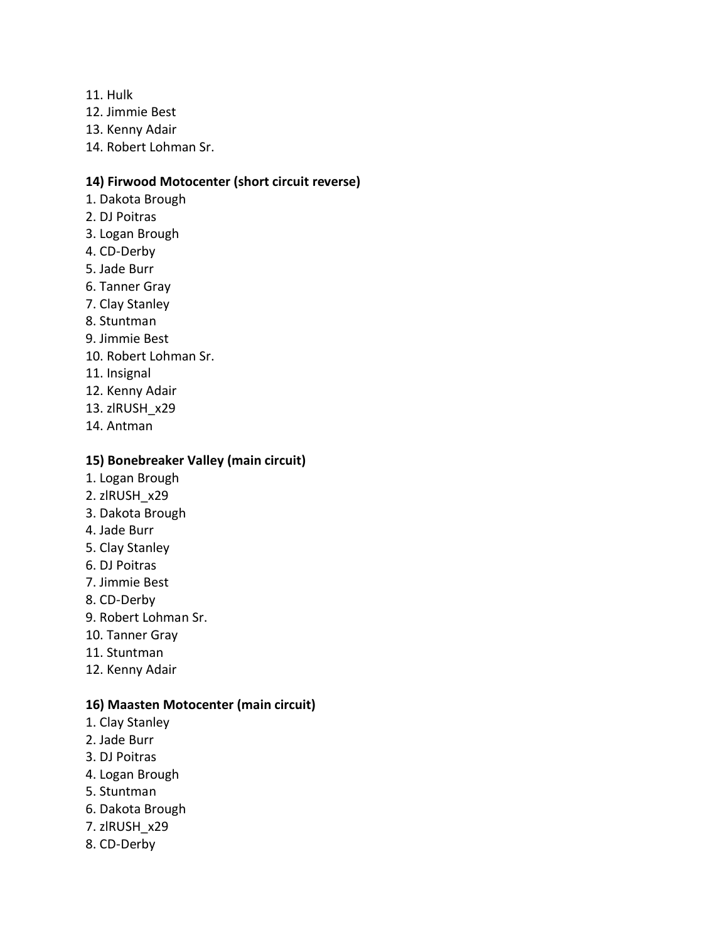- 11. Hulk
- 12. Jimmie Best
- 13. Kenny Adair
- 14. Robert Lohman Sr.

#### **14) Firwood Motocenter (short circuit reverse)**

- 1. Dakota Brough
- 2. DJ Poitras
- 3. Logan Brough
- 4. CD-Derby
- 5. Jade Burr
- 6. Tanner Gray
- 7. Clay Stanley
- 8. Stuntman
- 9. Jimmie Best
- 10. Robert Lohman Sr.
- 11. Insignal
- 12. Kenny Adair
- 13. zlRUSH\_x29
- 14. Antman

#### **15) Bonebreaker Valley (main circuit)**

- 1. Logan Brough
- 2. zlRUSH\_x29
- 3. Dakota Brough
- 4. Jade Burr
- 5. Clay Stanley
- 6. DJ Poitras
- 7. Jimmie Best
- 8. CD-Derby
- 9. Robert Lohman Sr.
- 10. Tanner Gray
- 11. Stuntman
- 12. Kenny Adair

#### **16) Maasten Motocenter (main circuit)**

- 1. Clay Stanley
- 2. Jade Burr
- 3. DJ Poitras
- 4. Logan Brough
- 5. Stuntman
- 6. Dakota Brough
- 7. zlRUSH\_x29
- 8. CD-Derby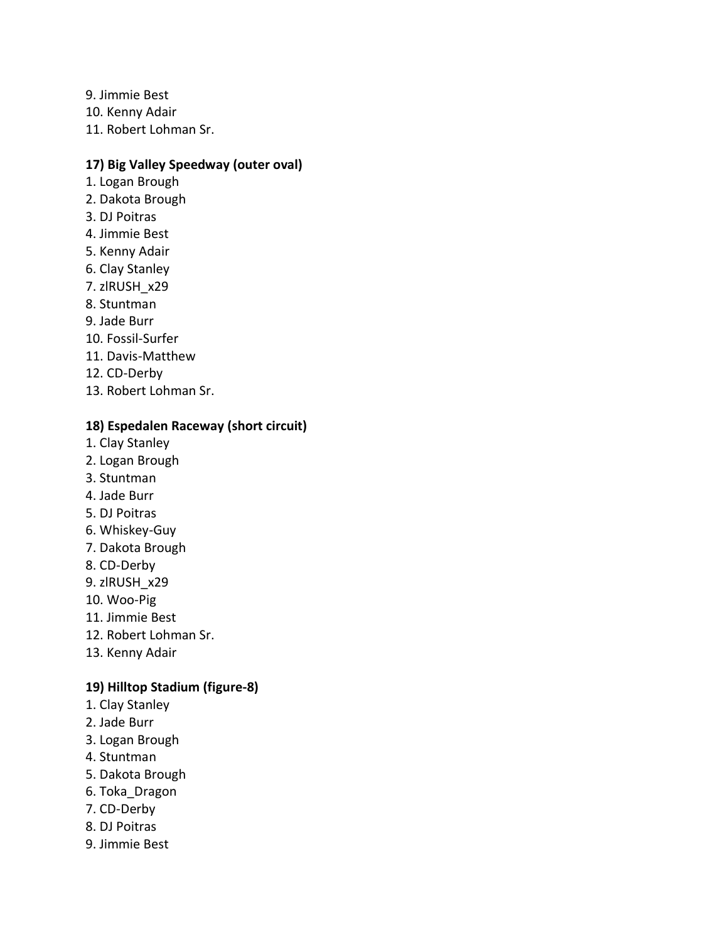9. Jimmie Best 10. Kenny Adair 11. Robert Lohman Sr.

#### **17) Big Valley Speedway (outer oval)**

- 1. Logan Brough
- 2. Dakota Brough
- 3. DJ Poitras
- 4. Jimmie Best
- 5. Kenny Adair
- 6. Clay Stanley
- 7. zlRUSH\_x29
- 8. Stuntman
- 9. Jade Burr
- 10. Fossil-Surfer
- 11. Davis-Matthew
- 12. CD-Derby
- 13. Robert Lohman Sr.

#### **18) Espedalen Raceway (short circuit)**

- 1. Clay Stanley
- 2. Logan Brough
- 3. Stuntman
- 4. Jade Burr
- 5. DJ Poitras
- 6. Whiskey-Guy
- 7. Dakota Brough
- 8. CD-Derby
- 9. zlRUSH\_x29
- 10. Woo-Pig
- 11. Jimmie Best
- 12. Robert Lohman Sr.
- 13. Kenny Adair

#### **19) Hilltop Stadium (figure-8)**

- 1. Clay Stanley
- 2. Jade Burr
- 3. Logan Brough
- 4. Stuntman
- 5. Dakota Brough
- 6. Toka\_Dragon
- 7. CD-Derby
- 8. DJ Poitras
- 9. Jimmie Best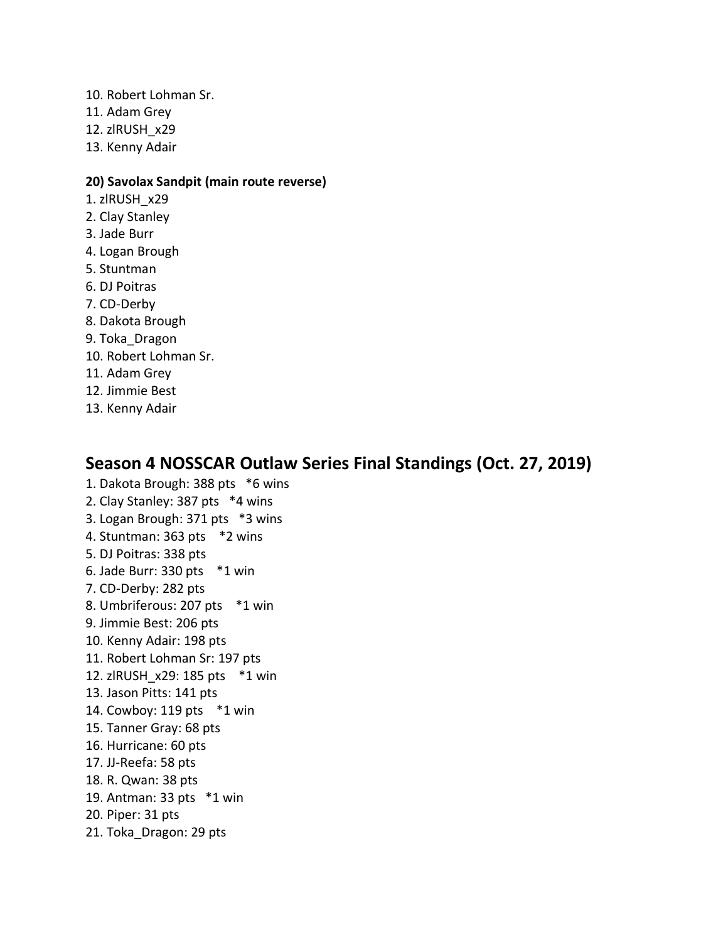- 10. Robert Lohman Sr.
- 11. Adam Grey
- 12. zlRUSH\_x29
- 13. Kenny Adair

#### **20) Savolax Sandpit (main route reverse)**

- 1. zlRUSH\_x29
- 2. Clay Stanley
- 3. Jade Burr
- 4. Logan Brough
- 5. Stuntman
- 6. DJ Poitras
- 7. CD-Derby
- 8. Dakota Brough
- 9. Toka\_Dragon
- 10. Robert Lohman Sr.
- 11. Adam Grey
- 12. Jimmie Best
- 13. Kenny Adair

## **Season 4 NOSSCAR Outlaw Series Final Standings (Oct. 27, 2019)**

1. Dakota Brough: 388 pts \*6 wins 2. Clay Stanley: 387 pts \*4 wins 3. Logan Brough: 371 pts \*3 wins 4. Stuntman: 363 pts \*2 wins 5. DJ Poitras: 338 pts 6. Jade Burr: 330 pts \*1 win 7. CD-Derby: 282 pts 8. Umbriferous: 207 pts \*1 win 9. Jimmie Best: 206 pts 10. Kenny Adair: 198 pts 11. Robert Lohman Sr: 197 pts 12. zlRUSH\_x29: 185 pts \*1 win 13. Jason Pitts: 141 pts 14. Cowboy: 119 pts \*1 win 15. Tanner Gray: 68 pts 16. Hurricane: 60 pts 17. JJ-Reefa: 58 pts 18. R. Qwan: 38 pts 19. Antman: 33 pts \*1 win 20. Piper: 31 pts 21. Toka\_Dragon: 29 pts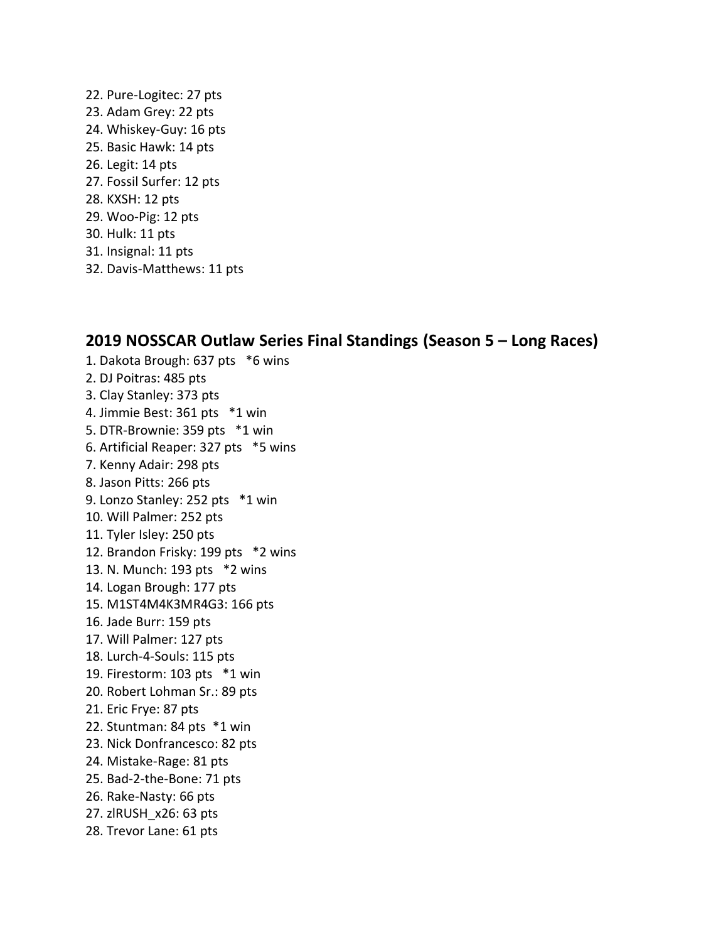22. Pure-Logitec: 27 pts 23. Adam Grey: 22 pts 24. Whiskey-Guy: 16 pts 25. Basic Hawk: 14 pts 26. Legit: 14 pts 27. Fossil Surfer: 12 pts 28. KXSH: 12 pts 29. Woo-Pig: 12 pts 30. Hulk: 11 pts 31. Insignal: 11 pts 32. Davis-Matthews: 11 pts

## **2019 NOSSCAR Outlaw Series Final Standings (Season 5 – Long Races)**

1. Dakota Brough: 637 pts \*6 wins 2. DJ Poitras: 485 pts 3. Clay Stanley: 373 pts 4. Jimmie Best: 361 pts \*1 win 5. DTR-Brownie: 359 pts \*1 win 6. Artificial Reaper: 327 pts \*5 wins 7. Kenny Adair: 298 pts 8. Jason Pitts: 266 pts 9. Lonzo Stanley: 252 pts \*1 win 10. Will Palmer: 252 pts 11. Tyler Isley: 250 pts 12. Brandon Frisky: 199 pts \*2 wins 13. N. Munch: 193 pts \*2 wins 14. Logan Brough: 177 pts 15. M1ST4M4K3MR4G3: 166 pts 16. Jade Burr: 159 pts 17. Will Palmer: 127 pts 18. Lurch-4-Souls: 115 pts 19. Firestorm: 103 pts \*1 win 20. Robert Lohman Sr.: 89 pts 21. Eric Frye: 87 pts 22. Stuntman: 84 pts \*1 win 23. Nick Donfrancesco: 82 pts 24. Mistake-Rage: 81 pts 25. Bad-2-the-Bone: 71 pts 26. Rake-Nasty: 66 pts 27. zlRUSH\_x26: 63 pts 28. Trevor Lane: 61 pts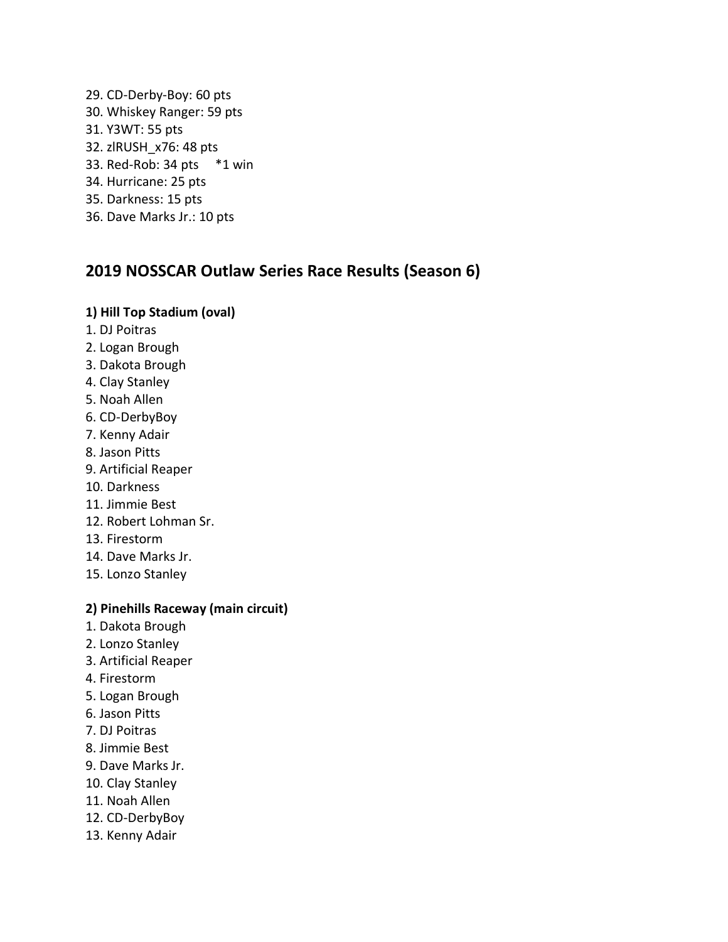29. CD-Derby-Boy: 60 pts 30. Whiskey Ranger: 59 pts 31. Y3WT: 55 pts 32. zlRUSH\_x76: 48 pts 33. Red-Rob: 34 pts \*1 win 34. Hurricane: 25 pts 35. Darkness: 15 pts 36. Dave Marks Jr.: 10 pts

# **2019 NOSSCAR Outlaw Series Race Results (Season 6)**

### **1) Hill Top Stadium (oval)**

- 1. DJ Poitras
- 2. Logan Brough
- 3. Dakota Brough
- 4. Clay Stanley
- 5. Noah Allen
- 6. CD-DerbyBoy
- 7. Kenny Adair
- 8. Jason Pitts
- 9. Artificial Reaper
- 10. Darkness
- 11. Jimmie Best
- 12. Robert Lohman Sr.
- 13. Firestorm
- 14. Dave Marks Jr.
- 15. Lonzo Stanley

### **2) Pinehills Raceway (main circuit)**

- 1. Dakota Brough
- 2. Lonzo Stanley
- 3. Artificial Reaper
- 4. Firestorm
- 5. Logan Brough
- 6. Jason Pitts
- 7. DJ Poitras
- 8. Jimmie Best
- 9. Dave Marks Jr.
- 10. Clay Stanley
- 11. Noah Allen
- 12. CD-DerbyBoy
- 13. Kenny Adair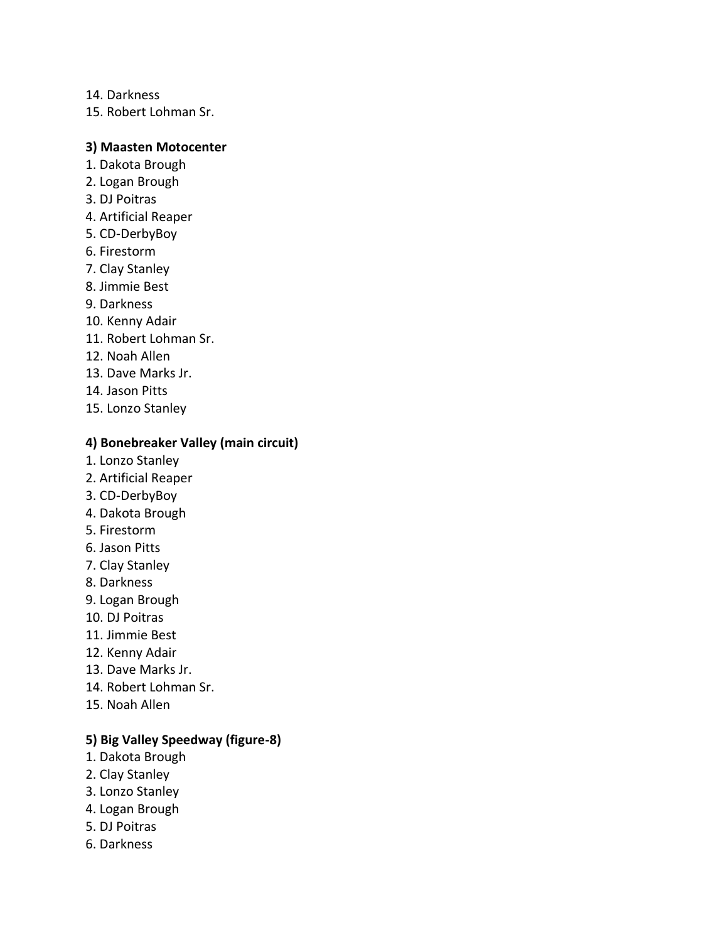14. Darkness

15. Robert Lohman Sr.

#### **3) Maasten Motocenter**

- 1. Dakota Brough
- 2. Logan Brough
- 3. DJ Poitras
- 4. Artificial Reaper
- 5. CD-DerbyBoy
- 6. Firestorm
- 7. Clay Stanley
- 8. Jimmie Best
- 9. Darkness
- 10. Kenny Adair
- 11. Robert Lohman Sr.
- 12. Noah Allen
- 13. Dave Marks Jr.
- 14. Jason Pitts
- 15. Lonzo Stanley

### **4) Bonebreaker Valley (main circuit)**

- 1. Lonzo Stanley
- 2. Artificial Reaper
- 3. CD-DerbyBoy
- 4. Dakota Brough
- 5. Firestorm
- 6. Jason Pitts
- 7. Clay Stanley
- 8. Darkness
- 9. Logan Brough
- 10. DJ Poitras
- 11. Jimmie Best
- 12. Kenny Adair
- 13. Dave Marks Jr.
- 14. Robert Lohman Sr.
- 15. Noah Allen

### **5) Big Valley Speedway (figure-8)**

- 1. Dakota Brough
- 2. Clay Stanley
- 3. Lonzo Stanley
- 4. Logan Brough
- 5. DJ Poitras
- 6. Darkness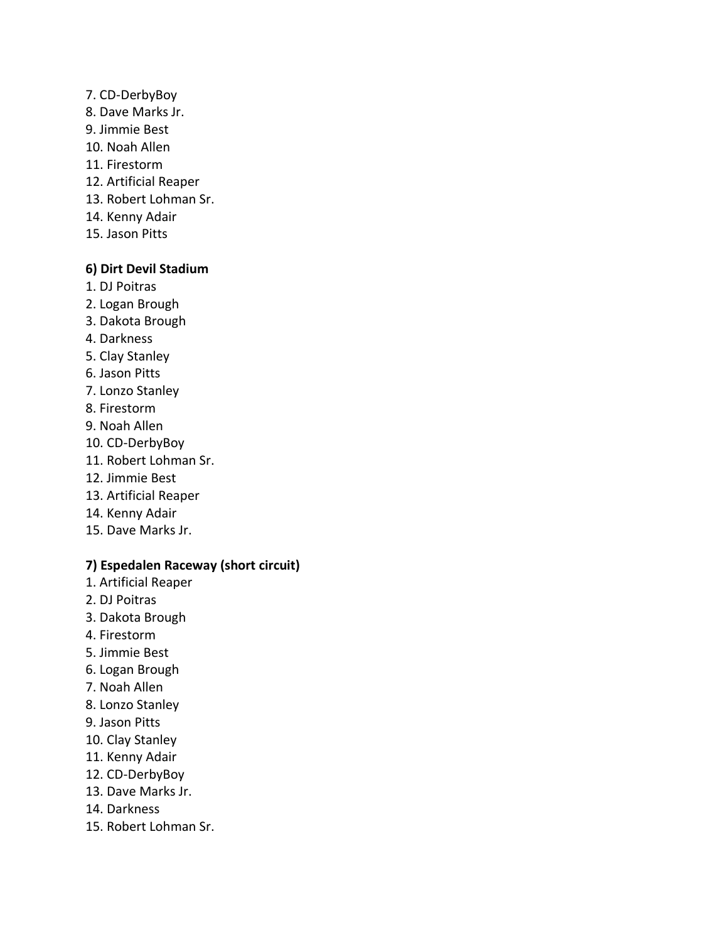- 7. CD-DerbyBoy
- 8. Dave Marks Jr.
- 9. Jimmie Best
- 10. Noah Allen
- 11. Firestorm
- 12. Artificial Reaper
- 13. Robert Lohman Sr.
- 14. Kenny Adair
- 15. Jason Pitts

## **6) Dirt Devil Stadium**

- 1. DJ Poitras
- 2. Logan Brough
- 3. Dakota Brough
- 4. Darkness
- 5. Clay Stanley
- 6. Jason Pitts
- 7. Lonzo Stanley
- 8. Firestorm
- 9. Noah Allen
- 10. CD-DerbyBoy
- 11. Robert Lohman Sr.
- 12. Jimmie Best
- 13. Artificial Reaper
- 14. Kenny Adair
- 15. Dave Marks Jr.

## **7) Espedalen Raceway (short circuit)**

- 1. Artificial Reaper
- 2. DJ Poitras
- 3. Dakota Brough
- 4. Firestorm
- 5. Jimmie Best
- 6. Logan Brough
- 7. Noah Allen
- 8. Lonzo Stanley
- 9. Jason Pitts
- 10. Clay Stanley
- 11. Kenny Adair
- 12. CD-DerbyBoy
- 13. Dave Marks Jr.
- 14. Darkness
- 15. Robert Lohman Sr.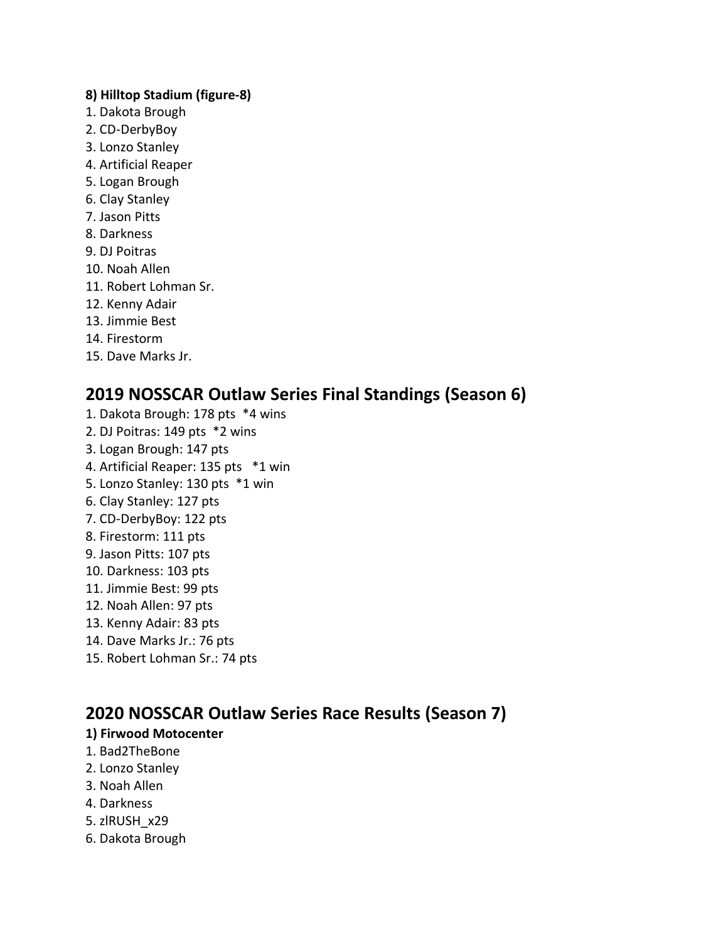## **8) Hilltop Stadium (figure-8)**

- 1. Dakota Brough
- 2. CD-DerbyBoy
- 3. Lonzo Stanley
- 4. Artificial Reaper
- 5. Logan Brough
- 6. Clay Stanley
- 7. Jason Pitts
- 8. Darkness
- 9. DJ Poitras
- 10. Noah Allen
- 11. Robert Lohman Sr.
- 12. Kenny Adair
- 13. Jimmie Best
- 14. Firestorm
- 15. Dave Marks Jr.

## **2019 NOSSCAR Outlaw Series Final Standings (Season 6)**

- 1. Dakota Brough: 178 pts \*4 wins
- 2. DJ Poitras: 149 pts \*2 wins
- 3. Logan Brough: 147 pts
- 4. Artificial Reaper: 135 pts \*1 win
- 5. Lonzo Stanley: 130 pts \*1 win
- 6. Clay Stanley: 127 pts
- 7. CD-DerbyBoy: 122 pts
- 8. Firestorm: 111 pts
- 9. Jason Pitts: 107 pts
- 10. Darkness: 103 pts
- 11. Jimmie Best: 99 pts
- 12. Noah Allen: 97 pts
- 13. Kenny Adair: 83 pts
- 14. Dave Marks Jr.: 76 pts
- 15. Robert Lohman Sr.: 74 pts

# **2020 NOSSCAR Outlaw Series Race Results (Season 7)**

## **1) Firwood Motocenter**

- 1. Bad2TheBone
- 2. Lonzo Stanley
- 3. Noah Allen
- 4. Darkness
- 5. zlRUSH\_x29
- 6. Dakota Brough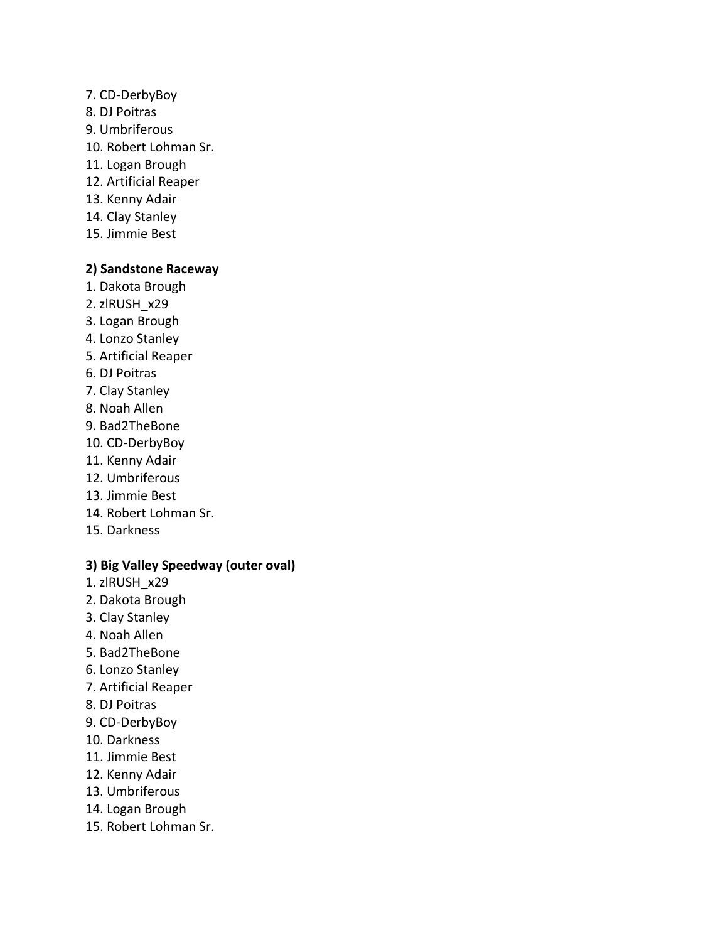- 7. CD-DerbyBoy
- 8. DJ Poitras
- 9. Umbriferous
- 10. Robert Lohman Sr.
- 11. Logan Brough
- 12. Artificial Reaper
- 13. Kenny Adair
- 14. Clay Stanley
- 15. Jimmie Best

## **2) Sandstone Raceway**

- 1. Dakota Brough
- 2. zlRUSH\_x29
- 3. Logan Brough
- 4. Lonzo Stanley
- 5. Artificial Reaper
- 6. DJ Poitras
- 7. Clay Stanley
- 8. Noah Allen
- 9. Bad2TheBone
- 10. CD-DerbyBoy
- 11. Kenny Adair
- 12. Umbriferous
- 13. Jimmie Best
- 14. Robert Lohman Sr.
- 15. Darkness

## **3) Big Valley Speedway (outer oval)**

- 1. zlRUSH\_x29
- 2. Dakota Brough
- 3. Clay Stanley
- 4. Noah Allen
- 5. Bad2TheBone
- 6. Lonzo Stanley
- 7. Artificial Reaper
- 8. DJ Poitras
- 9. CD-DerbyBoy
- 10. Darkness
- 11. Jimmie Best
- 12. Kenny Adair
- 13. Umbriferous
- 14. Logan Brough
- 15. Robert Lohman Sr.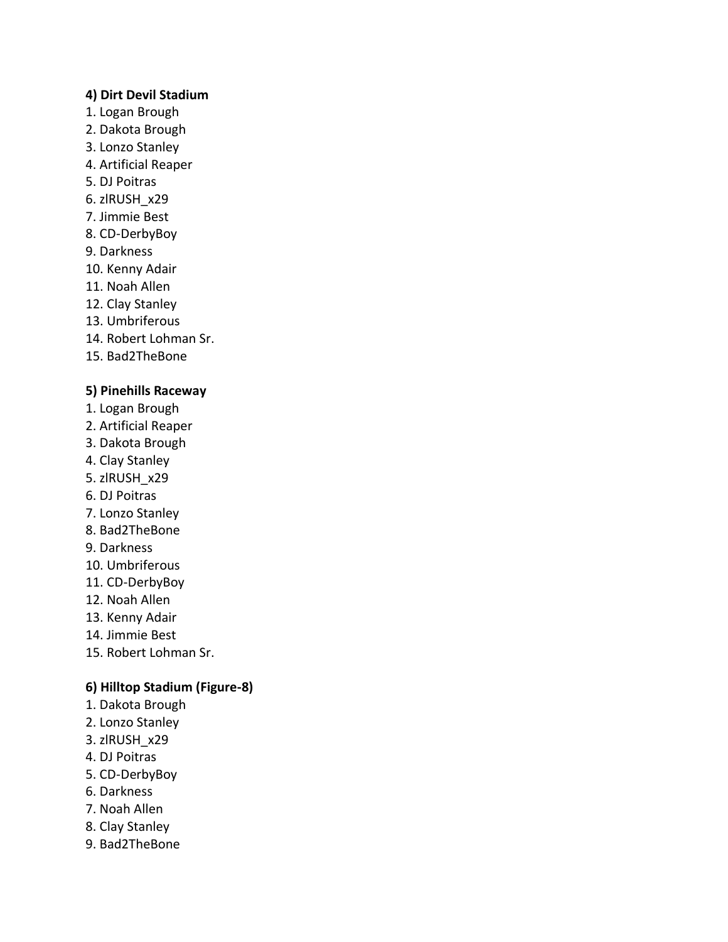#### **4) Dirt Devil Stadium**

- 1. Logan Brough
- 2. Dakota Brough
- 3. Lonzo Stanley
- 4. Artificial Reaper
- 5. DJ Poitras
- 6. zlRUSH\_x29
- 7. Jimmie Best
- 8. CD-DerbyBoy
- 9. Darkness
- 10. Kenny Adair
- 11. Noah Allen
- 12. Clay Stanley
- 13. Umbriferous
- 14. Robert Lohman Sr.
- 15. Bad2TheBone

#### **5) Pinehills Raceway**

- 1. Logan Brough
- 2. Artificial Reaper
- 3. Dakota Brough
- 4. Clay Stanley
- 5. zlRUSH\_x29
- 6. DJ Poitras
- 7. Lonzo Stanley
- 8. Bad2TheBone
- 9. Darkness
- 10. Umbriferous
- 11. CD-DerbyBoy
- 12. Noah Allen
- 13. Kenny Adair
- 14. Jimmie Best
- 15. Robert Lohman Sr.

#### **6) Hilltop Stadium (Figure-8)**

- 1. Dakota Brough
- 2. Lonzo Stanley
- 3. zlRUSH\_x29
- 4. DJ Poitras
- 5. CD-DerbyBoy
- 6. Darkness
- 7. Noah Allen
- 8. Clay Stanley
- 9. Bad2TheBone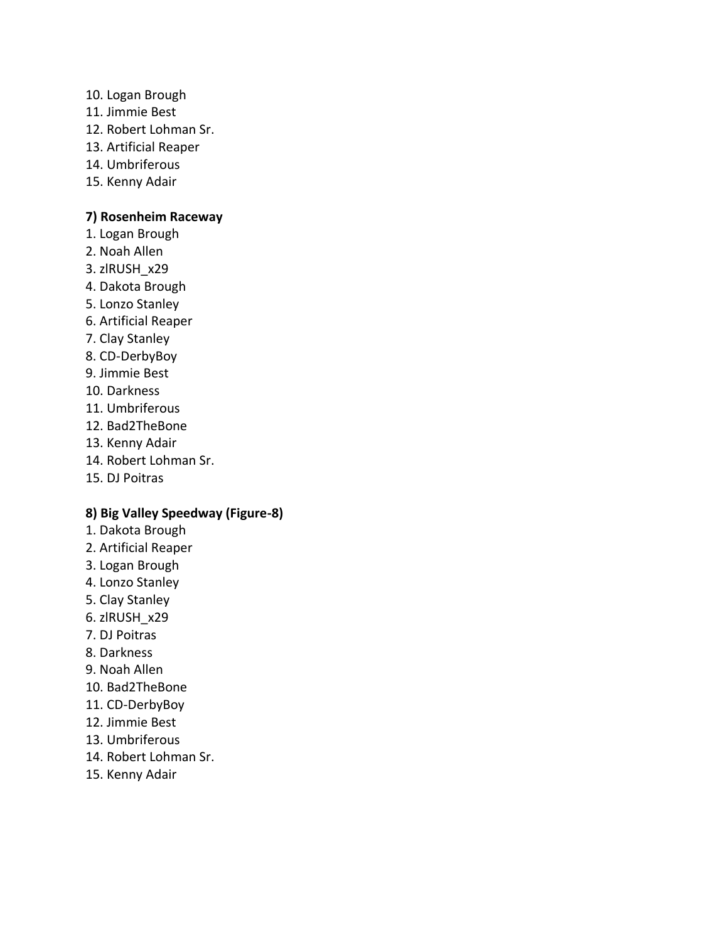- 10. Logan Brough
- 11. Jimmie Best
- 12. Robert Lohman Sr.
- 13. Artificial Reaper
- 14. Umbriferous
- 15. Kenny Adair

## **7) Rosenheim Raceway**

- 1. Logan Brough
- 2. Noah Allen
- 3. zlRUSH\_x29
- 4. Dakota Brough
- 5. Lonzo Stanley
- 6. Artificial Reaper
- 7. Clay Stanley
- 8. CD-DerbyBoy
- 9. Jimmie Best
- 10. Darkness
- 11. Umbriferous
- 12. Bad2TheBone
- 13. Kenny Adair
- 14. Robert Lohman Sr.
- 15. DJ Poitras

## **8) Big Valley Speedway (Figure-8)**

- 1. Dakota Brough
- 2. Artificial Reaper
- 3. Logan Brough
- 4. Lonzo Stanley
- 5. Clay Stanley
- 6. zlRUSH\_x29
- 7. DJ Poitras
- 8. Darkness
- 9. Noah Allen
- 10. Bad2TheBone
- 11. CD-DerbyBoy
- 12. Jimmie Best
- 13. Umbriferous
- 14. Robert Lohman Sr.
- 15. Kenny Adair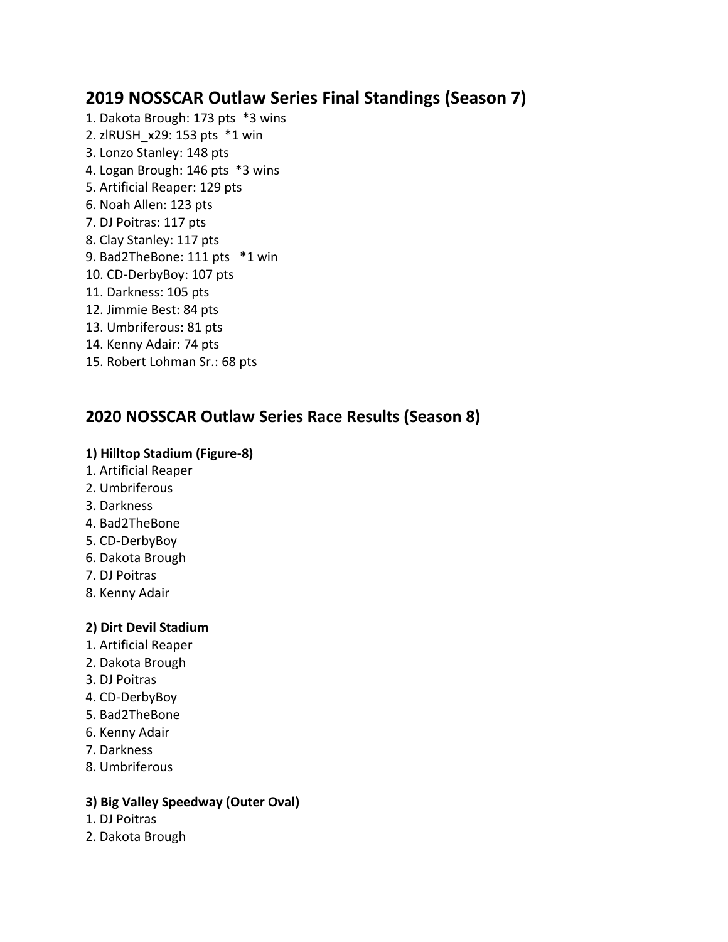# **2019 NOSSCAR Outlaw Series Final Standings (Season 7)**

1. Dakota Brough: 173 pts \*3 wins 2. zlRUSH\_x29: 153 pts \*1 win 3. Lonzo Stanley: 148 pts 4. Logan Brough: 146 pts \*3 wins 5. Artificial Reaper: 129 pts 6. Noah Allen: 123 pts 7. DJ Poitras: 117 pts 8. Clay Stanley: 117 pts 9. Bad2TheBone: 111 pts \*1 win 10. CD-DerbyBoy: 107 pts 11. Darkness: 105 pts 12. Jimmie Best: 84 pts 13. Umbriferous: 81 pts 14. Kenny Adair: 74 pts 15. Robert Lohman Sr.: 68 pts

# **2020 NOSSCAR Outlaw Series Race Results (Season 8)**

## **1) Hilltop Stadium (Figure-8)**

- 1. Artificial Reaper
- 2. Umbriferous
- 3. Darkness
- 4. Bad2TheBone
- 5. CD-DerbyBoy
- 6. Dakota Brough
- 7. DJ Poitras
- 8. Kenny Adair

## **2) Dirt Devil Stadium**

- 1. Artificial Reaper
- 2. Dakota Brough
- 3. DJ Poitras
- 4. CD-DerbyBoy
- 5. Bad2TheBone
- 6. Kenny Adair
- 7. Darkness
- 8. Umbriferous

## **3) Big Valley Speedway (Outer Oval)**

- 1. DJ Poitras
- 2. Dakota Brough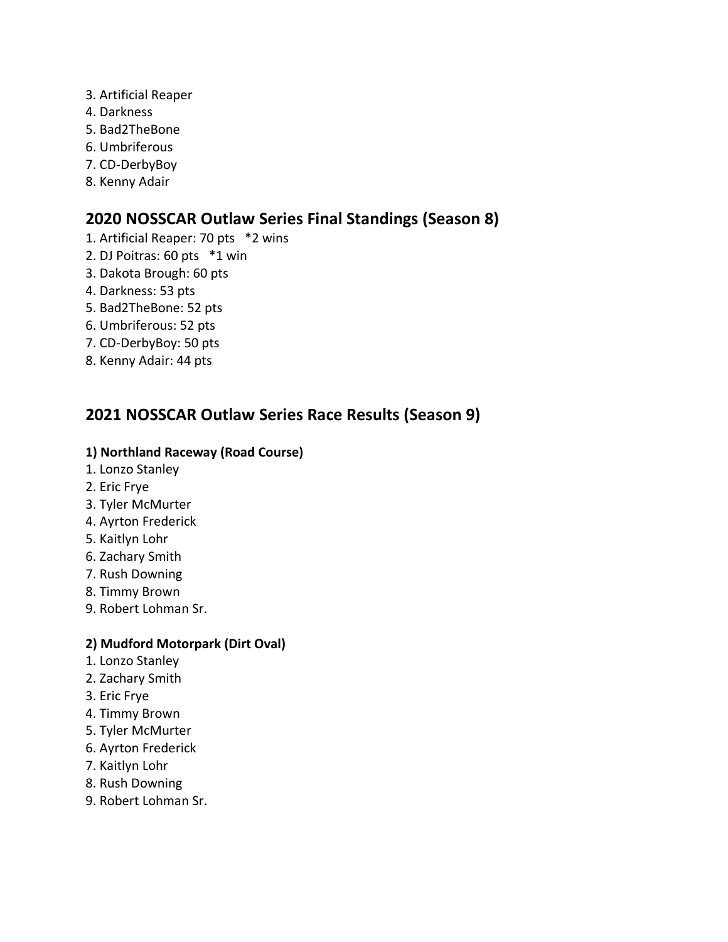- 3. Artificial Reaper
- 4. Darkness
- 5. Bad2TheBone
- 6. Umbriferous
- 7. CD-DerbyBoy
- 8. Kenny Adair

# **2020 NOSSCAR Outlaw Series Final Standings (Season 8)**

- 1. Artificial Reaper: 70 pts \*2 wins
- 2. DJ Poitras: 60 pts \*1 win
- 3. Dakota Brough: 60 pts
- 4. Darkness: 53 pts
- 5. Bad2TheBone: 52 pts
- 6. Umbriferous: 52 pts
- 7. CD-DerbyBoy: 50 pts
- 8. Kenny Adair: 44 pts

# **2021 NOSSCAR Outlaw Series Race Results (Season 9)**

## **1) Northland Raceway (Road Course)**

- 1. Lonzo Stanley
- 2. Eric Frye
- 3. Tyler McMurter
- 4. Ayrton Frederick
- 5. Kaitlyn Lohr
- 6. Zachary Smith
- 7. Rush Downing
- 8. Timmy Brown
- 9. Robert Lohman Sr.

### **2) Mudford Motorpark (Dirt Oval)**

- 1. Lonzo Stanley
- 2. Zachary Smith
- 3. Eric Frye
- 4. Timmy Brown
- 5. Tyler McMurter
- 6. Ayrton Frederick
- 7. Kaitlyn Lohr
- 8. Rush Downing
- 9. Robert Lohman Sr.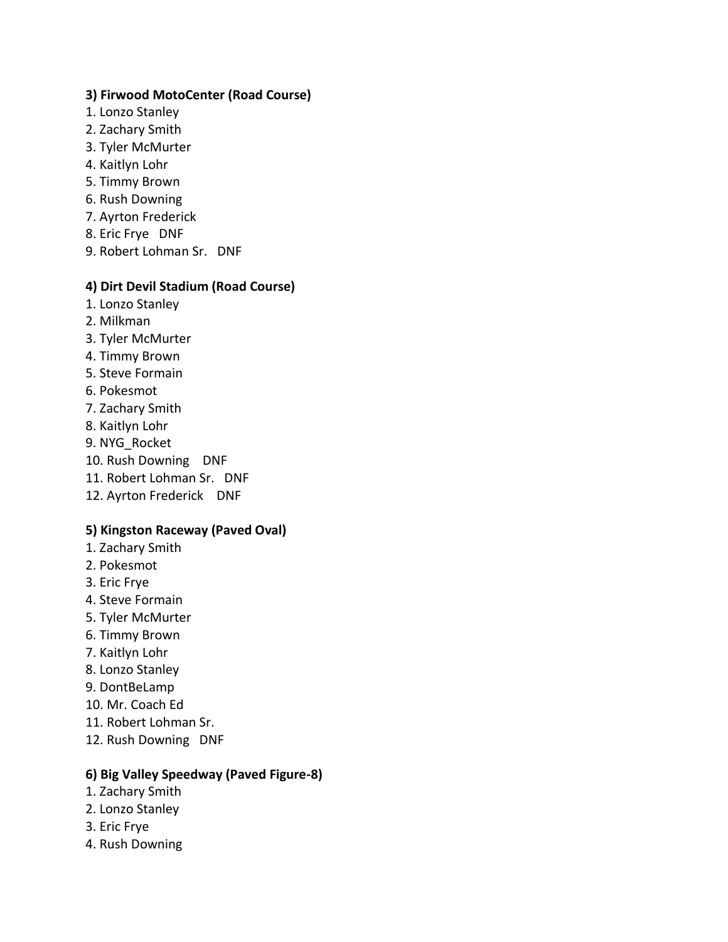### **3) Firwood MotoCenter (Road Course)**

- 1. Lonzo Stanley
- 2. Zachary Smith
- 3. Tyler McMurter
- 4. Kaitlyn Lohr
- 5. Timmy Brown
- 6. Rush Downing
- 7. Ayrton Frederick
- 8. Eric Frye DNF
- 9. Robert Lohman Sr. DNF

## **4) Dirt Devil Stadium (Road Course)**

- 1. Lonzo Stanley
- 2. Milkman
- 3. Tyler McMurter
- 4. Timmy Brown
- 5. Steve Formain
- 6. Pokesmot
- 7. Zachary Smith
- 8. Kaitlyn Lohr
- 9. NYG\_Rocket
- 10. Rush Downing DNF
- 11. Robert Lohman Sr. DNF
- 12. Ayrton Frederick DNF

## **5) Kingston Raceway (Paved Oval)**

- 1. Zachary Smith
- 2. Pokesmot
- 3. Eric Frye
- 4. Steve Formain
- 5. Tyler McMurter
- 6. Timmy Brown
- 7. Kaitlyn Lohr
- 8. Lonzo Stanley
- 9. DontBeLamp
- 10. Mr. Coach Ed
- 11. Robert Lohman Sr.
- 12. Rush Downing DNF

# **6) Big Valley Speedway (Paved Figure-8)**

- 1. Zachary Smith
- 2. Lonzo Stanley
- 3. Eric Frye
- 4. Rush Downing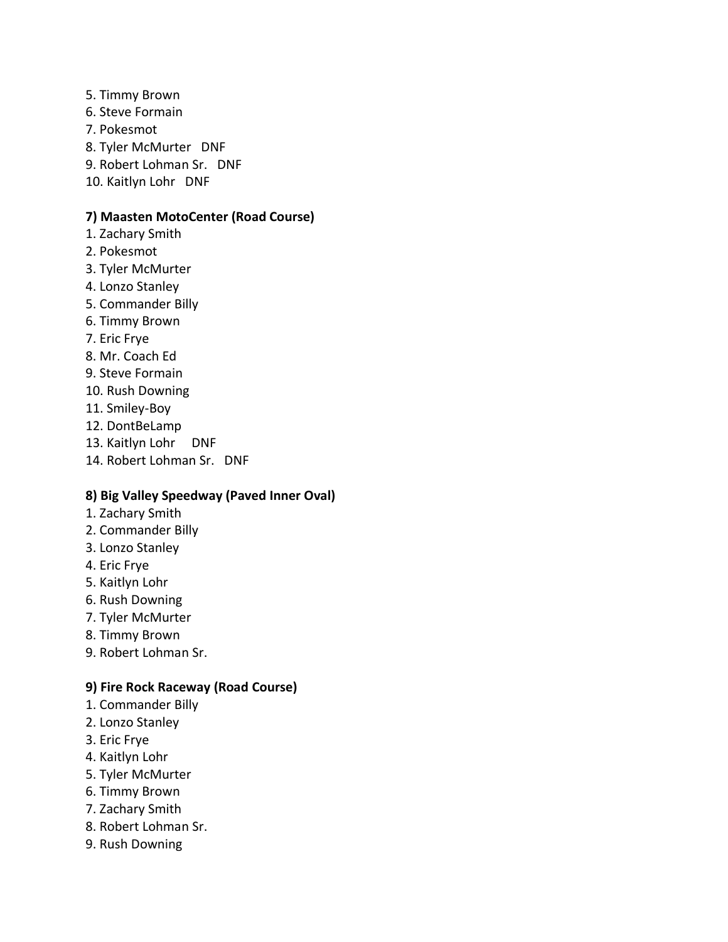5. Timmy Brown 6. Steve Formain 7. Pokesmot 8. Tyler McMurter DNF 9. Robert Lohman Sr. DNF 10. Kaitlyn Lohr DNF

## **7) Maasten MotoCenter (Road Course)**

- 1. Zachary Smith
- 2. Pokesmot
- 3. Tyler McMurter
- 4. Lonzo Stanley
- 5. Commander Billy
- 6. Timmy Brown
- 7. Eric Frye
- 8. Mr. Coach Ed
- 9. Steve Formain
- 10. Rush Downing
- 11. Smiley-Boy
- 12. DontBeLamp
- 13. Kaitlyn Lohr DNF
- 14. Robert Lohman Sr. DNF

### **8) Big Valley Speedway (Paved Inner Oval)**

- 1. Zachary Smith
- 2. Commander Billy
- 3. Lonzo Stanley
- 4. Eric Frye
- 5. Kaitlyn Lohr
- 6. Rush Downing
- 7. Tyler McMurter
- 8. Timmy Brown
- 9. Robert Lohman Sr.

### **9) Fire Rock Raceway (Road Course)**

- 1. Commander Billy
- 2. Lonzo Stanley
- 3. Eric Frye
- 4. Kaitlyn Lohr
- 5. Tyler McMurter
- 6. Timmy Brown
- 7. Zachary Smith
- 8. Robert Lohman Sr.
- 9. Rush Downing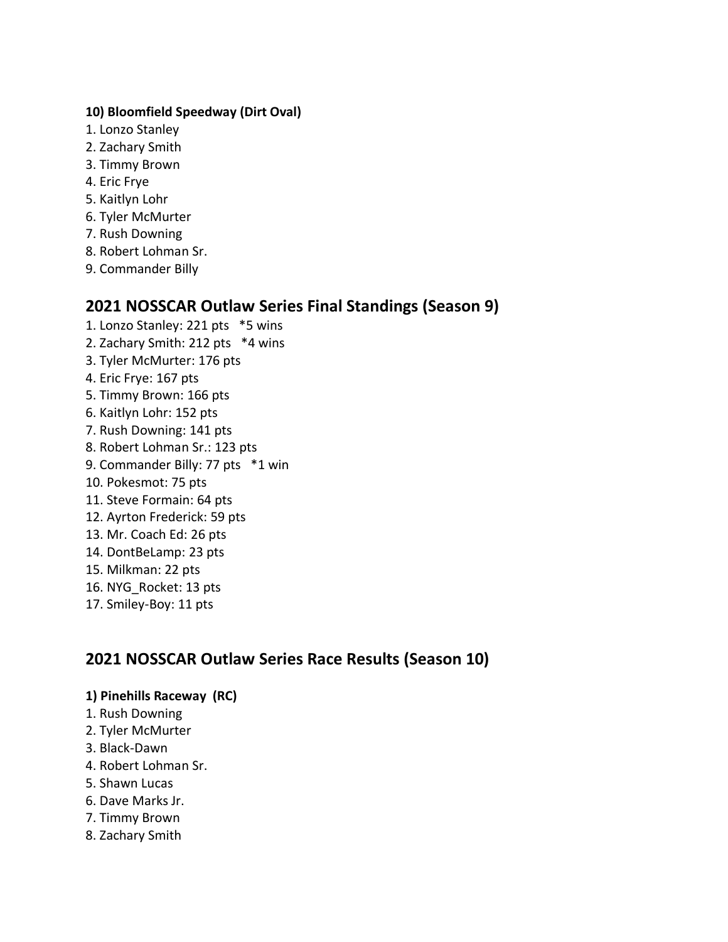## **10) Bloomfield Speedway (Dirt Oval)**

- 1. Lonzo Stanley
- 2. Zachary Smith
- 3. Timmy Brown
- 4. Eric Frye
- 5. Kaitlyn Lohr
- 6. Tyler McMurter
- 7. Rush Downing
- 8. Robert Lohman Sr.
- 9. Commander Billy

# **2021 NOSSCAR Outlaw Series Final Standings (Season 9)**

- 1. Lonzo Stanley: 221 pts \*5 wins
- 2. Zachary Smith: 212 pts \*4 wins
- 3. Tyler McMurter: 176 pts
- 4. Eric Frye: 167 pts
- 5. Timmy Brown: 166 pts
- 6. Kaitlyn Lohr: 152 pts
- 7. Rush Downing: 141 pts
- 8. Robert Lohman Sr.: 123 pts
- 9. Commander Billy: 77 pts \*1 win
- 10. Pokesmot: 75 pts
- 11. Steve Formain: 64 pts
- 12. Ayrton Frederick: 59 pts
- 13. Mr. Coach Ed: 26 pts
- 14. DontBeLamp: 23 pts
- 15. Milkman: 22 pts
- 16. NYG\_Rocket: 13 pts
- 17. Smiley-Boy: 11 pts

# **2021 NOSSCAR Outlaw Series Race Results (Season 10)**

## **1) Pinehills Raceway (RC)**

- 1. Rush Downing
- 2. Tyler McMurter
- 3. Black-Dawn
- 4. Robert Lohman Sr.
- 5. Shawn Lucas
- 6. Dave Marks Jr.
- 7. Timmy Brown
- 8. Zachary Smith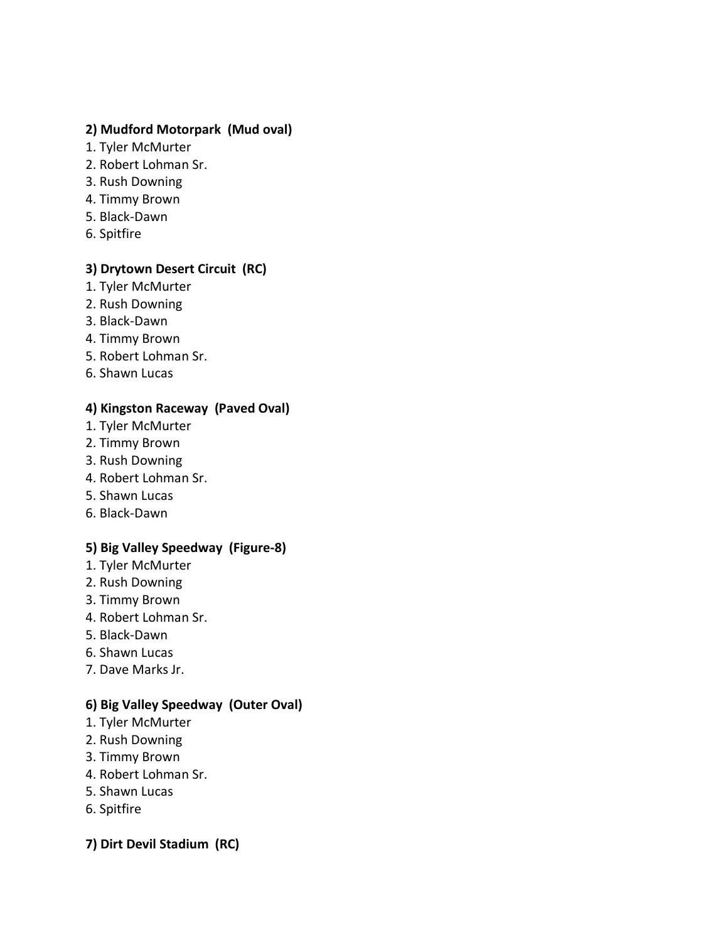## **2) Mudford Motorpark (Mud oval)**

- 1. Tyler McMurter
- 2. Robert Lohman Sr.
- 3. Rush Downing
- 4. Timmy Brown
- 5. Black-Dawn
- 6. Spitfire

## **3) Drytown Desert Circuit (RC)**

- 1. Tyler McMurter
- 2. Rush Downing
- 3. Black-Dawn
- 4. Timmy Brown
- 5. Robert Lohman Sr.
- 6. Shawn Lucas

## **4) Kingston Raceway (Paved Oval)**

- 1. Tyler McMurter
- 2. Timmy Brown
- 3. Rush Downing
- 4. Robert Lohman Sr.
- 5. Shawn Lucas
- 6. Black-Dawn

## **5) Big Valley Speedway (Figure-8)**

- 1. Tyler McMurter
- 2. Rush Downing
- 3. Timmy Brown
- 4. Robert Lohman Sr.
- 5. Black-Dawn
- 6. Shawn Lucas
- 7. Dave Marks Jr.

## **6) Big Valley Speedway (Outer Oval)**

- 1. Tyler McMurter
- 2. Rush Downing
- 3. Timmy Brown
- 4. Robert Lohman Sr.
- 5. Shawn Lucas
- 6. Spitfire

## **7) Dirt Devil Stadium (RC)**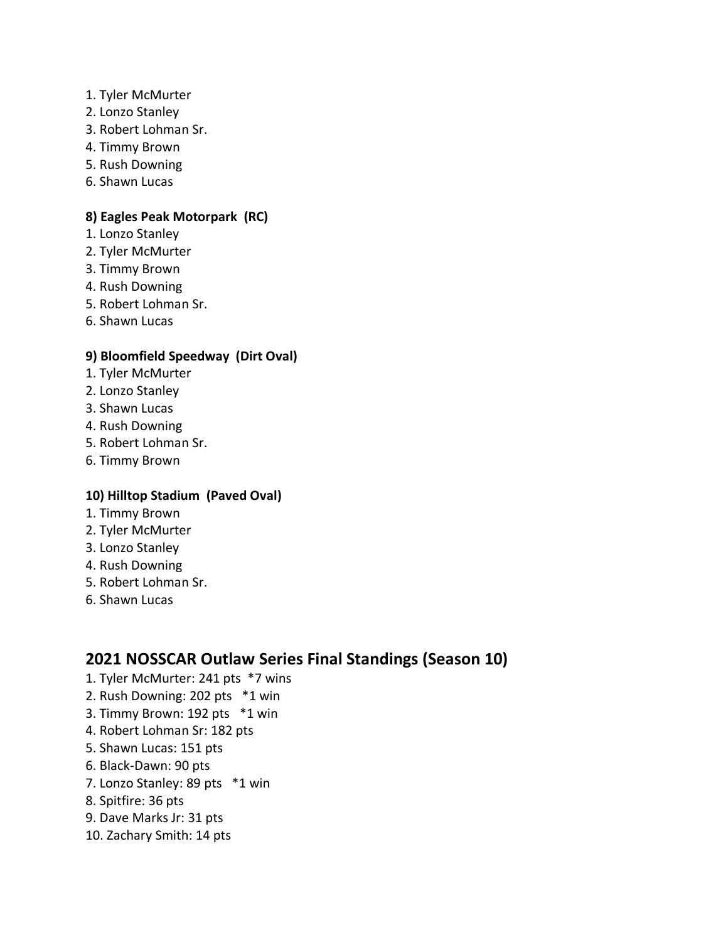- 1. Tyler McMurter
- 2. Lonzo Stanley
- 3. Robert Lohman Sr.
- 4. Timmy Brown
- 5. Rush Downing
- 6. Shawn Lucas

## **8) Eagles Peak Motorpark (RC)**

- 1. Lonzo Stanley
- 2. Tyler McMurter
- 3. Timmy Brown
- 4. Rush Downing
- 5. Robert Lohman Sr.
- 6. Shawn Lucas

## **9) Bloomfield Speedway (Dirt Oval)**

- 1. Tyler McMurter
- 2. Lonzo Stanley
- 3. Shawn Lucas
- 4. Rush Downing
- 5. Robert Lohman Sr.
- 6. Timmy Brown

# **10) Hilltop Stadium (Paved Oval)**

- 1. Timmy Brown
- 2. Tyler McMurter
- 3. Lonzo Stanley
- 4. Rush Downing
- 5. Robert Lohman Sr.
- 6. Shawn Lucas

# **2021 NOSSCAR Outlaw Series Final Standings (Season 10)**

- 1. Tyler McMurter: 241 pts \*7 wins
- 2. Rush Downing: 202 pts \*1 win
- 3. Timmy Brown: 192 pts \*1 win
- 4. Robert Lohman Sr: 182 pts
- 5. Shawn Lucas: 151 pts
- 6. Black-Dawn: 90 pts
- 7. Lonzo Stanley: 89 pts \*1 win
- 8. Spitfire: 36 pts
- 9. Dave Marks Jr: 31 pts
- 10. Zachary Smith: 14 pts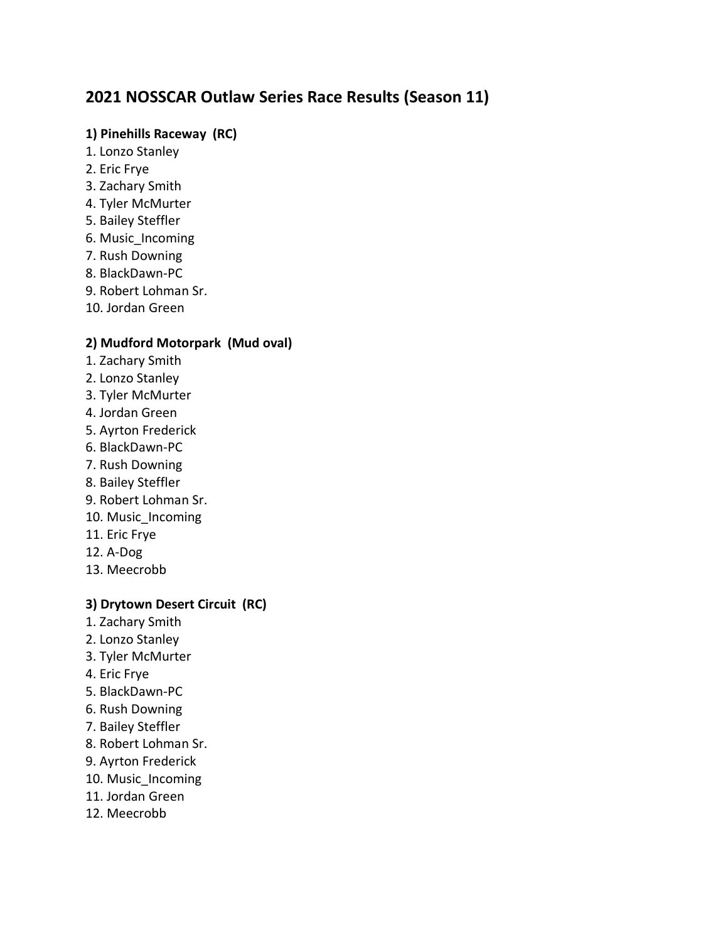# **2021 NOSSCAR Outlaw Series Race Results (Season 11)**

## **1) Pinehills Raceway (RC)**

- 1. Lonzo Stanley
- 2. Eric Frye
- 3. Zachary Smith
- 4. Tyler McMurter
- 5. Bailey Steffler
- 6. Music\_Incoming
- 7. Rush Downing
- 8. BlackDawn-PC
- 9. Robert Lohman Sr.
- 10. Jordan Green

## **2) Mudford Motorpark (Mud oval)**

- 1. Zachary Smith
- 2. Lonzo Stanley
- 3. Tyler McMurter
- 4. Jordan Green
- 5. Ayrton Frederick
- 6. BlackDawn-PC
- 7. Rush Downing
- 8. Bailey Steffler
- 9. Robert Lohman Sr.
- 10. Music\_Incoming
- 11. Eric Frye
- 12. A-Dog
- 13. Meecrobb

## **3) Drytown Desert Circuit (RC)**

- 1. Zachary Smith
- 2. Lonzo Stanley
- 3. Tyler McMurter
- 4. Eric Frye
- 5. BlackDawn-PC
- 6. Rush Downing
- 7. Bailey Steffler
- 8. Robert Lohman Sr.
- 9. Ayrton Frederick
- 10. Music\_Incoming
- 11. Jordan Green
- 12. Meecrobb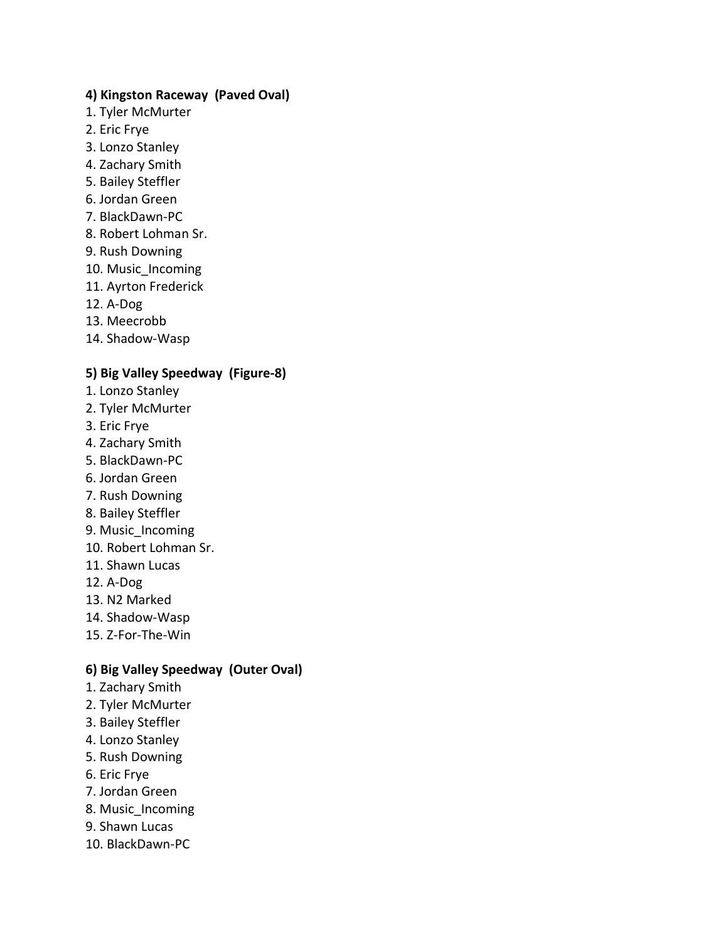## **4) Kingston Raceway (Paved Oval)**

- 1. Tyler McMurter
- 2. Eric Frye
- 3. Lonzo Stanley
- 4. Zachary Smith
- 5. Bailey Steffler
- 6. Jordan Green
- 7. BlackDawn-PC
- 8. Robert Lohman Sr.
- 9. Rush Downing
- 10. Music\_Incoming
- 11. Ayrton Frederick
- 12. A-Dog
- 13. Meecrobb
- 14. Shadow-Wasp

### **5) Big Valley Speedway (Figure-8)**

- 1. Lonzo Stanley
- 2. Tyler McMurter
- 3. Eric Frye
- 4. Zachary Smith
- 5. BlackDawn-PC
- 6. Jordan Green
- 7. Rush Downing
- 8. Bailey Steffler
- 9. Music\_Incoming
- 10. Robert Lohman Sr.
- 11. Shawn Lucas
- 12. A-Dog
- 13. N2 Marked
- 14. Shadow-Wasp
- 15. Z-For-The-Win

### **6) Big Valley Speedway (Outer Oval)**

- 1. Zachary Smith
- 2. Tyler McMurter
- 3. Bailey Steffler
- 4. Lonzo Stanley
- 5. Rush Downing
- 6. Eric Frye
- 7. Jordan Green
- 8. Music\_Incoming
- 9. Shawn Lucas
- 10. BlackDawn-PC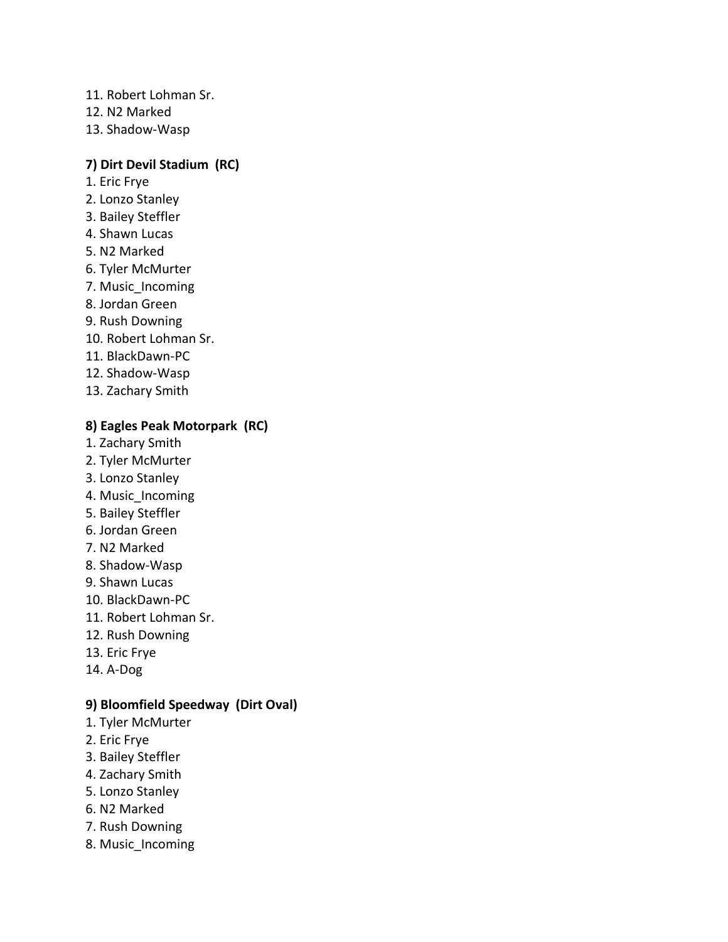- 11. Robert Lohman Sr.
- 12. N2 Marked
- 13. Shadow-Wasp

## **7) Dirt Devil Stadium (RC)**

- 1. Eric Frye
- 2. Lonzo Stanley
- 3. Bailey Steffler
- 4. Shawn Lucas
- 5. N2 Marked
- 6. Tyler McMurter
- 7. Music\_Incoming
- 8. Jordan Green
- 9. Rush Downing
- 10. Robert Lohman Sr.
- 11. BlackDawn-PC
- 12. Shadow-Wasp
- 13. Zachary Smith

### **8) Eagles Peak Motorpark (RC)**

- 1. Zachary Smith
- 2. Tyler McMurter
- 3. Lonzo Stanley
- 4. Music\_Incoming
- 5. Bailey Steffler
- 6. Jordan Green
- 7. N2 Marked
- 8. Shadow-Wasp
- 9. Shawn Lucas
- 10. BlackDawn-PC
- 11. Robert Lohman Sr.
- 12. Rush Downing
- 13. Eric Frye
- 14. A-Dog

### **9) Bloomfield Speedway (Dirt Oval)**

- 1. Tyler McMurter
- 2. Eric Frye
- 3. Bailey Steffler
- 4. Zachary Smith
- 5. Lonzo Stanley
- 6. N2 Marked
- 7. Rush Downing
- 8. Music\_Incoming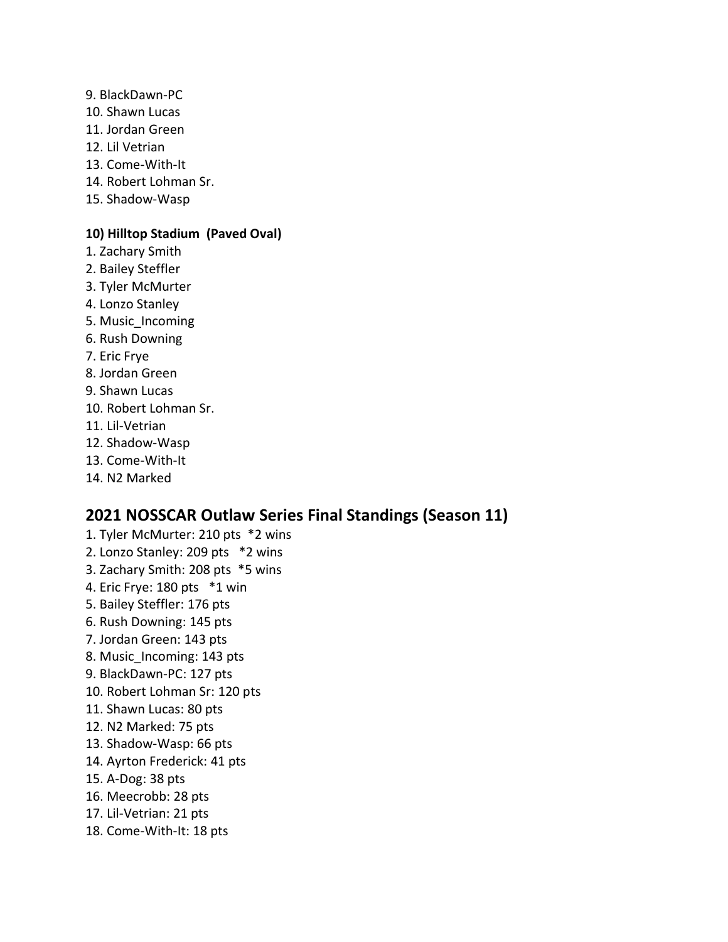- 9. BlackDawn-PC 10. Shawn Lucas 11. Jordan Green 12. Lil Vetrian 13. Come-With-It 14. Robert Lohman Sr.
- 15. Shadow-Wasp

#### **10) Hilltop Stadium (Paved Oval)**

- 1. Zachary Smith
- 2. Bailey Steffler
- 3. Tyler McMurter
- 4. Lonzo Stanley
- 5. Music\_Incoming
- 6. Rush Downing
- 7. Eric Frye
- 8. Jordan Green
- 9. Shawn Lucas
- 10. Robert Lohman Sr.
- 11. Lil-Vetrian
- 12. Shadow-Wasp
- 13. Come-With-It
- 14. N2 Marked

## **2021 NOSSCAR Outlaw Series Final Standings (Season 11)**

1. Tyler McMurter: 210 pts \*2 wins 2. Lonzo Stanley: 209 pts \*2 wins 3. Zachary Smith: 208 pts \*5 wins 4. Eric Frye: 180 pts \*1 win 5. Bailey Steffler: 176 pts 6. Rush Downing: 145 pts 7. Jordan Green: 143 pts 8. Music\_Incoming: 143 pts 9. BlackDawn-PC: 127 pts 10. Robert Lohman Sr: 120 pts 11. Shawn Lucas: 80 pts 12. N2 Marked: 75 pts 13. Shadow-Wasp: 66 pts 14. Ayrton Frederick: 41 pts 15. A-Dog: 38 pts 16. Meecrobb: 28 pts 17. Lil-Vetrian: 21 pts 18. Come-With-It: 18 pts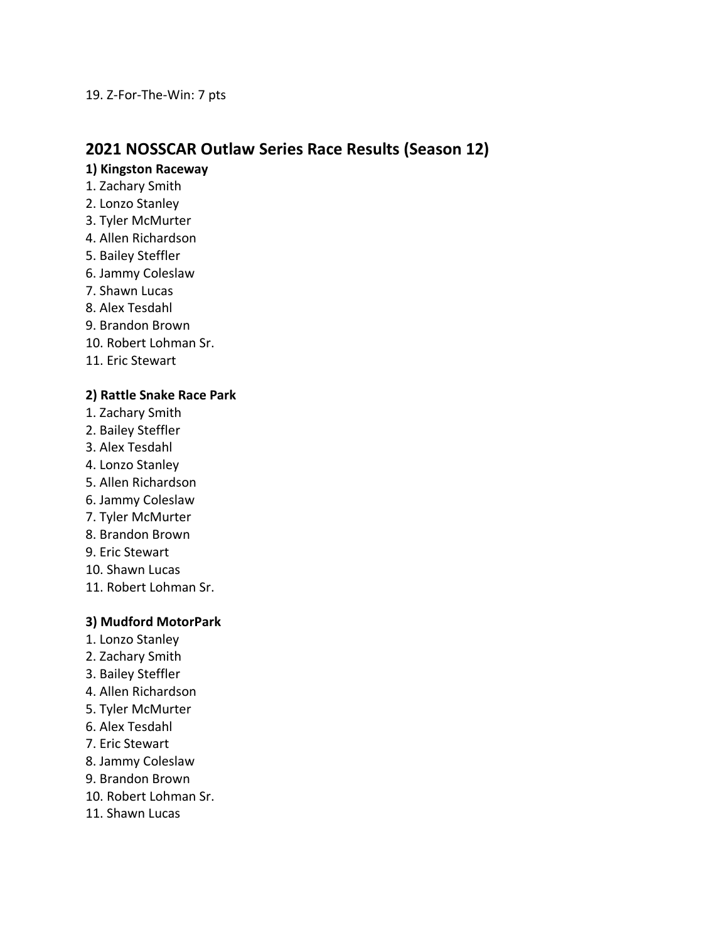#### 19. Z-For-The-Win: 7 pts

# **2021 NOSSCAR Outlaw Series Race Results (Season 12)**

## **1) Kingston Raceway**

- 1. Zachary Smith
- 2. Lonzo Stanley
- 3. Tyler McMurter
- 4. Allen Richardson
- 5. Bailey Steffler
- 6. Jammy Coleslaw
- 7. Shawn Lucas
- 8. Alex Tesdahl
- 9. Brandon Brown
- 10. Robert Lohman Sr.
- 11. Eric Stewart

### **2) Rattle Snake Race Park**

- 1. Zachary Smith
- 2. Bailey Steffler
- 3. Alex Tesdahl
- 4. Lonzo Stanley
- 5. Allen Richardson
- 6. Jammy Coleslaw
- 7. Tyler McMurter
- 8. Brandon Brown
- 9. Eric Stewart
- 10. Shawn Lucas
- 11. Robert Lohman Sr.

## **3) Mudford MotorPark**

- 1. Lonzo Stanley
- 2. Zachary Smith
- 3. Bailey Steffler
- 4. Allen Richardson
- 5. Tyler McMurter
- 6. Alex Tesdahl
- 7. Eric Stewart
- 8. Jammy Coleslaw
- 9. Brandon Brown
- 10. Robert Lohman Sr.
- 11. Shawn Lucas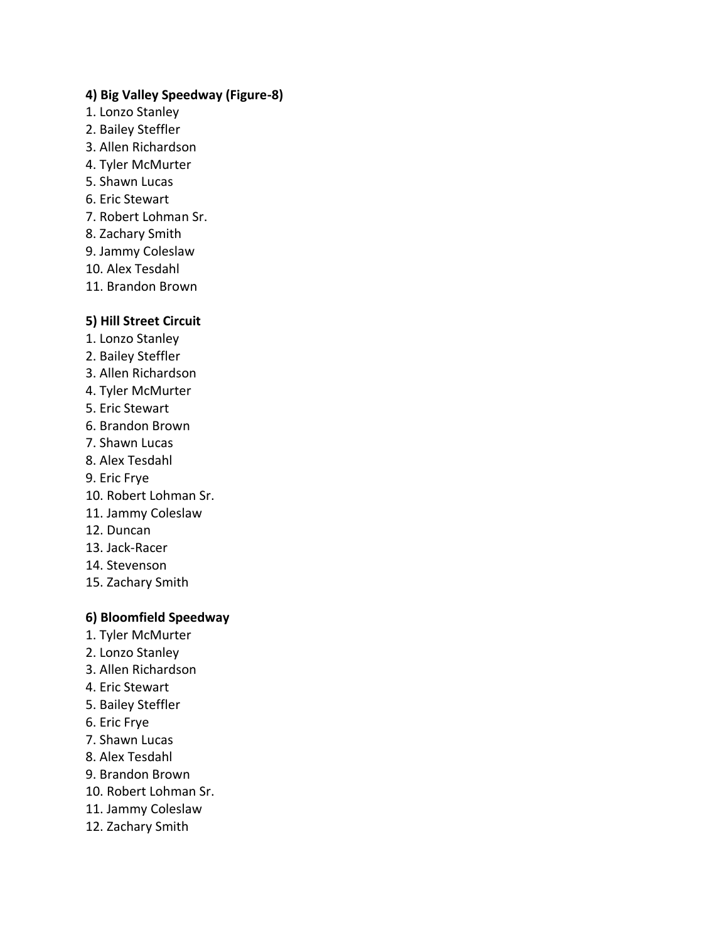## **4) Big Valley Speedway (Figure-8)**

- 1. Lonzo Stanley
- 2. Bailey Steffler
- 3. Allen Richardson
- 4. Tyler McMurter
- 5. Shawn Lucas
- 6. Eric Stewart
- 7. Robert Lohman Sr.
- 8. Zachary Smith
- 9. Jammy Coleslaw
- 10. Alex Tesdahl
- 11. Brandon Brown

### **5) Hill Street Circuit**

- 1. Lonzo Stanley
- 2. Bailey Steffler
- 3. Allen Richardson
- 4. Tyler McMurter
- 5. Eric Stewart
- 6. Brandon Brown
- 7. Shawn Lucas
- 8. Alex Tesdahl
- 9. Eric Frye
- 10. Robert Lohman Sr.
- 11. Jammy Coleslaw
- 12. Duncan
- 13. Jack-Racer
- 14. Stevenson
- 15. Zachary Smith

### **6) Bloomfield Speedway**

- 1. Tyler McMurter
- 2. Lonzo Stanley
- 3. Allen Richardson
- 4. Eric Stewart
- 5. Bailey Steffler
- 6. Eric Frye
- 7. Shawn Lucas
- 8. Alex Tesdahl
- 9. Brandon Brown
- 10. Robert Lohman Sr.
- 11. Jammy Coleslaw
- 12. Zachary Smith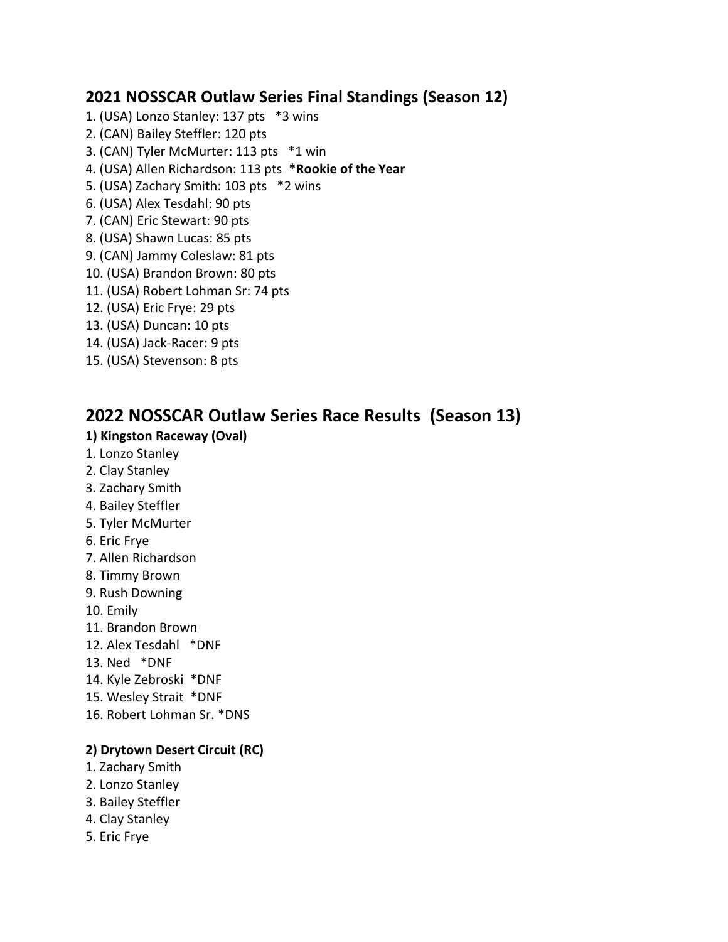# **2021 NOSSCAR Outlaw Series Final Standings (Season 12)**

- 1. (USA) Lonzo Stanley: 137 pts \*3 wins
- 2. (CAN) Bailey Steffler: 120 pts
- 3. (CAN) Tyler McMurter: 113 pts \*1 win
- 4. (USA) Allen Richardson: 113 pts **\*Rookie of the Year**
- 5. (USA) Zachary Smith: 103 pts \*2 wins
- 6. (USA) Alex Tesdahl: 90 pts
- 7. (CAN) Eric Stewart: 90 pts
- 8. (USA) Shawn Lucas: 85 pts
- 9. (CAN) Jammy Coleslaw: 81 pts
- 10. (USA) Brandon Brown: 80 pts
- 11. (USA) Robert Lohman Sr: 74 pts
- 12. (USA) Eric Frye: 29 pts
- 13. (USA) Duncan: 10 pts
- 14. (USA) Jack-Racer: 9 pts
- 15. (USA) Stevenson: 8 pts

# **2022 NOSSCAR Outlaw Series Race Results (Season 13)**

## **1) Kingston Raceway (Oval)**

- 1. Lonzo Stanley
- 2. Clay Stanley
- 3. Zachary Smith
- 4. Bailey Steffler
- 5. Tyler McMurter
- 6. Eric Frye
- 7. Allen Richardson
- 8. Timmy Brown
- 9. Rush Downing
- 10. Emily
- 11. Brandon Brown
- 12. Alex Tesdahl \*DNF
- 13. Ned \*DNF
- 14. Kyle Zebroski \*DNF
- 15. Wesley Strait \*DNF
- 16. Robert Lohman Sr. \*DNS

## **2) Drytown Desert Circuit (RC)**

- 1. Zachary Smith
- 2. Lonzo Stanley
- 3. Bailey Steffler
- 4. Clay Stanley
- 5. Eric Frye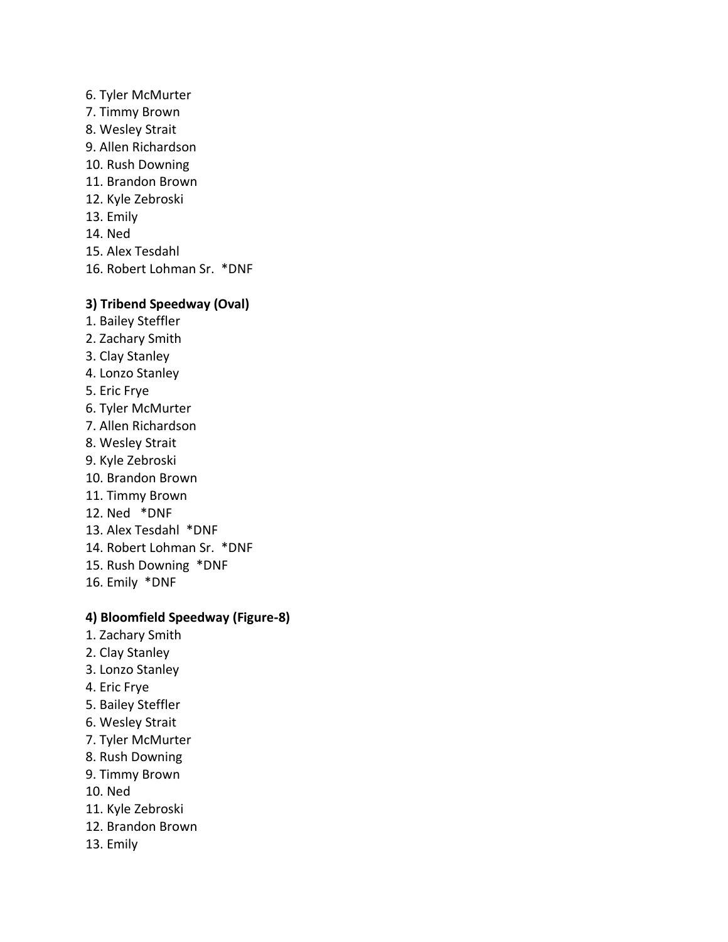6. Tyler McMurter 7. Timmy Brown 8. Wesley Strait 9. Allen Richardson 10. Rush Downing 11. Brandon Brown 12. Kyle Zebroski 13. Emily 14. Ned 15. Alex Tesdahl 16. Robert Lohman Sr. \*DNF **3) Tribend Speedway (Oval)** 1. Bailey Steffler 2. Zachary Smith

- 3. Clay Stanley
- 4. Lonzo Stanley
- 5. Eric Frye
- 6. Tyler McMurter
- 7. Allen Richardson
- 8. Wesley Strait
- 9. Kyle Zebroski
- 10. Brandon Brown
- 11. Timmy Brown
- 12. Ned \*DNF
- 13. Alex Tesdahl \*DNF
- 14. Robert Lohman Sr. \*DNF
- 15. Rush Downing \*DNF
- 16. Emily \*DNF

#### **4) Bloomfield Speedway (Figure-8)**

- 1. Zachary Smith
- 2. Clay Stanley
- 3. Lonzo Stanley
- 4. Eric Frye
- 5. Bailey Steffler
- 6. Wesley Strait
- 7. Tyler McMurter
- 8. Rush Downing
- 9. Timmy Brown
- 10. Ned
- 11. Kyle Zebroski
- 12. Brandon Brown
- 13. Emily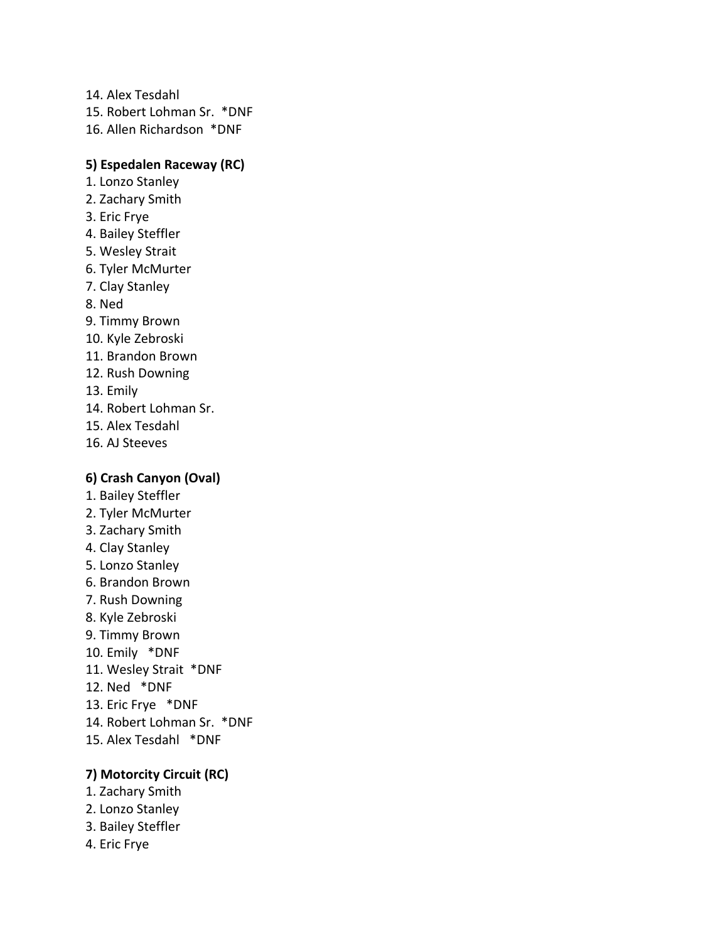14. Alex Tesdahl 15. Robert Lohman Sr. \*DNF 16. Allen Richardson \*DNF

## **5) Espedalen Raceway (RC)**

- 1. Lonzo Stanley
- 2. Zachary Smith
- 3. Eric Frye
- 4. Bailey Steffler
- 5. Wesley Strait
- 6. Tyler McMurter
- 7. Clay Stanley
- 8. Ned
- 9. Timmy Brown
- 10. Kyle Zebroski
- 11. Brandon Brown
- 12. Rush Downing
- 13. Emily
- 14. Robert Lohman Sr.
- 15. Alex Tesdahl
- 16. AJ Steeves

### **6) Crash Canyon (Oval)**

- 1. Bailey Steffler
- 2. Tyler McMurter
- 3. Zachary Smith
- 4. Clay Stanley
- 5. Lonzo Stanley
- 6. Brandon Brown
- 7. Rush Downing
- 8. Kyle Zebroski
- 9. Timmy Brown
- 10. Emily \*DNF
- 11. Wesley Strait \*DNF
- 12. Ned \*DNF
- 13. Eric Frye \*DNF
- 14. Robert Lohman Sr. \*DNF
- 15. Alex Tesdahl \*DNF

### **7) Motorcity Circuit (RC)**

- 1. Zachary Smith
- 2. Lonzo Stanley
- 3. Bailey Steffler
- 4. Eric Frye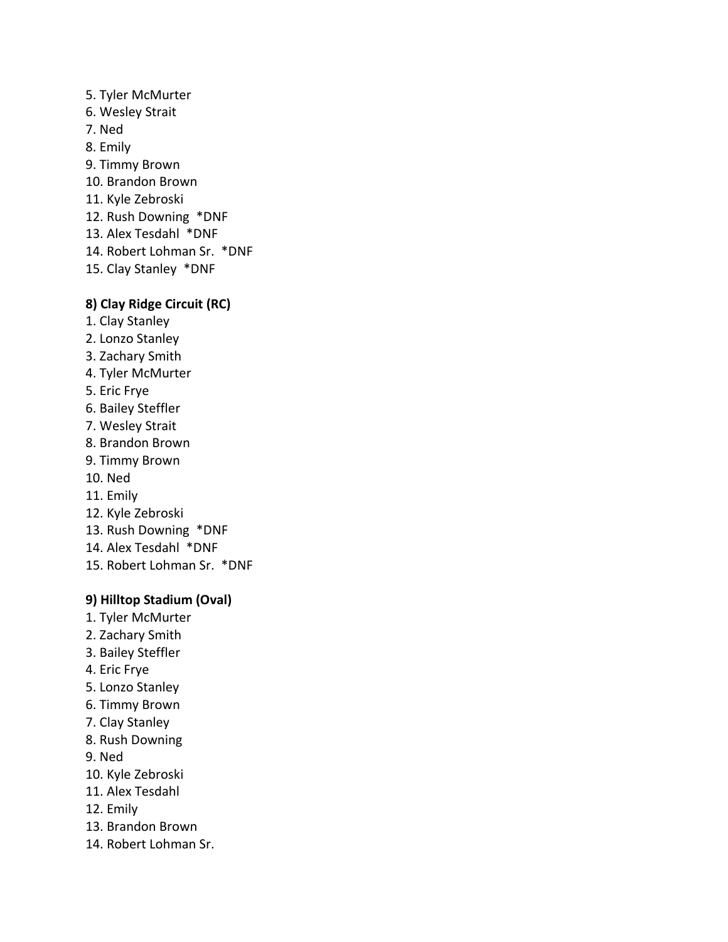## 5. Tyler McMurter

- 6. Wesley Strait
- 7. Ned
- 8. Emily
- 9. Timmy Brown
- 10. Brandon Brown
- 11. Kyle Zebroski
- 12. Rush Downing \*DNF
- 13. Alex Tesdahl \*DNF
- 14. Robert Lohman Sr. \*DNF
- 15. Clay Stanley \*DNF

## **8) Clay Ridge Circuit (RC)**

- 1. Clay Stanley
- 2. Lonzo Stanley
- 3. Zachary Smith
- 4. Tyler McMurter
- 5. Eric Frye
- 6. Bailey Steffler
- 7. Wesley Strait
- 8. Brandon Brown
- 9. Timmy Brown
- 10. Ned
- 11. Emily
- 12. Kyle Zebroski
- 13. Rush Downing \*DNF
- 14. Alex Tesdahl \*DNF
- 15. Robert Lohman Sr. \*DNF

## **9) Hilltop Stadium (Oval)**

- 1. Tyler McMurter
- 2. Zachary Smith
- 3. Bailey Steffler
- 4. Eric Frye
- 5. Lonzo Stanley
- 6. Timmy Brown
- 7. Clay Stanley
- 8. Rush Downing
- 9. Ned
- 10. Kyle Zebroski
- 11. Alex Tesdahl
- 12. Emily
- 13. Brandon Brown
- 14. Robert Lohman Sr.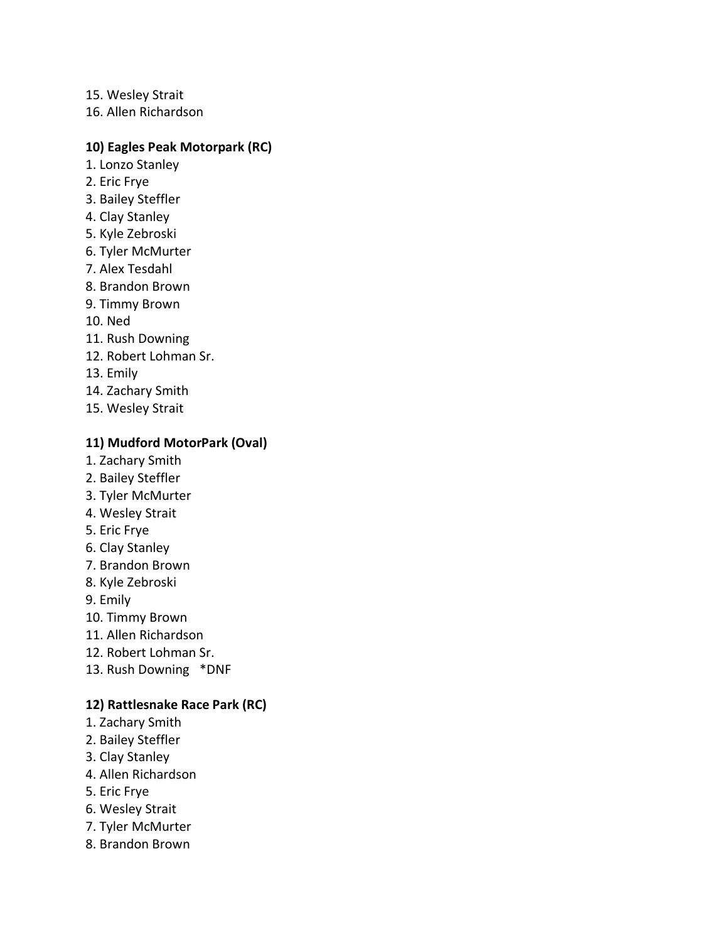15. Wesley Strait

16. Allen Richardson

## **10) Eagles Peak Motorpark (RC)**

- 1. Lonzo Stanley
- 2. Eric Frye
- 3. Bailey Steffler
- 4. Clay Stanley
- 5. Kyle Zebroski
- 6. Tyler McMurter
- 7. Alex Tesdahl
- 8. Brandon Brown
- 9. Timmy Brown
- 10. Ned
- 11. Rush Downing
- 12. Robert Lohman Sr.
- 13. Emily
- 14. Zachary Smith
- 15. Wesley Strait

### **11) Mudford MotorPark (Oval)**

- 1. Zachary Smith
- 2. Bailey Steffler
- 3. Tyler McMurter
- 4. Wesley Strait
- 5. Eric Frye
- 6. Clay Stanley
- 7. Brandon Brown
- 8. Kyle Zebroski
- 9. Emily
- 10. Timmy Brown
- 11. Allen Richardson
- 12. Robert Lohman Sr.
- 13. Rush Downing \*DNF

### **12) Rattlesnake Race Park (RC)**

- 1. Zachary Smith
- 2. Bailey Steffler
- 3. Clay Stanley
- 4. Allen Richardson
- 5. Eric Frye
- 6. Wesley Strait
- 7. Tyler McMurter
- 8. Brandon Brown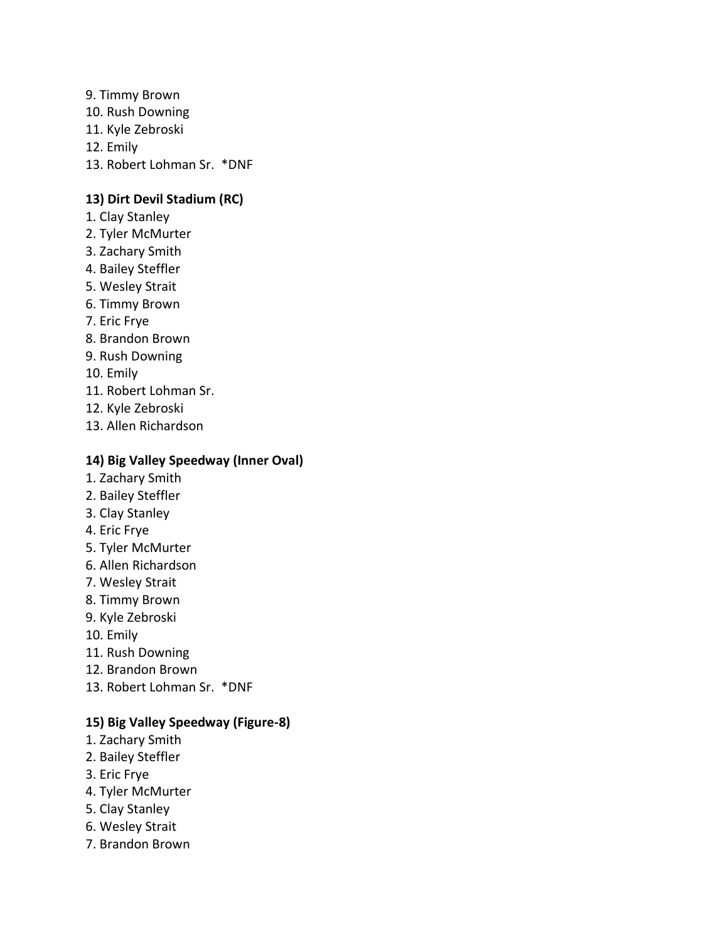9. Timmy Brown 10. Rush Downing 11. Kyle Zebroski 12. Emily 13. Robert Lohman Sr. \*DNF

## **13) Dirt Devil Stadium (RC)**

- 1. Clay Stanley
- 2. Tyler McMurter
- 3. Zachary Smith
- 4. Bailey Steffler
- 5. Wesley Strait
- 6. Timmy Brown
- 7. Eric Frye
- 8. Brandon Brown
- 9. Rush Downing
- 10. Emily
- 11. Robert Lohman Sr.
- 12. Kyle Zebroski
- 13. Allen Richardson

#### **14) Big Valley Speedway (Inner Oval)**

- 1. Zachary Smith
- 2. Bailey Steffler
- 3. Clay Stanley
- 4. Eric Frye
- 5. Tyler McMurter
- 6. Allen Richardson
- 7. Wesley Strait
- 8. Timmy Brown
- 9. Kyle Zebroski
- 10. Emily
- 11. Rush Downing
- 12. Brandon Brown
- 13. Robert Lohman Sr. \*DNF

#### **15) Big Valley Speedway (Figure-8)**

- 1. Zachary Smith
- 2. Bailey Steffler
- 3. Eric Frye
- 4. Tyler McMurter
- 5. Clay Stanley
- 6. Wesley Strait
- 7. Brandon Brown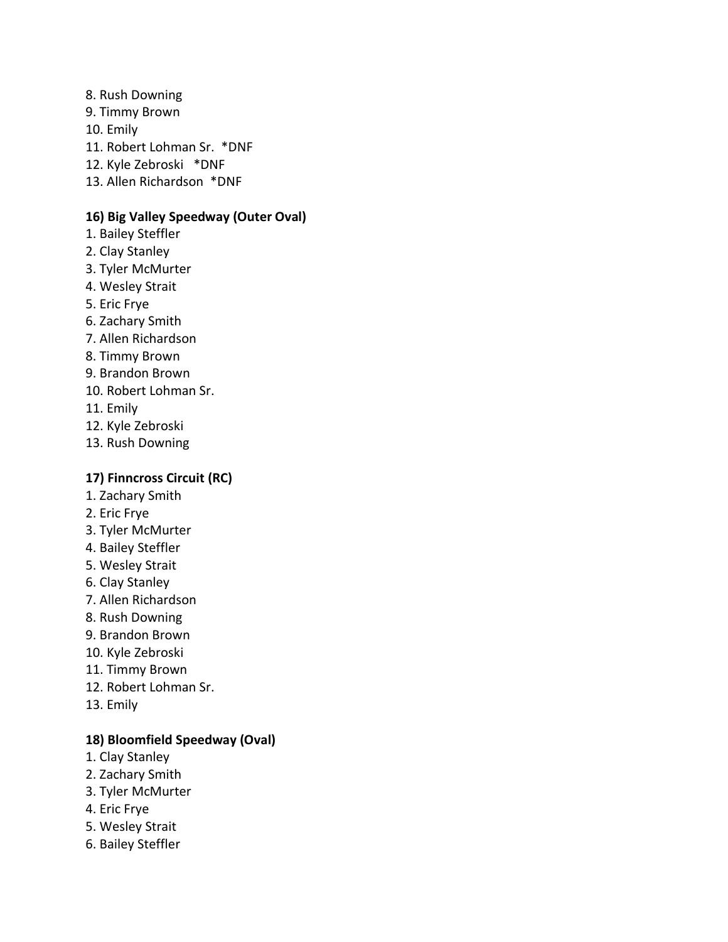8. Rush Downing 9. Timmy Brown 10. Emily 11. Robert Lohman Sr. \*DNF 12. Kyle Zebroski \*DNF 13. Allen Richardson \*DNF

## **16) Big Valley Speedway (Outer Oval)**

- 1. Bailey Steffler
- 2. Clay Stanley
- 3. Tyler McMurter
- 4. Wesley Strait
- 5. Eric Frye
- 6. Zachary Smith
- 7. Allen Richardson
- 8. Timmy Brown
- 9. Brandon Brown
- 10. Robert Lohman Sr.
- 11. Emily
- 12. Kyle Zebroski
- 13. Rush Downing

## **17) Finncross Circuit (RC)**

- 1. Zachary Smith
- 2. Eric Frye
- 3. Tyler McMurter
- 4. Bailey Steffler
- 5. Wesley Strait
- 6. Clay Stanley
- 7. Allen Richardson
- 8. Rush Downing
- 9. Brandon Brown
- 10. Kyle Zebroski
- 11. Timmy Brown
- 12. Robert Lohman Sr.
- 13. Emily

## **18) Bloomfield Speedway (Oval)**

- 1. Clay Stanley
- 2. Zachary Smith
- 3. Tyler McMurter
- 4. Eric Frye
- 5. Wesley Strait
- 6. Bailey Steffler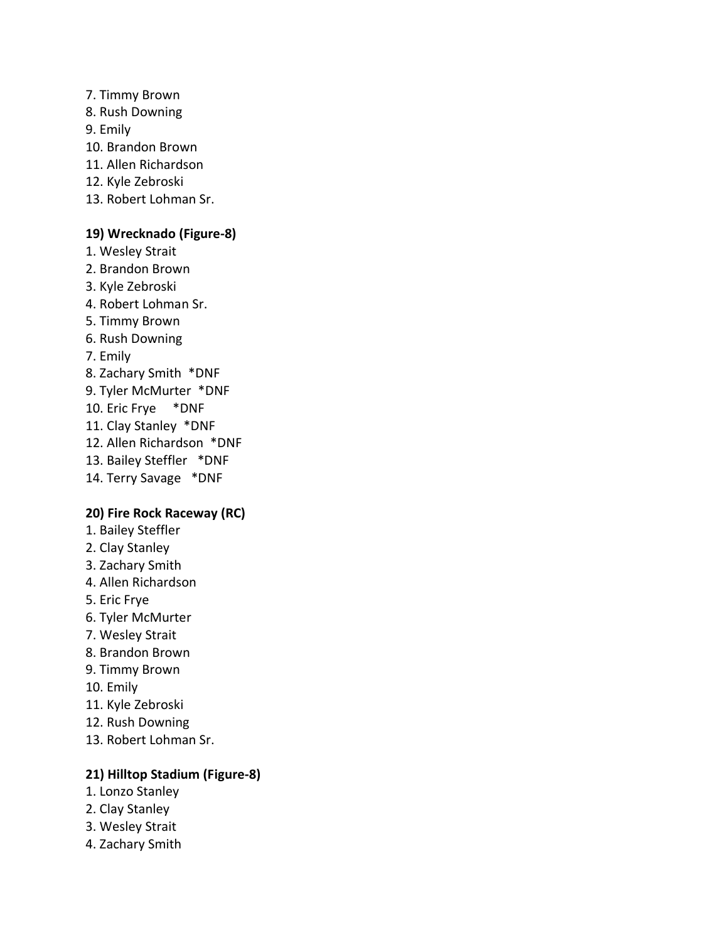7. Timmy Brown 8. Rush Downing 9. Emily 10. Brandon Brown 11. Allen Richardson 12. Kyle Zebroski 13. Robert Lohman Sr. **19) Wrecknado (Figure-8)** 1. Wesley Strait 2. Brandon Brown 3. Kyle Zebroski 4. Robert Lohman Sr. 5. Timmy Brown 6. Rush Downing

- 7. Emily
- 8. Zachary Smith \*DNF
- 9. Tyler McMurter \*DNF
- 10. Eric Frye \*DNF
- 11. Clay Stanley \*DNF
- 12. Allen Richardson \*DNF
- 13. Bailey Steffler \*DNF
- 14. Terry Savage \*DNF

### **20) Fire Rock Raceway (RC)**

- 1. Bailey Steffler
- 2. Clay Stanley
- 3. Zachary Smith
- 4. Allen Richardson
- 5. Eric Frye
- 6. Tyler McMurter
- 7. Wesley Strait
- 8. Brandon Brown
- 9. Timmy Brown
- 10. Emily
- 11. Kyle Zebroski
- 12. Rush Downing
- 13. Robert Lohman Sr.

### **21) Hilltop Stadium (Figure-8)**

- 1. Lonzo Stanley
- 2. Clay Stanley
- 3. Wesley Strait
- 4. Zachary Smith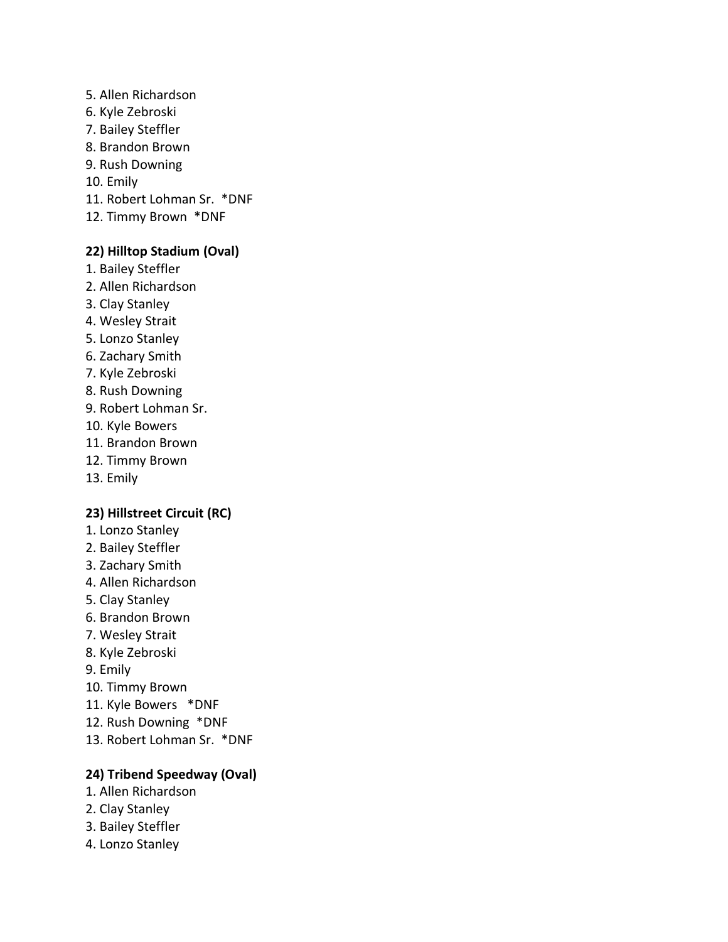## 5. Allen Richardson 6. Kyle Zebroski 7. Bailey Steffler

- 8. Brandon Brown
- 9. Rush Downing

10. Emily

- 11. Robert Lohman Sr. \*DNF
- 12. Timmy Brown \*DNF

## **22) Hilltop Stadium (Oval)**

- 1. Bailey Steffler
- 2. Allen Richardson
- 3. Clay Stanley
- 4. Wesley Strait
- 5. Lonzo Stanley
- 6. Zachary Smith
- 7. Kyle Zebroski
- 8. Rush Downing
- 9. Robert Lohman Sr.
- 10. Kyle Bowers
- 11. Brandon Brown
- 12. Timmy Brown
- 13. Emily

### **23) Hillstreet Circuit (RC)**

- 1. Lonzo Stanley
- 2. Bailey Steffler
- 3. Zachary Smith
- 4. Allen Richardson
- 5. Clay Stanley
- 6. Brandon Brown
- 7. Wesley Strait
- 8. Kyle Zebroski
- 9. Emily
- 10. Timmy Brown
- 11. Kyle Bowers \*DNF
- 12. Rush Downing \*DNF
- 13. Robert Lohman Sr. \*DNF

### **24) Tribend Speedway (Oval)**

- 1. Allen Richardson
- 2. Clay Stanley
- 3. Bailey Steffler
- 4. Lonzo Stanley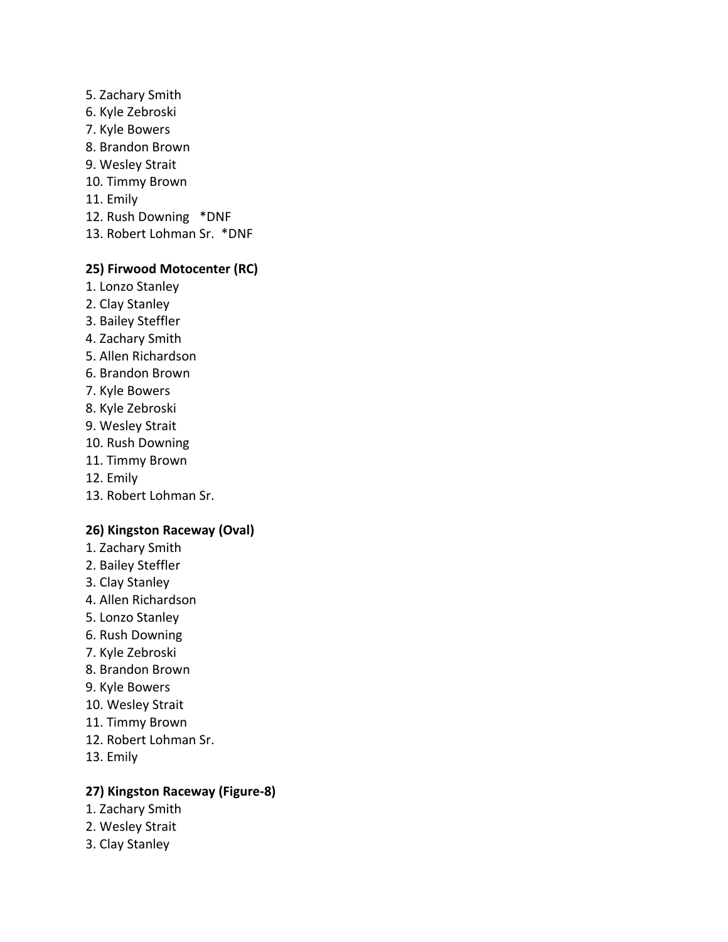5. Zachary Smith 6. Kyle Zebroski 7. Kyle Bowers 8. Brandon Brown 9. Wesley Strait 10. Timmy Brown 11. Emily 12. Rush Downing \*DNF 13. Robert Lohman Sr. \*DNF

## **25) Firwood Motocenter (RC)**

- 1. Lonzo Stanley
- 2. Clay Stanley
- 3. Bailey Steffler
- 4. Zachary Smith
- 5. Allen Richardson
- 6. Brandon Brown
- 7. Kyle Bowers
- 8. Kyle Zebroski
- 9. Wesley Strait
- 10. Rush Downing
- 11. Timmy Brown
- 12. Emily
- 13. Robert Lohman Sr.

### **26) Kingston Raceway (Oval)**

- 1. Zachary Smith
- 2. Bailey Steffler
- 3. Clay Stanley
- 4. Allen Richardson
- 5. Lonzo Stanley
- 6. Rush Downing
- 7. Kyle Zebroski
- 8. Brandon Brown
- 9. Kyle Bowers
- 10. Wesley Strait
- 11. Timmy Brown
- 12. Robert Lohman Sr.
- 13. Emily

### **27) Kingston Raceway (Figure-8)**

- 1. Zachary Smith
- 2. Wesley Strait
- 3. Clay Stanley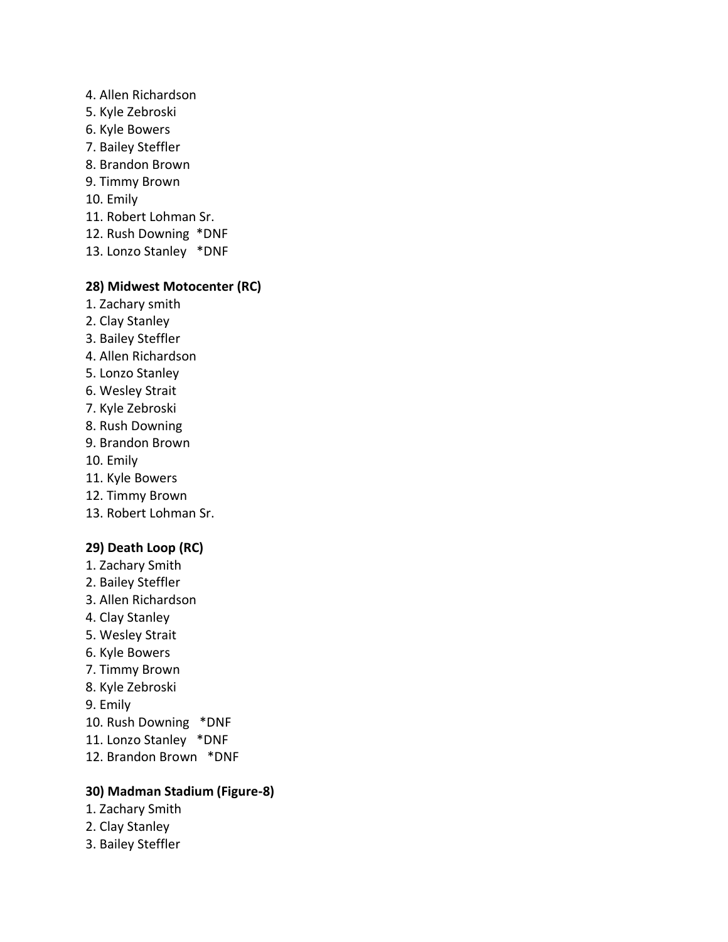- 4. Allen Richardson
- 5. Kyle Zebroski
- 6. Kyle Bowers
- 7. Bailey Steffler
- 8. Brandon Brown
- 9. Timmy Brown
- 10. Emily
- 11. Robert Lohman Sr.
- 12. Rush Downing \*DNF
- 13. Lonzo Stanley \*DNF

## **28) Midwest Motocenter (RC)**

- 1. Zachary smith
- 2. Clay Stanley
- 3. Bailey Steffler
- 4. Allen Richardson
- 5. Lonzo Stanley
- 6. Wesley Strait
- 7. Kyle Zebroski
- 8. Rush Downing
- 9. Brandon Brown
- 10. Emily
- 11. Kyle Bowers
- 12. Timmy Brown
- 13. Robert Lohman Sr.

## **29) Death Loop (RC)**

- 1. Zachary Smith
- 2. Bailey Steffler
- 3. Allen Richardson
- 4. Clay Stanley
- 5. Wesley Strait
- 6. Kyle Bowers
- 7. Timmy Brown
- 8. Kyle Zebroski
- 9. Emily
- 10. Rush Downing \*DNF
- 11. Lonzo Stanley \*DNF
- 12. Brandon Brown \*DNF

## **30) Madman Stadium (Figure-8)**

- 1. Zachary Smith
- 2. Clay Stanley
- 3. Bailey Steffler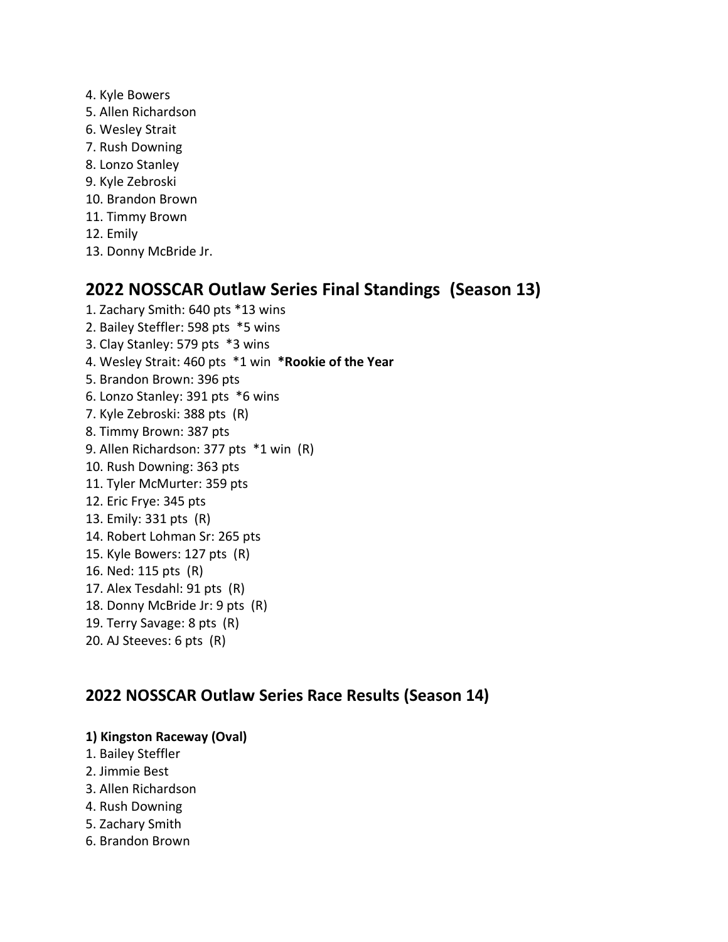- 4. Kyle Bowers
- 5. Allen Richardson
- 6. Wesley Strait
- 7. Rush Downing
- 8. Lonzo Stanley
- 9. Kyle Zebroski
- 10. Brandon Brown
- 11. Timmy Brown
- 12. Emily
- 13. Donny McBride Jr.

# **2022 NOSSCAR Outlaw Series Final Standings (Season 13)**

- 1. Zachary Smith: 640 pts \*13 wins 2. Bailey Steffler: 598 pts \*5 wins 3. Clay Stanley: 579 pts \*3 wins 4. Wesley Strait: 460 pts \*1 win **\*Rookie of the Year** 5. Brandon Brown: 396 pts 6. Lonzo Stanley: 391 pts \*6 wins 7. Kyle Zebroski: 388 pts (R) 8. Timmy Brown: 387 pts 9. Allen Richardson: 377 pts \*1 win (R) 10. Rush Downing: 363 pts 11. Tyler McMurter: 359 pts 12. Eric Frye: 345 pts 13. Emily: 331 pts (R) 14. Robert Lohman Sr: 265 pts 15. Kyle Bowers: 127 pts (R) 16. Ned: 115 pts (R) 17. Alex Tesdahl: 91 pts (R) 18. Donny McBride Jr: 9 pts (R) 19. Terry Savage: 8 pts (R)
- 20. AJ Steeves: 6 pts (R)

# **2022 NOSSCAR Outlaw Series Race Results (Season 14)**

## **1) Kingston Raceway (Oval)**

- 1. Bailey Steffler
- 2. Jimmie Best
- 3. Allen Richardson
- 4. Rush Downing
- 5. Zachary Smith
- 6. Brandon Brown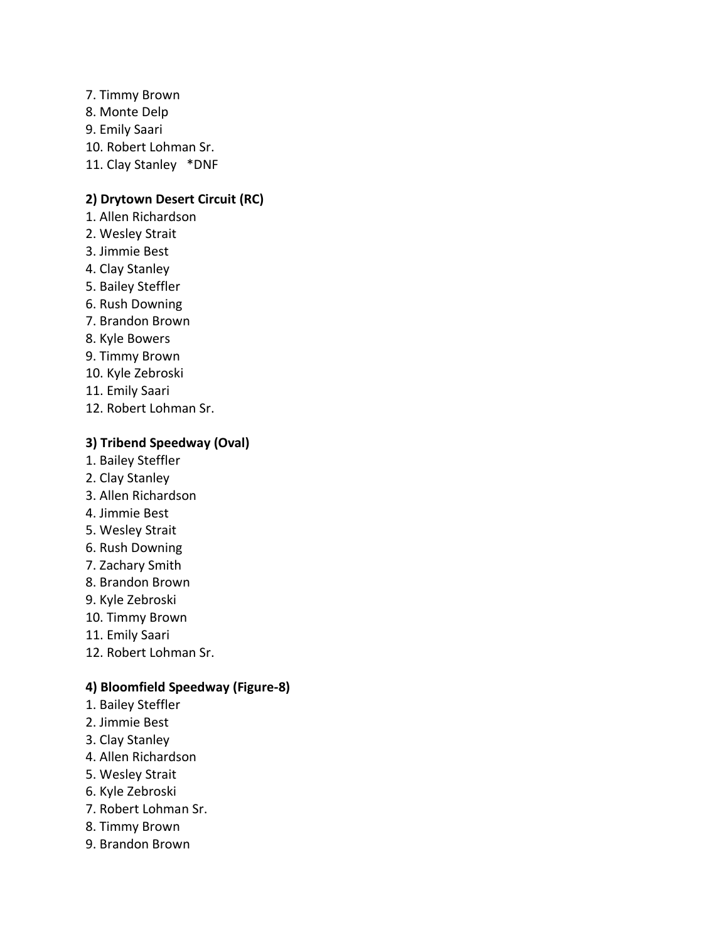7. Timmy Brown 8. Monte Delp 9. Emily Saari 10. Robert Lohman Sr. 11. Clay Stanley \*DNF

## **2) Drytown Desert Circuit (RC)**

- 1. Allen Richardson
- 2. Wesley Strait
- 3. Jimmie Best
- 4. Clay Stanley
- 5. Bailey Steffler
- 6. Rush Downing
- 7. Brandon Brown
- 8. Kyle Bowers
- 9. Timmy Brown
- 10. Kyle Zebroski
- 11. Emily Saari
- 12. Robert Lohman Sr.

#### **3) Tribend Speedway (Oval)**

- 1. Bailey Steffler
- 2. Clay Stanley
- 3. Allen Richardson
- 4. Jimmie Best
- 5. Wesley Strait
- 6. Rush Downing
- 7. Zachary Smith
- 8. Brandon Brown
- 9. Kyle Zebroski
- 10. Timmy Brown
- 11. Emily Saari
- 12. Robert Lohman Sr.

### **4) Bloomfield Speedway (Figure-8)**

- 1. Bailey Steffler
- 2. Jimmie Best
- 3. Clay Stanley
- 4. Allen Richardson
- 5. Wesley Strait
- 6. Kyle Zebroski
- 7. Robert Lohman Sr.
- 8. Timmy Brown
- 9. Brandon Brown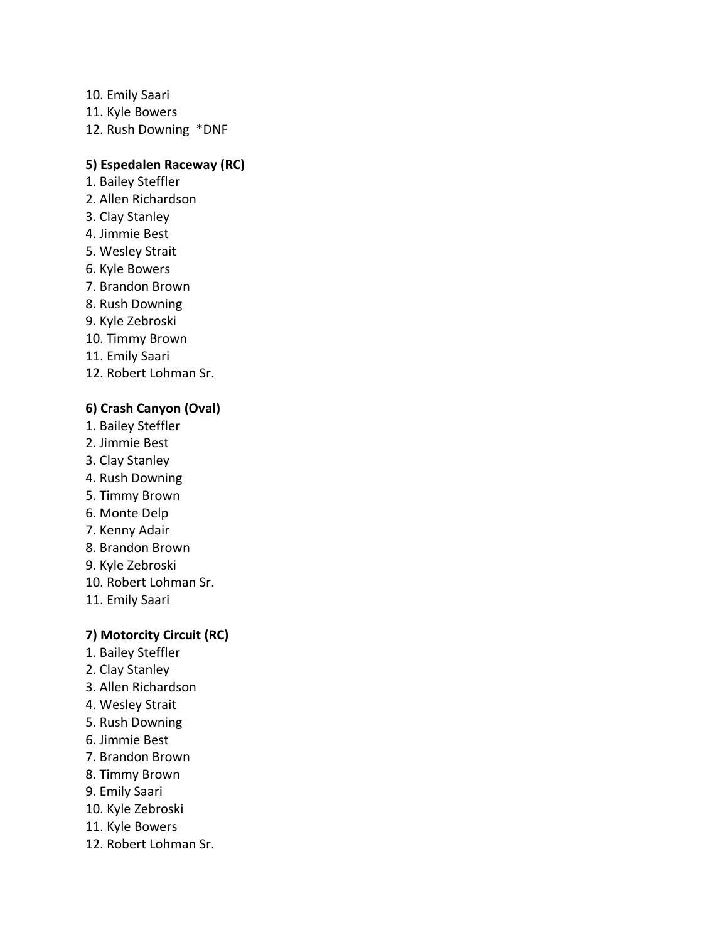10. Emily Saari 11. Kyle Bowers 12. Rush Downing \*DNF

### **5) Espedalen Raceway (RC)**

- 1. Bailey Steffler
- 2. Allen Richardson
- 3. Clay Stanley
- 4. Jimmie Best
- 5. Wesley Strait
- 6. Kyle Bowers
- 7. Brandon Brown
- 8. Rush Downing
- 9. Kyle Zebroski
- 10. Timmy Brown
- 11. Emily Saari
- 12. Robert Lohman Sr.

### **6) Crash Canyon (Oval)**

- 1. Bailey Steffler
- 2. Jimmie Best
- 3. Clay Stanley
- 4. Rush Downing
- 5. Timmy Brown
- 6. Monte Delp
- 7. Kenny Adair
- 8. Brandon Brown
- 9. Kyle Zebroski
- 10. Robert Lohman Sr.
- 11. Emily Saari

## **7) Motorcity Circuit (RC)**

- 1. Bailey Steffler
- 2. Clay Stanley
- 3. Allen Richardson
- 4. Wesley Strait
- 5. Rush Downing
- 6. Jimmie Best
- 7. Brandon Brown
- 8. Timmy Brown
- 9. Emily Saari
- 10. Kyle Zebroski
- 11. Kyle Bowers
- 12. Robert Lohman Sr.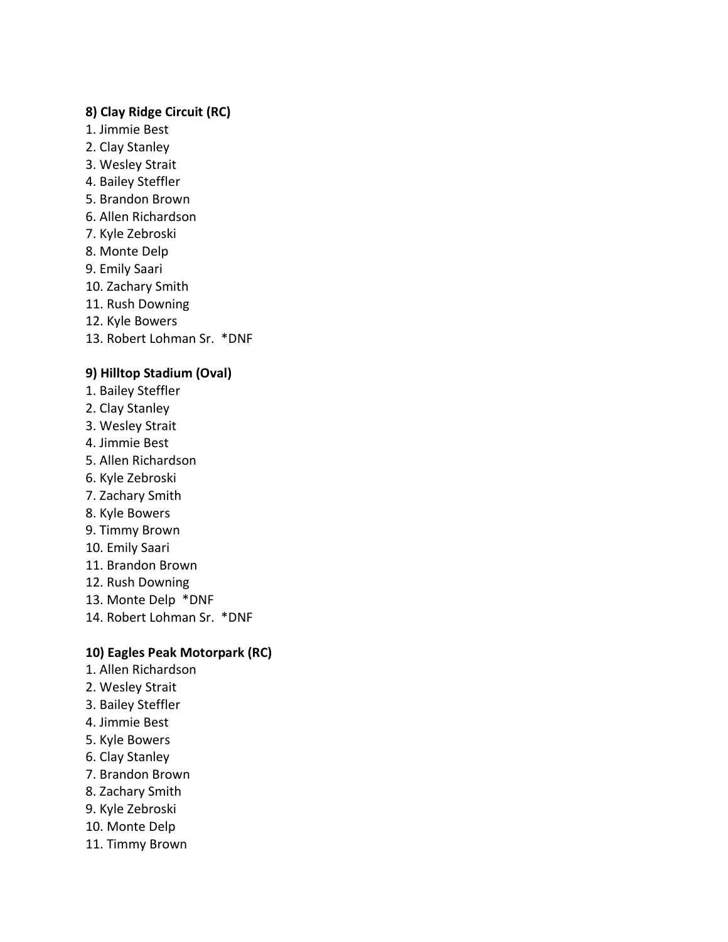### **8) Clay Ridge Circuit (RC)**

- 1. Jimmie Best
- 2. Clay Stanley
- 3. Wesley Strait
- 4. Bailey Steffler
- 5. Brandon Brown
- 6. Allen Richardson
- 7. Kyle Zebroski
- 8. Monte Delp
- 9. Emily Saari
- 10. Zachary Smith
- 11. Rush Downing
- 12. Kyle Bowers
- 13. Robert Lohman Sr. \*DNF

### **9) Hilltop Stadium (Oval)**

- 1. Bailey Steffler
- 2. Clay Stanley
- 3. Wesley Strait
- 4. Jimmie Best
- 5. Allen Richardson
- 6. Kyle Zebroski
- 7. Zachary Smith
- 8. Kyle Bowers
- 9. Timmy Brown
- 10. Emily Saari
- 11. Brandon Brown
- 12. Rush Downing
- 13. Monte Delp \*DNF
- 14. Robert Lohman Sr. \*DNF

### **10) Eagles Peak Motorpark (RC)**

- 1. Allen Richardson
- 2. Wesley Strait
- 3. Bailey Steffler
- 4. Jimmie Best
- 5. Kyle Bowers
- 6. Clay Stanley
- 7. Brandon Brown
- 8. Zachary Smith
- 9. Kyle Zebroski
- 10. Monte Delp
- 11. Timmy Brown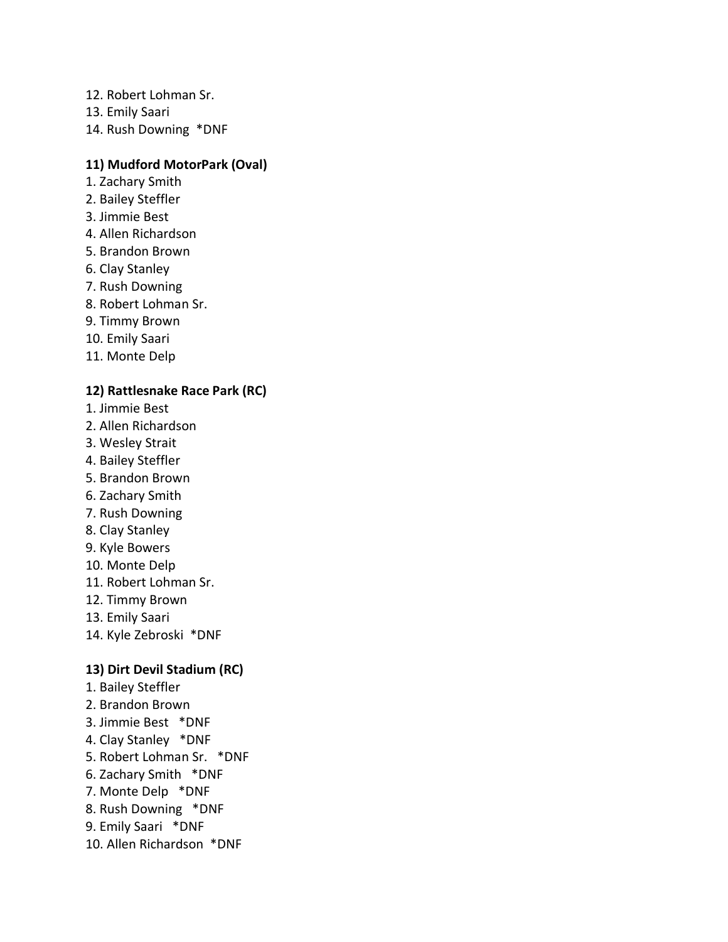- 12. Robert Lohman Sr.
- 13. Emily Saari
- 14. Rush Downing \*DNF

## **11) Mudford MotorPark (Oval)**

- 1. Zachary Smith
- 2. Bailey Steffler
- 3. Jimmie Best
- 4. Allen Richardson
- 5. Brandon Brown
- 6. Clay Stanley
- 7. Rush Downing
- 8. Robert Lohman Sr.
- 9. Timmy Brown
- 10. Emily Saari
- 11. Monte Delp

### **12) Rattlesnake Race Park (RC)**

- 1. Jimmie Best
- 2. Allen Richardson
- 3. Wesley Strait
- 4. Bailey Steffler
- 5. Brandon Brown
- 6. Zachary Smith
- 7. Rush Downing
- 8. Clay Stanley
- 9. Kyle Bowers
- 10. Monte Delp
- 11. Robert Lohman Sr.
- 12. Timmy Brown
- 13. Emily Saari
- 14. Kyle Zebroski \*DNF

### **13) Dirt Devil Stadium (RC)**

- 1. Bailey Steffler
- 2. Brandon Brown
- 3. Jimmie Best \*DNF
- 4. Clay Stanley \*DNF
- 5. Robert Lohman Sr. \*DNF
- 6. Zachary Smith \*DNF
- 7. Monte Delp \*DNF
- 8. Rush Downing \*DNF
- 9. Emily Saari \*DNF
- 10. Allen Richardson \*DNF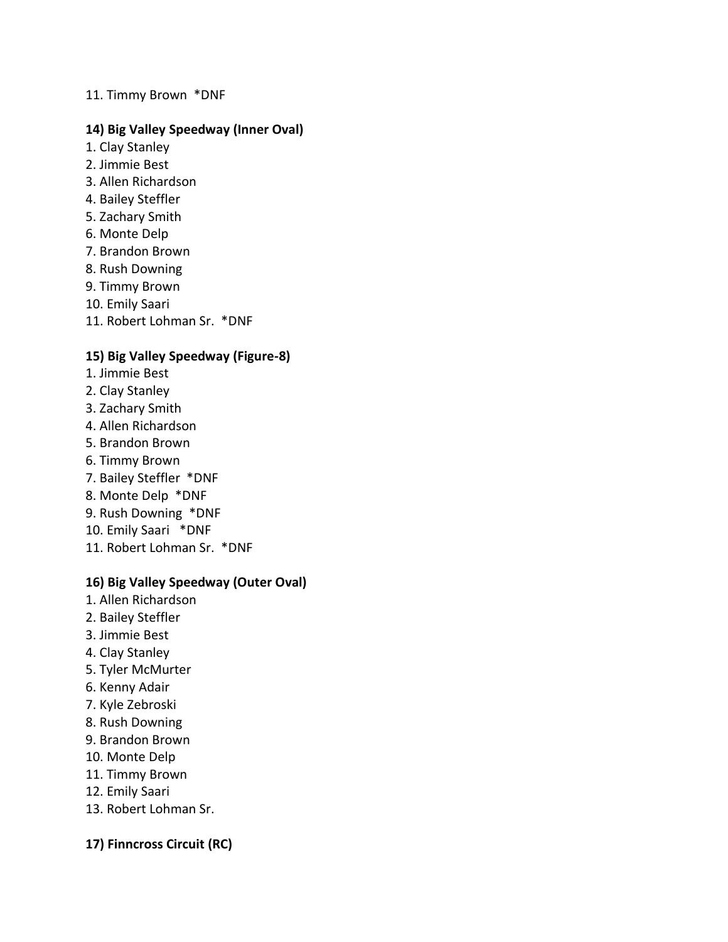#### 11. Timmy Brown \*DNF

#### **14) Big Valley Speedway (Inner Oval)**

- 1. Clay Stanley
- 2. Jimmie Best
- 3. Allen Richardson
- 4. Bailey Steffler
- 5. Zachary Smith
- 6. Monte Delp
- 7. Brandon Brown
- 8. Rush Downing
- 9. Timmy Brown
- 10. Emily Saari
- 11. Robert Lohman Sr. \*DNF

### **15) Big Valley Speedway (Figure-8)**

- 1. Jimmie Best
- 2. Clay Stanley
- 3. Zachary Smith
- 4. Allen Richardson
- 5. Brandon Brown
- 6. Timmy Brown
- 7. Bailey Steffler \*DNF
- 8. Monte Delp \*DNF
- 9. Rush Downing \*DNF
- 10. Emily Saari \*DNF
- 11. Robert Lohman Sr. \*DNF

#### **16) Big Valley Speedway (Outer Oval)**

- 1. Allen Richardson
- 2. Bailey Steffler
- 3. Jimmie Best
- 4. Clay Stanley
- 5. Tyler McMurter
- 6. Kenny Adair
- 7. Kyle Zebroski
- 8. Rush Downing
- 9. Brandon Brown
- 10. Monte Delp
- 11. Timmy Brown
- 12. Emily Saari
- 13. Robert Lohman Sr.

## **17) Finncross Circuit (RC)**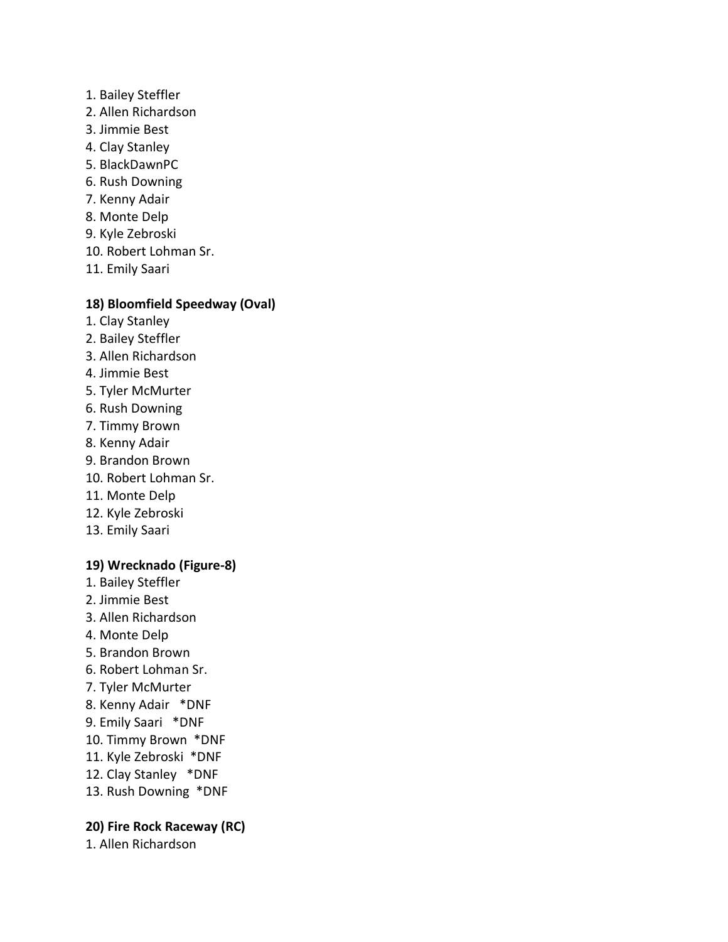#### 1. Bailey Steffler

- 2. Allen Richardson
- 3. Jimmie Best
- 4. Clay Stanley
- 5. BlackDawnPC
- 6. Rush Downing
- 7. Kenny Adair
- 8. Monte Delp
- 9. Kyle Zebroski
- 10. Robert Lohman Sr.
- 11. Emily Saari

### **18) Bloomfield Speedway (Oval)**

- 1. Clay Stanley
- 2. Bailey Steffler
- 3. Allen Richardson
- 4. Jimmie Best
- 5. Tyler McMurter
- 6. Rush Downing
- 7. Timmy Brown
- 8. Kenny Adair
- 9. Brandon Brown
- 10. Robert Lohman Sr.
- 11. Monte Delp
- 12. Kyle Zebroski
- 13. Emily Saari

### **19) Wrecknado (Figure-8)**

- 1. Bailey Steffler
- 2. Jimmie Best
- 3. Allen Richardson
- 4. Monte Delp
- 5. Brandon Brown
- 6. Robert Lohman Sr.
- 7. Tyler McMurter
- 8. Kenny Adair \*DNF
- 9. Emily Saari \*DNF
- 10. Timmy Brown \*DNF
- 11. Kyle Zebroski \*DNF
- 12. Clay Stanley \*DNF
- 13. Rush Downing \*DNF

### **20) Fire Rock Raceway (RC)**

1. Allen Richardson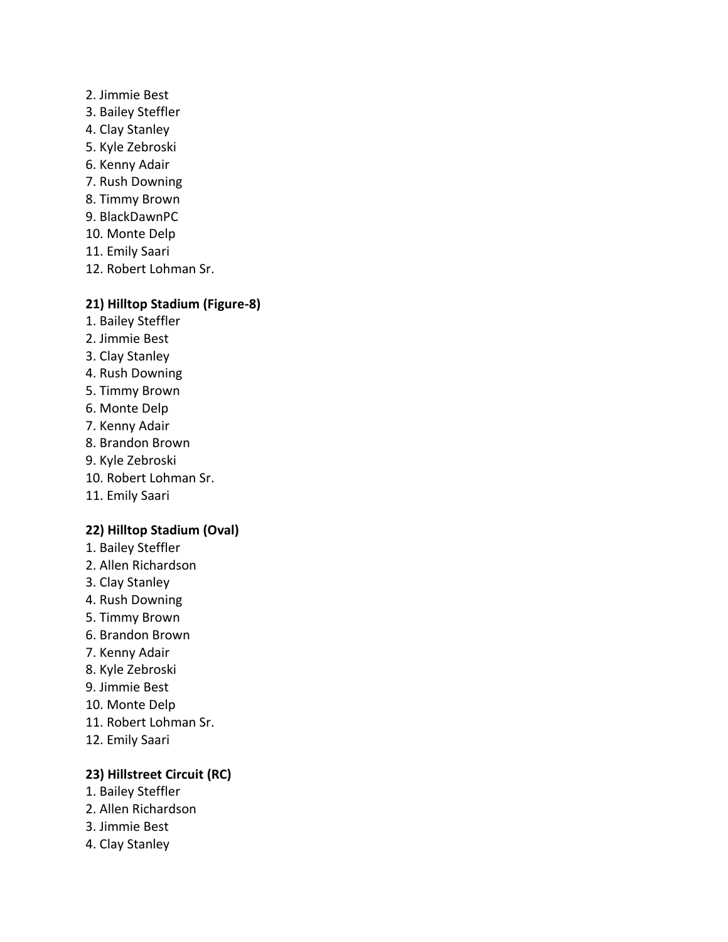- 2. Jimmie Best
- 3. Bailey Steffler
- 4. Clay Stanley
- 5. Kyle Zebroski
- 6. Kenny Adair
- 7. Rush Downing
- 8. Timmy Brown
- 9. BlackDawnPC
- 10. Monte Delp
- 11. Emily Saari
- 12. Robert Lohman Sr.

### **21) Hilltop Stadium (Figure-8)**

- 1. Bailey Steffler
- 2. Jimmie Best
- 3. Clay Stanley
- 4. Rush Downing
- 5. Timmy Brown
- 6. Monte Delp
- 7. Kenny Adair
- 8. Brandon Brown
- 9. Kyle Zebroski
- 10. Robert Lohman Sr.
- 11. Emily Saari

### **22) Hilltop Stadium (Oval)**

- 1. Bailey Steffler
- 2. Allen Richardson
- 3. Clay Stanley
- 4. Rush Downing
- 5. Timmy Brown
- 6. Brandon Brown
- 7. Kenny Adair
- 8. Kyle Zebroski
- 9. Jimmie Best
- 10. Monte Delp
- 11. Robert Lohman Sr.
- 12. Emily Saari

### **23) Hillstreet Circuit (RC)**

- 1. Bailey Steffler
- 2. Allen Richardson
- 3. Jimmie Best
- 4. Clay Stanley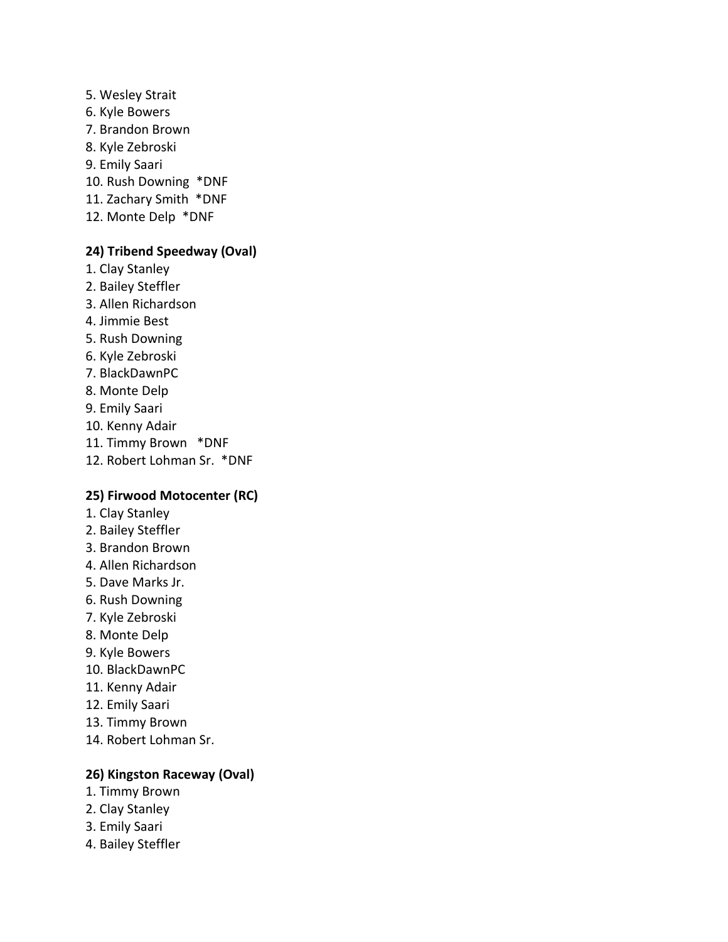5. Wesley Strait 6. Kyle Bowers 7. Brandon Brown 8. Kyle Zebroski 9. Emily Saari 10. Rush Downing \*DNF 11. Zachary Smith \*DNF 12. Monte Delp \*DNF

### **24) Tribend Speedway (Oval)**

- 1. Clay Stanley
- 2. Bailey Steffler
- 3. Allen Richardson
- 4. Jimmie Best
- 5. Rush Downing
- 6. Kyle Zebroski
- 7. BlackDawnPC
- 8. Monte Delp
- 9. Emily Saari
- 10. Kenny Adair
- 11. Timmy Brown \*DNF
- 12. Robert Lohman Sr. \*DNF

### **25) Firwood Motocenter (RC)**

- 1. Clay Stanley
- 2. Bailey Steffler
- 3. Brandon Brown
- 4. Allen Richardson
- 5. Dave Marks Jr.
- 6. Rush Downing
- 7. Kyle Zebroski
- 8. Monte Delp
- 9. Kyle Bowers
- 10. BlackDawnPC
- 11. Kenny Adair
- 12. Emily Saari
- 13. Timmy Brown
- 14. Robert Lohman Sr.

### **26) Kingston Raceway (Oval)**

- 1. Timmy Brown
- 2. Clay Stanley
- 3. Emily Saari
- 4. Bailey Steffler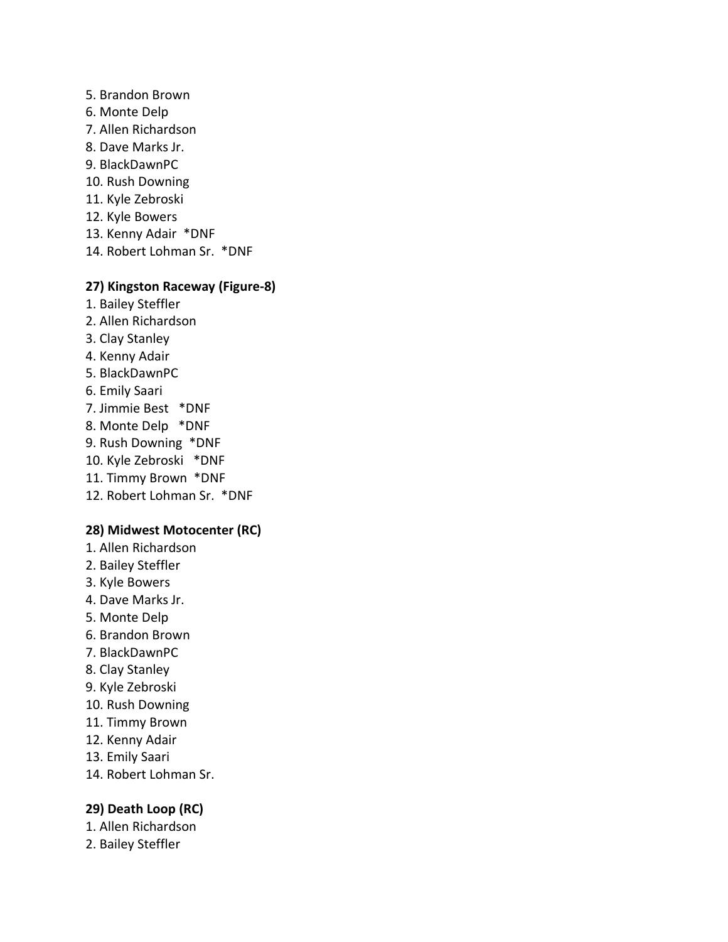- 5. Brandon Brown
- 6. Monte Delp
- 7. Allen Richardson
- 8. Dave Marks Jr.
- 9. BlackDawnPC
- 10. Rush Downing
- 11. Kyle Zebroski
- 12. Kyle Bowers
- 13. Kenny Adair \*DNF
- 14. Robert Lohman Sr. \*DNF

#### **27) Kingston Raceway (Figure-8)**

- 1. Bailey Steffler
- 2. Allen Richardson
- 3. Clay Stanley
- 4. Kenny Adair
- 5. BlackDawnPC
- 6. Emily Saari
- 7. Jimmie Best \*DNF
- 8. Monte Delp \*DNF
- 9. Rush Downing \*DNF
- 10. Kyle Zebroski \*DNF
- 11. Timmy Brown \*DNF
- 12. Robert Lohman Sr. \*DNF

### **28) Midwest Motocenter (RC)**

- 1. Allen Richardson
- 2. Bailey Steffler
- 3. Kyle Bowers
- 4. Dave Marks Jr.
- 5. Monte Delp
- 6. Brandon Brown
- 7. BlackDawnPC
- 8. Clay Stanley
- 9. Kyle Zebroski
- 10. Rush Downing
- 11. Timmy Brown
- 12. Kenny Adair
- 13. Emily Saari
- 14. Robert Lohman Sr.

## **29) Death Loop (RC)**

- 1. Allen Richardson
- 2. Bailey Steffler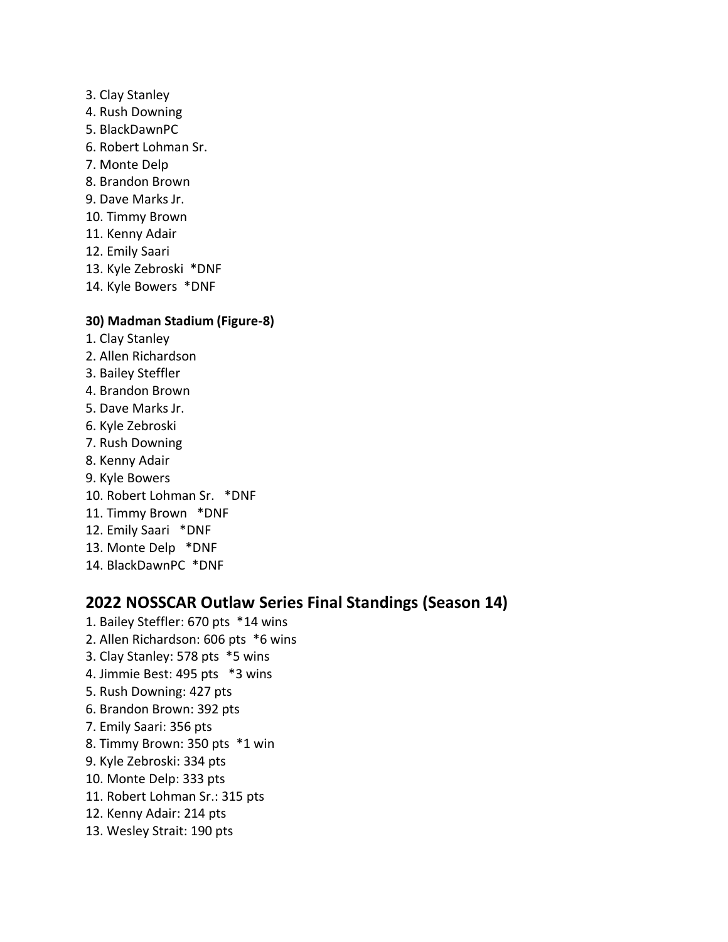- 3. Clay Stanley
- 4. Rush Downing
- 5. BlackDawnPC
- 6. Robert Lohman Sr.
- 7. Monte Delp
- 8. Brandon Brown
- 9. Dave Marks Jr.
- 10. Timmy Brown
- 11. Kenny Adair
- 12. Emily Saari
- 13. Kyle Zebroski \*DNF
- 14. Kyle Bowers \*DNF

## **30) Madman Stadium (Figure-8)**

- 1. Clay Stanley
- 2. Allen Richardson
- 3. Bailey Steffler
- 4. Brandon Brown
- 5. Dave Marks Jr.
- 6. Kyle Zebroski
- 7. Rush Downing
- 8. Kenny Adair
- 9. Kyle Bowers
- 10. Robert Lohman Sr. \*DNF
- 11. Timmy Brown \*DNF
- 12. Emily Saari \*DNF
- 13. Monte Delp \*DNF
- 14. BlackDawnPC \*DNF

# **2022 NOSSCAR Outlaw Series Final Standings (Season 14)**

- 1. Bailey Steffler: 670 pts \*14 wins
- 2. Allen Richardson: 606 pts \*6 wins
- 3. Clay Stanley: 578 pts \*5 wins
- 4. Jimmie Best: 495 pts \*3 wins
- 5. Rush Downing: 427 pts
- 6. Brandon Brown: 392 pts
- 7. Emily Saari: 356 pts
- 8. Timmy Brown: 350 pts \*1 win
- 9. Kyle Zebroski: 334 pts
- 10. Monte Delp: 333 pts
- 11. Robert Lohman Sr.: 315 pts
- 12. Kenny Adair: 214 pts
- 13. Wesley Strait: 190 pts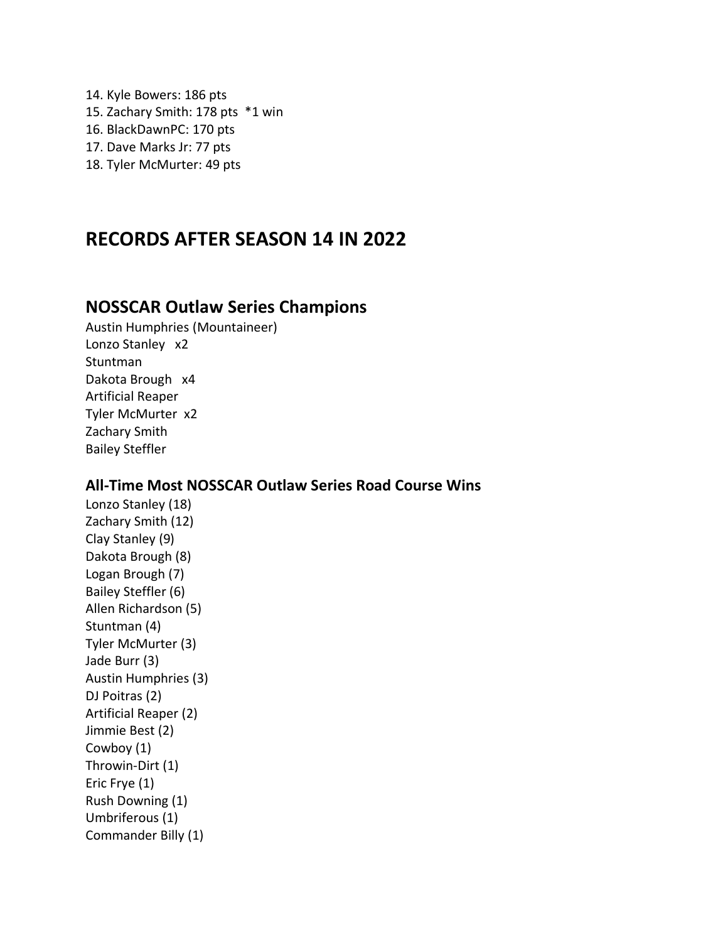- 14. Kyle Bowers: 186 pts 15. Zachary Smith: 178 pts \*1 win 16. BlackDawnPC: 170 pts 17. Dave Marks Jr: 77 pts
- 18. Tyler McMurter: 49 pts

# **RECORDS AFTER SEASON 14 IN 2022**

## **NOSSCAR Outlaw Series Champions**

Austin Humphries (Mountaineer) Lonzo Stanley x2 **Stuntman** Dakota Brough x4 Artificial Reaper Tyler McMurter x2 Zachary Smith Bailey Steffler

## **All-Time Most NOSSCAR Outlaw Series Road Course Wins**

Lonzo Stanley (18) Zachary Smith (12) Clay Stanley (9) Dakota Brough (8) Logan Brough (7) Bailey Steffler (6) Allen Richardson (5) Stuntman (4) Tyler McMurter (3) Jade Burr (3) Austin Humphries (3) DJ Poitras (2) Artificial Reaper (2) Jimmie Best (2) Cowboy (1) Throwin-Dirt (1) Eric Frye (1) Rush Downing (1) Umbriferous (1) Commander Billy (1)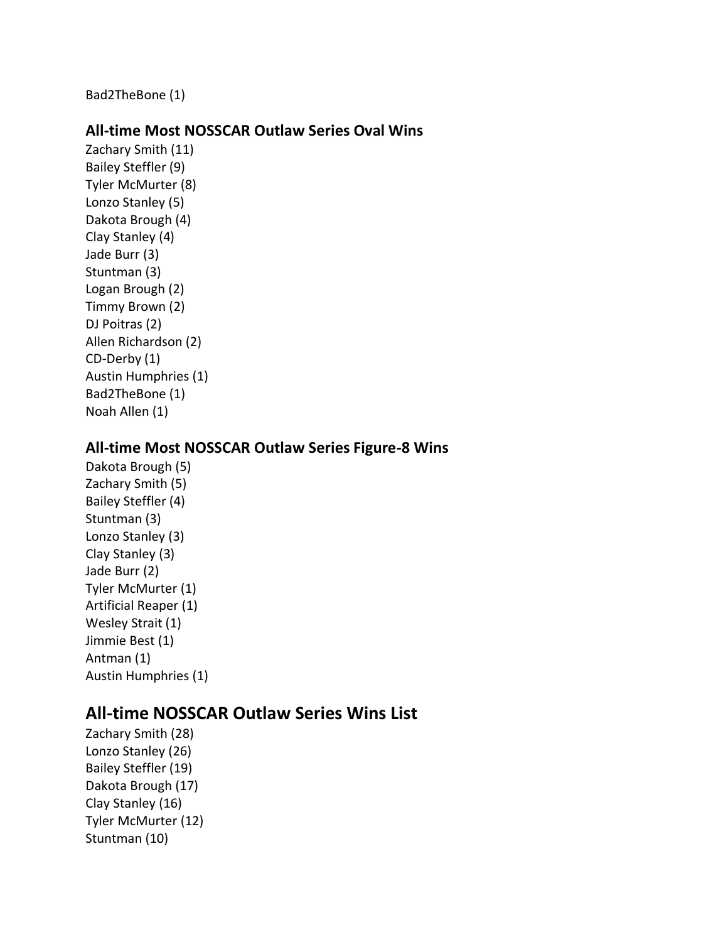Bad2TheBone (1)

## **All-time Most NOSSCAR Outlaw Series Oval Wins**

Zachary Smith (11) Bailey Steffler (9) Tyler McMurter (8) Lonzo Stanley (5) Dakota Brough (4) Clay Stanley (4) Jade Burr (3) Stuntman (3) Logan Brough (2) Timmy Brown (2) DJ Poitras (2) Allen Richardson (2) CD-Derby (1) Austin Humphries (1) Bad2TheBone (1) Noah Allen (1)

## **All-time Most NOSSCAR Outlaw Series Figure-8 Wins**

Dakota Brough (5) Zachary Smith (5) Bailey Steffler (4) Stuntman (3) Lonzo Stanley (3) Clay Stanley (3) Jade Burr (2) Tyler McMurter (1) Artificial Reaper (1) Wesley Strait (1) Jimmie Best (1) Antman (1) Austin Humphries (1)

# **All-time NOSSCAR Outlaw Series Wins List**

Zachary Smith (28) Lonzo Stanley (26) Bailey Steffler (19) Dakota Brough (17) Clay Stanley (16) Tyler McMurter (12) Stuntman (10)